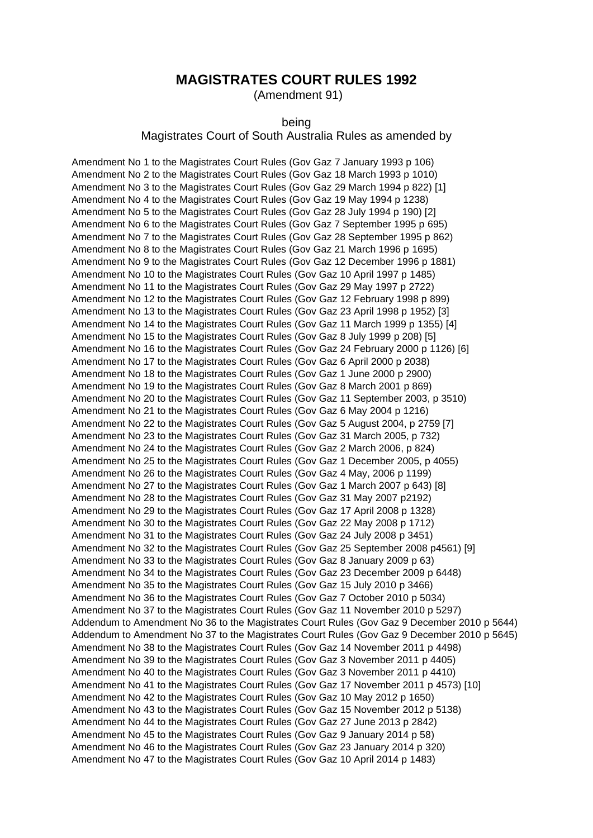#### **MAGISTRATES COURT RULES 1992**

(Amendment 91)

#### being

#### Magistrates Court of South Australia Rules as amended by

Amendment No 1 to the Magistrates Court Rules (Gov Gaz 7 January 1993 p 106) Amendment No 2 to the Magistrates Court Rules (Gov Gaz 18 March 1993 p 1010) Amendment No 3 to the Magistrates Court Rules (Gov Gaz 29 March 1994 p 822) [1] Amendment No 4 to the Magistrates Court Rules (Gov Gaz 19 May 1994 p 1238) Amendment No 5 to the Magistrates Court Rules (Gov Gaz 28 July 1994 p 190) [2] Amendment No 6 to the Magistrates Court Rules (Gov Gaz 7 September 1995 p 695) Amendment No 7 to the Magistrates Court Rules (Gov Gaz 28 September 1995 p 862) Amendment No 8 to the Magistrates Court Rules (Gov Gaz 21 March 1996 p 1695) Amendment No 9 to the Magistrates Court Rules (Gov Gaz 12 December 1996 p 1881) Amendment No 10 to the Magistrates Court Rules (Gov Gaz 10 April 1997 p 1485) Amendment No 11 to the Magistrates Court Rules (Gov Gaz 29 May 1997 p 2722) Amendment No 12 to the Magistrates Court Rules (Gov Gaz 12 February 1998 p 899) Amendment No 13 to the Magistrates Court Rules (Gov Gaz 23 April 1998 p 1952) [3] Amendment No 14 to the Magistrates Court Rules (Gov Gaz 11 March 1999 p 1355) [4] Amendment No 15 to the Magistrates Court Rules (Gov Gaz 8 July 1999 p 208) [5] Amendment No 16 to the Magistrates Court Rules (Gov Gaz 24 February 2000 p 1126) [6] Amendment No 17 to the Magistrates Court Rules (Gov Gaz 6 April 2000 p 2038) Amendment No 18 to the Magistrates Court Rules (Gov Gaz 1 June 2000 p 2900) Amendment No 19 to the Magistrates Court Rules (Gov Gaz 8 March 2001 p 869) Amendment No 20 to the Magistrates Court Rules (Gov Gaz 11 September 2003, p 3510) Amendment No 21 to the Magistrates Court Rules (Gov Gaz 6 May 2004 p 1216) Amendment No 22 to the Magistrates Court Rules (Gov Gaz 5 August 2004, p 2759 [7] Amendment No 23 to the Magistrates Court Rules (Gov Gaz 31 March 2005, p 732) Amendment No 24 to the Magistrates Court Rules (Gov Gaz 2 March 2006, p 824) Amendment No 25 to the Magistrates Court Rules (Gov Gaz 1 December 2005, p 4055) Amendment No 26 to the Magistrates Court Rules (Gov Gaz 4 May, 2006 p 1199) Amendment No 27 to the Magistrates Court Rules (Gov Gaz 1 March 2007 p 643) [8] Amendment No 28 to the Magistrates Court Rules (Gov Gaz 31 May 2007 p2192) Amendment No 29 to the Magistrates Court Rules (Gov Gaz 17 April 2008 p 1328) Amendment No 30 to the Magistrates Court Rules (Gov Gaz 22 May 2008 p 1712) Amendment No 31 to the Magistrates Court Rules (Gov Gaz 24 July 2008 p 3451) Amendment No 32 to the Magistrates Court Rules (Gov Gaz 25 September 2008 p4561) [9] Amendment No 33 to the Magistrates Court Rules (Gov Gaz 8 January 2009 p 63) Amendment No 34 to the Magistrates Court Rules (Gov Gaz 23 December 2009 p 6448) Amendment No 35 to the Magistrates Court Rules (Gov Gaz 15 July 2010 p 3466) Amendment No 36 to the Magistrates Court Rules (Gov Gaz 7 October 2010 p 5034) Amendment No 37 to the Magistrates Court Rules (Gov Gaz 11 November 2010 p 5297) Addendum to Amendment No 36 to the Magistrates Court Rules (Gov Gaz 9 December 2010 p 5644) Addendum to Amendment No 37 to the Magistrates Court Rules (Gov Gaz 9 December 2010 p 5645) Amendment No 38 to the Magistrates Court Rules (Gov Gaz 14 November 2011 p 4498) Amendment No 39 to the Magistrates Court Rules (Gov Gaz 3 November 2011 p 4405) Amendment No 40 to the Magistrates Court Rules (Gov Gaz 3 November 2011 p 4410) Amendment No 41 to the Magistrates Court Rules (Gov Gaz 17 November 2011 p 4573) [10] Amendment No 42 to the Magistrates Court Rules (Gov Gaz 10 May 2012 p 1650) Amendment No 43 to the Magistrates Court Rules (Gov Gaz 15 November 2012 p 5138) Amendment No 44 to the Magistrates Court Rules (Gov Gaz 27 June 2013 p 2842) Amendment No 45 to the Magistrates Court Rules (Gov Gaz 9 January 2014 p 58) Amendment No 46 to the Magistrates Court Rules (Gov Gaz 23 January 2014 p 320) Amendment No 47 to the Magistrates Court Rules (Gov Gaz 10 April 2014 p 1483)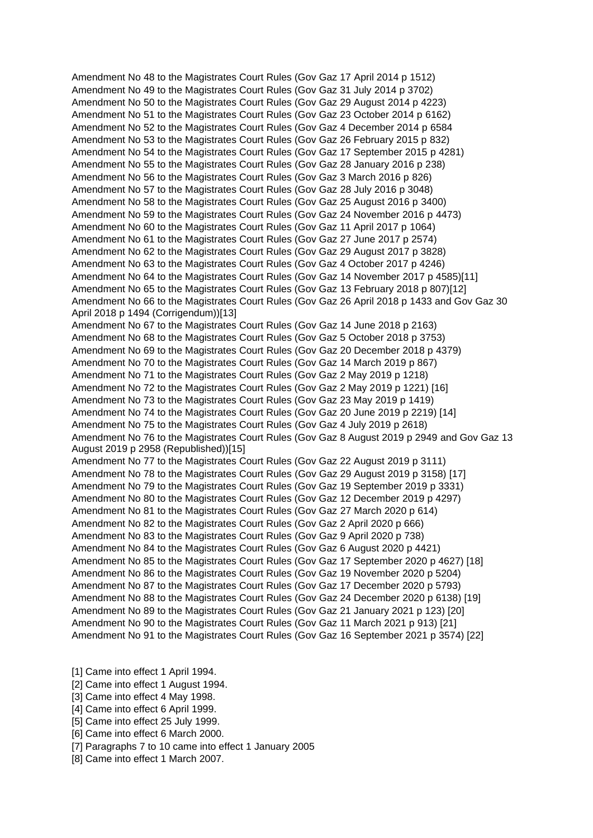Amendment No 48 to the Magistrates Court Rules (Gov Gaz 17 April 2014 p 1512) Amendment No 49 to the Magistrates Court Rules (Gov Gaz 31 July 2014 p 3702) Amendment No 50 to the Magistrates Court Rules (Gov Gaz 29 August 2014 p 4223) Amendment No 51 to the Magistrates Court Rules (Gov Gaz 23 October 2014 p 6162) Amendment No 52 to the Magistrates Court Rules (Gov Gaz 4 December 2014 p 6584 Amendment No 53 to the Magistrates Court Rules (Gov Gaz 26 February 2015 p 832) Amendment No 54 to the Magistrates Court Rules (Gov Gaz 17 September 2015 p 4281) Amendment No 55 to the Magistrates Court Rules (Gov Gaz 28 January 2016 p 238) Amendment No 56 to the Magistrates Court Rules (Gov Gaz 3 March 2016 p 826) Amendment No 57 to the Magistrates Court Rules (Gov Gaz 28 July 2016 p 3048) Amendment No 58 to the Magistrates Court Rules (Gov Gaz 25 August 2016 p 3400) Amendment No 59 to the Magistrates Court Rules (Gov Gaz 24 November 2016 p 4473) Amendment No 60 to the Magistrates Court Rules (Gov Gaz 11 April 2017 p 1064) Amendment No 61 to the Magistrates Court Rules (Gov Gaz 27 June 2017 p 2574) Amendment No 62 to the Magistrates Court Rules (Gov Gaz 29 August 2017 p 3828) Amendment No 63 to the Magistrates Court Rules (Gov Gaz 4 October 2017 p 4246) Amendment No 64 to the Magistrates Court Rules (Gov Gaz 14 November 2017 p 4585)[11] Amendment No 65 to the Magistrates Court Rules (Gov Gaz 13 February 2018 p 807)[12] Amendment No 66 to the Magistrates Court Rules (Gov Gaz 26 April 2018 p 1433 and Gov Gaz 30 April 2018 p 1494 (Corrigendum))[13] Amendment No 67 to the Magistrates Court Rules (Gov Gaz 14 June 2018 p 2163) Amendment No 68 to the Magistrates Court Rules (Gov Gaz 5 October 2018 p 3753) Amendment No 69 to the Magistrates Court Rules (Gov Gaz 20 December 2018 p 4379) Amendment No 70 to the Magistrates Court Rules (Gov Gaz 14 March 2019 p 867) Amendment No 71 to the Magistrates Court Rules (Gov Gaz 2 May 2019 p 1218) Amendment No 72 to the Magistrates Court Rules (Gov Gaz 2 May 2019 p 1221) [16] Amendment No 73 to the Magistrates Court Rules (Gov Gaz 23 May 2019 p 1419) Amendment No 74 to the Magistrates Court Rules (Gov Gaz 20 June 2019 p 2219) [14] Amendment No 75 to the Magistrates Court Rules (Gov Gaz 4 July 2019 p 2618) Amendment No 76 to the Magistrates Court Rules (Gov Gaz 8 August 2019 p 2949 and Gov Gaz 13 August 2019 p 2958 (Republished))[15] Amendment No 77 to the Magistrates Court Rules (Gov Gaz 22 August 2019 p 3111) Amendment No 78 to the Magistrates Court Rules (Gov Gaz 29 August 2019 p 3158) [17] Amendment No 79 to the Magistrates Court Rules (Gov Gaz 19 September 2019 p 3331) Amendment No 80 to the Magistrates Court Rules (Gov Gaz 12 December 2019 p 4297) Amendment No 81 to the Magistrates Court Rules (Gov Gaz 27 March 2020 p 614) Amendment No 82 to the Magistrates Court Rules (Gov Gaz 2 April 2020 p 666) Amendment No 83 to the Magistrates Court Rules (Gov Gaz 9 April 2020 p 738) Amendment No 84 to the Magistrates Court Rules (Gov Gaz 6 August 2020 p 4421) Amendment No 85 to the Magistrates Court Rules (Gov Gaz 17 September 2020 p 4627) [18] Amendment No 86 to the Magistrates Court Rules (Gov Gaz 19 November 2020 p 5204) Amendment No 87 to the Magistrates Court Rules (Gov Gaz 17 December 2020 p 5793) Amendment No 88 to the Magistrates Court Rules (Gov Gaz 24 December 2020 p 6138) [19] Amendment No 89 to the Magistrates Court Rules (Gov Gaz 21 January 2021 p 123) [20] Amendment No 90 to the Magistrates Court Rules (Gov Gaz 11 March 2021 p 913) [21] Amendment No 91 to the Magistrates Court Rules (Gov Gaz 16 September 2021 p 3574) [22]

[1] Came into effect 1 April 1994.

[2] Came into effect 1 August 1994.

[3] Came into effect 4 May 1998.

[4] Came into effect 6 April 1999.

[5] Came into effect 25 July 1999.

[6] Came into effect 6 March 2000.

[7] Paragraphs 7 to 10 came into effect 1 January 2005

[8] Came into effect 1 March 2007.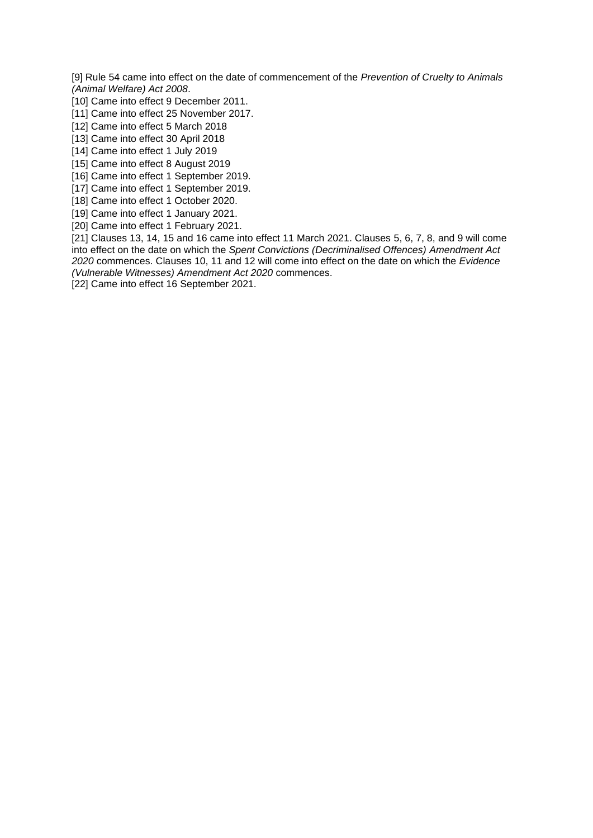[9] Rule 54 came into effect on the date of commencement of the *Prevention of Cruelty to Animals (Animal Welfare) Act 2008*.

[10] Came into effect 9 December 2011.

- [11] Came into effect 25 November 2017.
- [12] Came into effect 5 March 2018
- [13] Came into effect 30 April 2018
- [14] Came into effect 1 July 2019
- [15] Came into effect 8 August 2019
- [16] Came into effect 1 September 2019.
- [17] Came into effect 1 September 2019.
- [18] Came into effect 1 October 2020.
- [19] Came into effect 1 January 2021.
- [20] Came into effect 1 February 2021.

[21] Clauses 13, 14, 15 and 16 came into effect 11 March 2021. Clauses 5, 6, 7, 8, and 9 will come into effect on the date on which the *Spent Convictions (Decriminalised Offences) Amendment Act 2020* commences. Clauses 10, 11 and 12 will come into effect on the date on which the *Evidence (Vulnerable Witnesses) Amendment Act 2020* commences.

[22] Came into effect 16 September 2021.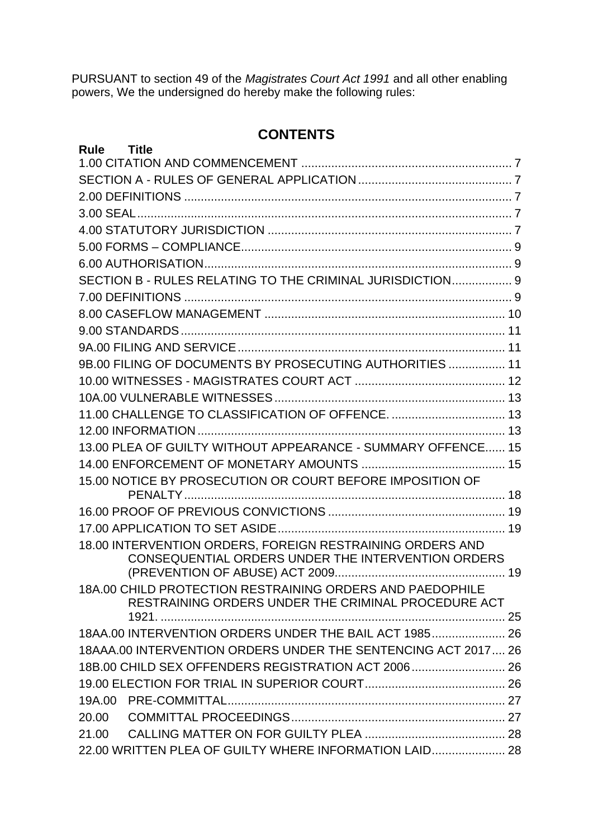PURSUANT to section 49 of the *Magistrates Court Act 1991* and all other enabling powers, We the undersigned do hereby make the following rules:

# **CONTENTS**

| Rule Title                                                                                                      |  |
|-----------------------------------------------------------------------------------------------------------------|--|
|                                                                                                                 |  |
|                                                                                                                 |  |
|                                                                                                                 |  |
|                                                                                                                 |  |
|                                                                                                                 |  |
|                                                                                                                 |  |
|                                                                                                                 |  |
| SECTION B - RULES RELATING TO THE CRIMINAL JURISDICTION 9                                                       |  |
|                                                                                                                 |  |
|                                                                                                                 |  |
|                                                                                                                 |  |
|                                                                                                                 |  |
| 9B.00 FILING OF DOCUMENTS BY PROSECUTING AUTHORITIES  11                                                        |  |
|                                                                                                                 |  |
|                                                                                                                 |  |
|                                                                                                                 |  |
|                                                                                                                 |  |
| 13.00 PLEA OF GUILTY WITHOUT APPEARANCE - SUMMARY OFFENCE 15                                                    |  |
|                                                                                                                 |  |
| 15.00 NOTICE BY PROSECUTION OR COURT BEFORE IMPOSITION OF                                                       |  |
|                                                                                                                 |  |
|                                                                                                                 |  |
|                                                                                                                 |  |
| 18.00 INTERVENTION ORDERS, FOREIGN RESTRAINING ORDERS AND<br>CONSEQUENTIAL ORDERS UNDER THE INTERVENTION ORDERS |  |
|                                                                                                                 |  |
| 18A.00 CHILD PROTECTION RESTRAINING ORDERS AND PAEDOPHILE                                                       |  |
| RESTRAINING ORDERS UNDER THE CRIMINAL PROCEDURE ACT                                                             |  |
|                                                                                                                 |  |
| 18AA.00 INTERVENTION ORDERS UNDER THE BAIL ACT 1985 26                                                          |  |
| 18AAA.00 INTERVENTION ORDERS UNDER THE SENTENCING ACT 2017 26                                                   |  |
| 18B.00 CHILD SEX OFFENDERS REGISTRATION ACT 2006 26                                                             |  |
|                                                                                                                 |  |
|                                                                                                                 |  |
| 20.00                                                                                                           |  |
| 21.00                                                                                                           |  |
| 22.00 WRITTEN PLEA OF GUILTY WHERE INFORMATION LAID 28                                                          |  |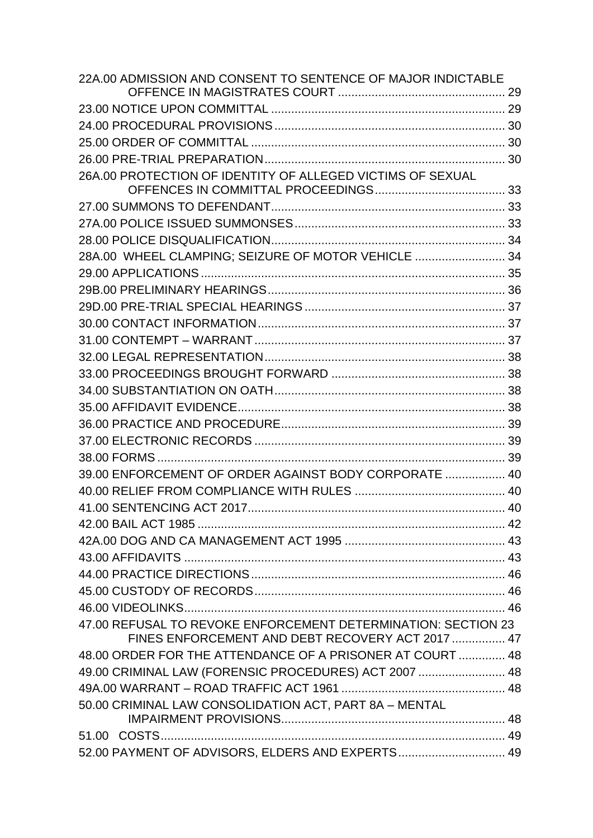| 22A.00 ADMISSION AND CONSENT TO SENTENCE OF MAJOR INDICTABLE  |  |
|---------------------------------------------------------------|--|
|                                                               |  |
|                                                               |  |
|                                                               |  |
|                                                               |  |
|                                                               |  |
| 26A.00 PROTECTION OF IDENTITY OF ALLEGED VICTIMS OF SEXUAL    |  |
|                                                               |  |
|                                                               |  |
|                                                               |  |
|                                                               |  |
| 28A.00 WHEEL CLAMPING; SEIZURE OF MOTOR VEHICLE  34           |  |
|                                                               |  |
|                                                               |  |
|                                                               |  |
|                                                               |  |
|                                                               |  |
|                                                               |  |
|                                                               |  |
|                                                               |  |
|                                                               |  |
|                                                               |  |
|                                                               |  |
|                                                               |  |
| 39.00 ENFORCEMENT OF ORDER AGAINST BODY CORPORATE  40         |  |
|                                                               |  |
|                                                               |  |
|                                                               |  |
|                                                               |  |
|                                                               |  |
|                                                               |  |
|                                                               |  |
|                                                               |  |
| 47.00 REFUSAL TO REVOKE ENFORCEMENT DETERMINATION: SECTION 23 |  |
| FINES ENFORCEMENT AND DEBT RECOVERY ACT 2017  47              |  |
| 48.00 ORDER FOR THE ATTENDANCE OF A PRISONER AT COURT  48     |  |
| 49.00 CRIMINAL LAW (FORENSIC PROCEDURES) ACT 2007  48         |  |
|                                                               |  |
| 50.00 CRIMINAL LAW CONSOLIDATION ACT, PART 8A - MENTAL        |  |
|                                                               |  |
|                                                               |  |
| 52.00 PAYMENT OF ADVISORS, ELDERS AND EXPERTS 49              |  |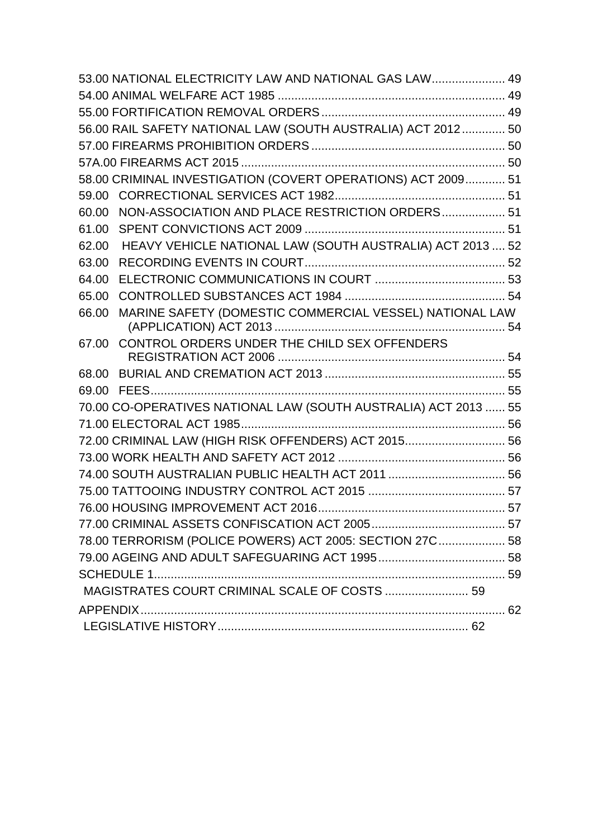| 53.00 NATIONAL ELECTRICITY LAW AND NATIONAL GAS LAW 49             |  |  |  |  |
|--------------------------------------------------------------------|--|--|--|--|
|                                                                    |  |  |  |  |
|                                                                    |  |  |  |  |
| 56.00 RAIL SAFETY NATIONAL LAW (SOUTH AUSTRALIA) ACT 2012 50       |  |  |  |  |
|                                                                    |  |  |  |  |
|                                                                    |  |  |  |  |
| 58.00 CRIMINAL INVESTIGATION (COVERT OPERATIONS) ACT 2009 51       |  |  |  |  |
| 59.00                                                              |  |  |  |  |
| NON-ASSOCIATION AND PLACE RESTRICTION ORDERS 51<br>60.00           |  |  |  |  |
| 61.00                                                              |  |  |  |  |
| HEAVY VEHICLE NATIONAL LAW (SOUTH AUSTRALIA) ACT 2013  52<br>62.00 |  |  |  |  |
| 63.00                                                              |  |  |  |  |
| 64.00                                                              |  |  |  |  |
| 65.00                                                              |  |  |  |  |
| MARINE SAFETY (DOMESTIC COMMERCIAL VESSEL) NATIONAL LAW<br>66.00   |  |  |  |  |
|                                                                    |  |  |  |  |
| CONTROL ORDERS UNDER THE CHILD SEX OFFENDERS<br>67.00              |  |  |  |  |
|                                                                    |  |  |  |  |
|                                                                    |  |  |  |  |
| 70.00 CO-OPERATIVES NATIONAL LAW (SOUTH AUSTRALIA) ACT 2013  55    |  |  |  |  |
|                                                                    |  |  |  |  |
| 72.00 CRIMINAL LAW (HIGH RISK OFFENDERS) ACT 2015 56               |  |  |  |  |
|                                                                    |  |  |  |  |
|                                                                    |  |  |  |  |
|                                                                    |  |  |  |  |
|                                                                    |  |  |  |  |
|                                                                    |  |  |  |  |
| 78.00 TERRORISM (POLICE POWERS) ACT 2005: SECTION 27C 58           |  |  |  |  |
|                                                                    |  |  |  |  |
|                                                                    |  |  |  |  |
| MAGISTRATES COURT CRIMINAL SCALE OF COSTS  59                      |  |  |  |  |
|                                                                    |  |  |  |  |
|                                                                    |  |  |  |  |
|                                                                    |  |  |  |  |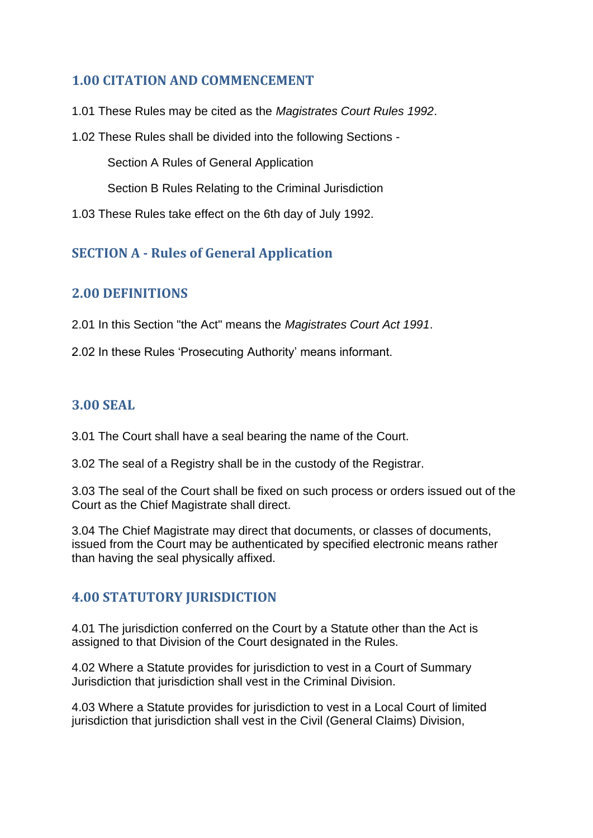# <span id="page-6-0"></span>**1.00 CITATION AND COMMENCEMENT**

1.01 These Rules may be cited as the *Magistrates Court Rules 1992*.

1.02 These Rules shall be divided into the following Sections -

Section A Rules of General Application

Section B Rules Relating to the Criminal Jurisdiction

1.03 These Rules take effect on the 6th day of July 1992.

# <span id="page-6-2"></span><span id="page-6-1"></span>**SECTION A - Rules of General Application**

# **2.00 DEFINITIONS**

2.01 In this Section "the Act" means the *Magistrates Court Act 1991*.

2.02 In these Rules 'Prosecuting Authority' means informant.

# <span id="page-6-3"></span>**3.00 SEAL**

3.01 The Court shall have a seal bearing the name of the Court.

3.02 The seal of a Registry shall be in the custody of the Registrar.

3.03 The seal of the Court shall be fixed on such process or orders issued out of the Court as the Chief Magistrate shall direct.

3.04 The Chief Magistrate may direct that documents, or classes of documents, issued from the Court may be authenticated by specified electronic means rather than having the seal physically affixed.

# <span id="page-6-4"></span>**4.00 STATUTORY JURISDICTION**

4.01 The jurisdiction conferred on the Court by a Statute other than the Act is assigned to that Division of the Court designated in the Rules.

4.02 Where a Statute provides for jurisdiction to vest in a Court of Summary Jurisdiction that jurisdiction shall vest in the Criminal Division.

4.03 Where a Statute provides for jurisdiction to vest in a Local Court of limited jurisdiction that jurisdiction shall vest in the Civil (General Claims) Division,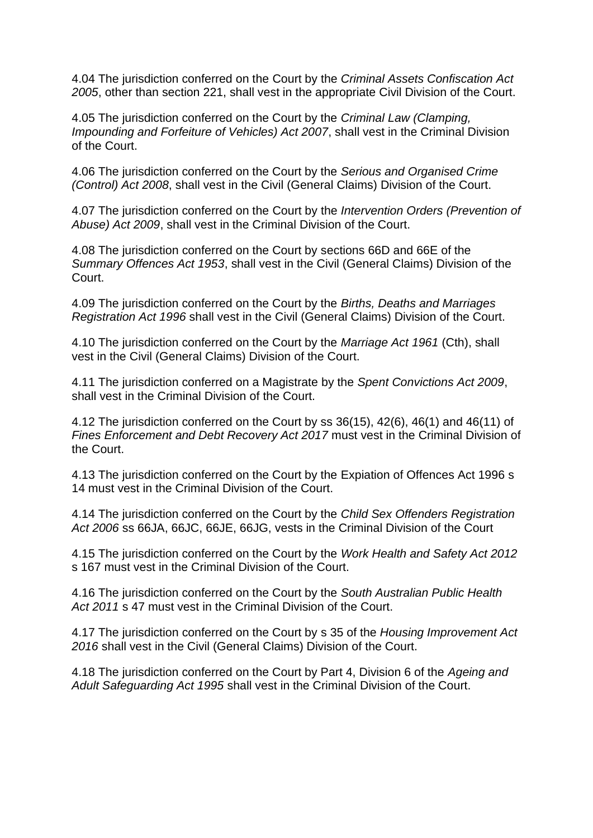4.04 The jurisdiction conferred on the Court by the *Criminal Assets Confiscation Act 2005*, other than section 221, shall vest in the appropriate Civil Division of the Court.

4.05 The jurisdiction conferred on the Court by the *Criminal Law (Clamping, Impounding and Forfeiture of Vehicles) Act 2007*, shall vest in the Criminal Division of the Court.

4.06 The jurisdiction conferred on the Court by the *Serious and Organised Crime (Control) Act 2008*, shall vest in the Civil (General Claims) Division of the Court.

4.07 The jurisdiction conferred on the Court by the *Intervention Orders (Prevention of Abuse) Act 2009*, shall vest in the Criminal Division of the Court.

4.08 The jurisdiction conferred on the Court by sections 66D and 66E of the *Summary Offences Act 1953*, shall vest in the Civil (General Claims) Division of the Court.

4.09 The jurisdiction conferred on the Court by the *Births, Deaths and Marriages Registration Act 1996* shall vest in the Civil (General Claims) Division of the Court.

4.10 The jurisdiction conferred on the Court by the *Marriage Act 1961* (Cth), shall vest in the Civil (General Claims) Division of the Court.

4.11 The jurisdiction conferred on a Magistrate by the *Spent Convictions Act 2009*, shall vest in the Criminal Division of the Court.

4.12 The jurisdiction conferred on the Court by ss 36(15), 42(6), 46(1) and 46(11) of *Fines Enforcement and Debt Recovery Act 2017* must vest in the Criminal Division of the Court.

4.13 The jurisdiction conferred on the Court by the Expiation of Offences Act 1996 s 14 must vest in the Criminal Division of the Court.

4.14 The jurisdiction conferred on the Court by the *Child Sex Offenders Registration Act 2006* ss 66JA, 66JC, 66JE, 66JG, vests in the Criminal Division of the Court

4.15 The jurisdiction conferred on the Court by the *Work Health and Safety Act 2012* s 167 must vest in the Criminal Division of the Court.

4.16 The jurisdiction conferred on the Court by the *South Australian Public Health Act 2011* s 47 must vest in the Criminal Division of the Court.

4.17 The jurisdiction conferred on the Court by s 35 of the *Housing Improvement Act 2016* shall vest in the Civil (General Claims) Division of the Court.

4.18 The jurisdiction conferred on the Court by Part 4, Division 6 of the *Ageing and Adult Safeguarding Act 1995* shall vest in the Criminal Division of the Court.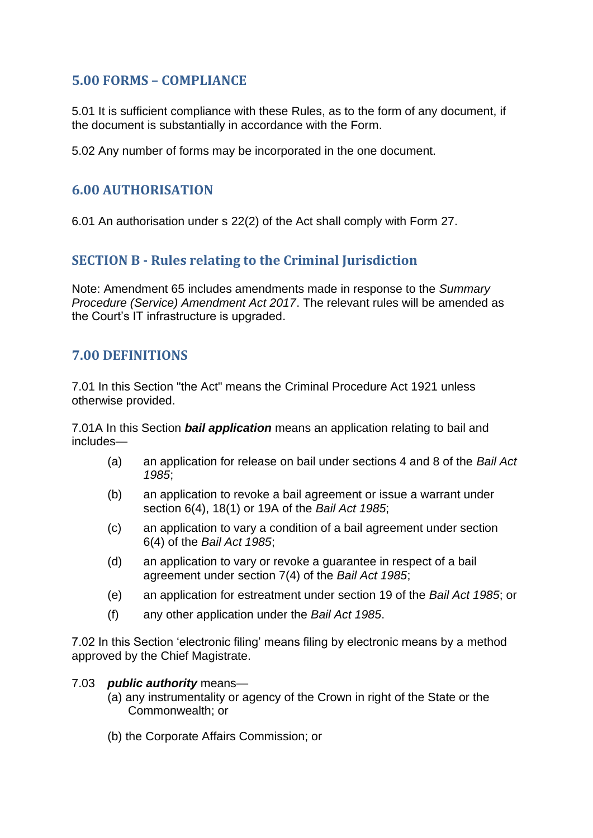# <span id="page-8-0"></span>**5.00 FORMS – COMPLIANCE**

5.01 It is sufficient compliance with these Rules, as to the form of any document, if the document is substantially in accordance with the Form.

5.02 Any number of forms may be incorporated in the one document.

### <span id="page-8-1"></span>**6.00 AUTHORISATION**

<span id="page-8-2"></span>6.01 An authorisation under s 22(2) of the Act shall comply with Form 27.

# **SECTION B - Rules relating to the Criminal Jurisdiction**

Note: Amendment 65 includes amendments made in response to the *Summary Procedure (Service) Amendment Act 2017*. The relevant rules will be amended as the Court's IT infrastructure is upgraded.

#### <span id="page-8-3"></span>**7.00 DEFINITIONS**

7.01 In this Section "the Act" means the Criminal Procedure Act 1921 unless otherwise provided.

7.01A In this Section *bail application* means an application relating to bail and includes—

- (a) an application for release on bail under sections 4 and 8 of the *Bail Act 1985*;
- (b) an application to revoke a bail agreement or issue a warrant under section 6(4), 18(1) or 19A of the *Bail Act 1985*;
- (c) an application to vary a condition of a bail agreement under section 6(4) of the *Bail Act 1985*;
- (d) an application to vary or revoke a guarantee in respect of a bail agreement under section 7(4) of the *Bail Act 1985*;
- (e) an application for estreatment under section 19 of the *Bail Act 1985*; or
- (f) any other application under the *Bail Act 1985*.

7.02 In this Section 'electronic filing' means filing by electronic means by a method approved by the Chief Magistrate.

#### 7.03 *public authority* means—

- (a) any instrumentality or agency of the Crown in right of the State or the Commonwealth; or
- (b) the Corporate Affairs Commission; or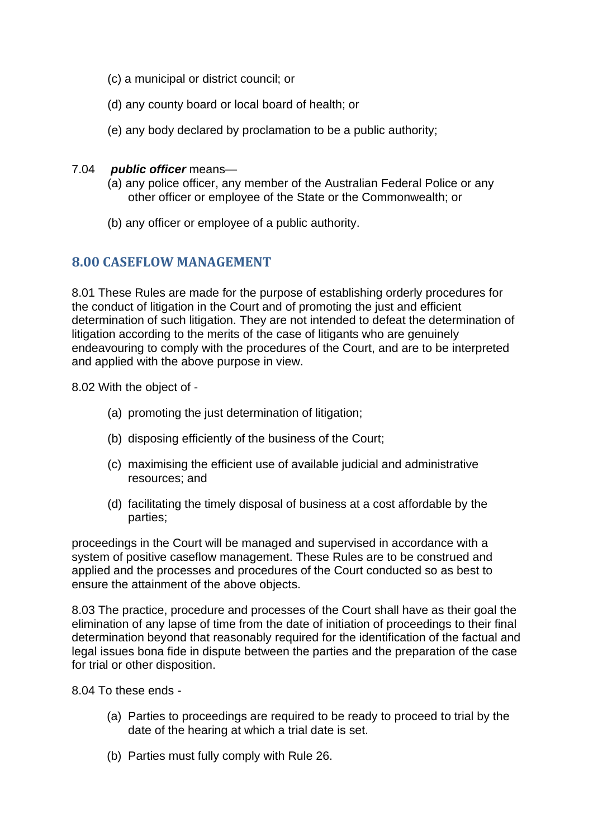- (c) a municipal or district council; or
- (d) any county board or local board of health; or
- (e) any body declared by proclamation to be a public authority;
- 7.04 *public officer* means—
	- (a) any police officer, any member of the Australian Federal Police or any other officer or employee of the State or the Commonwealth; or
	- (b) any officer or employee of a public authority.

#### <span id="page-9-0"></span>**8.00 CASEFLOW MANAGEMENT**

8.01 These Rules are made for the purpose of establishing orderly procedures for the conduct of litigation in the Court and of promoting the just and efficient determination of such litigation. They are not intended to defeat the determination of litigation according to the merits of the case of litigants who are genuinely endeavouring to comply with the procedures of the Court, and are to be interpreted and applied with the above purpose in view.

8.02 With the object of -

- (a) promoting the just determination of litigation;
- (b) disposing efficiently of the business of the Court;
- (c) maximising the efficient use of available judicial and administrative resources; and
- (d) facilitating the timely disposal of business at a cost affordable by the parties;

proceedings in the Court will be managed and supervised in accordance with a system of positive caseflow management. These Rules are to be construed and applied and the processes and procedures of the Court conducted so as best to ensure the attainment of the above objects.

8.03 The practice, procedure and processes of the Court shall have as their goal the elimination of any lapse of time from the date of initiation of proceedings to their final determination beyond that reasonably required for the identification of the factual and legal issues bona fide in dispute between the parties and the preparation of the case for trial or other disposition.

8.04 To these ends -

- (a) Parties to proceedings are required to be ready to proceed to trial by the date of the hearing at which a trial date is set.
- (b) Parties must fully comply with Rule 26.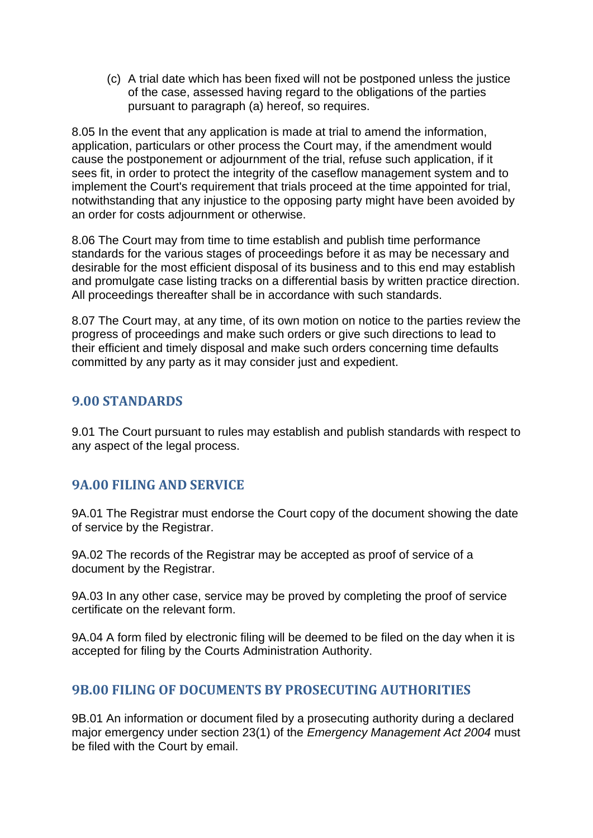(c) A trial date which has been fixed will not be postponed unless the justice of the case, assessed having regard to the obligations of the parties pursuant to paragraph (a) hereof, so requires.

8.05 In the event that any application is made at trial to amend the information, application, particulars or other process the Court may, if the amendment would cause the postponement or adjournment of the trial, refuse such application, if it sees fit, in order to protect the integrity of the caseflow management system and to implement the Court's requirement that trials proceed at the time appointed for trial, notwithstanding that any injustice to the opposing party might have been avoided by an order for costs adjournment or otherwise.

8.06 The Court may from time to time establish and publish time performance standards for the various stages of proceedings before it as may be necessary and desirable for the most efficient disposal of its business and to this end may establish and promulgate case listing tracks on a differential basis by written practice direction. All proceedings thereafter shall be in accordance with such standards.

8.07 The Court may, at any time, of its own motion on notice to the parties review the progress of proceedings and make such orders or give such directions to lead to their efficient and timely disposal and make such orders concerning time defaults committed by any party as it may consider just and expedient.

### <span id="page-10-0"></span>**9.00 STANDARDS**

9.01 The Court pursuant to rules may establish and publish standards with respect to any aspect of the legal process.

# <span id="page-10-1"></span>**9A.00 FILING AND SERVICE**

9A.01 The Registrar must endorse the Court copy of the document showing the date of service by the Registrar.

9A.02 The records of the Registrar may be accepted as proof of service of a document by the Registrar.

9A.03 In any other case, service may be proved by completing the proof of service certificate on the relevant form.

9A.04 A form filed by electronic filing will be deemed to be filed on the day when it is accepted for filing by the Courts Administration Authority.

# <span id="page-10-2"></span>**9B.00 FILING OF DOCUMENTS BY PROSECUTING AUTHORITIES**

9B.01 An information or document filed by a prosecuting authority during a declared major emergency under section 23(1) of the *Emergency Management Act 2004* must be filed with the Court by email.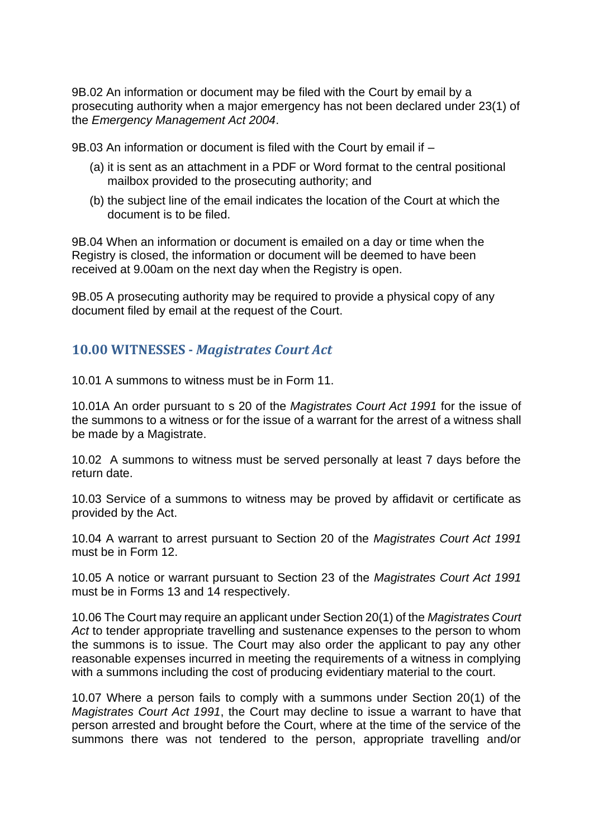9B.02 An information or document may be filed with the Court by email by a prosecuting authority when a major emergency has not been declared under 23(1) of the *Emergency Management Act 2004*.

9B.03 An information or document is filed with the Court by email if –

- (a) it is sent as an attachment in a PDF or Word format to the central positional mailbox provided to the prosecuting authority; and
- (b) the subject line of the email indicates the location of the Court at which the document is to be filed.

9B.04 When an information or document is emailed on a day or time when the Registry is closed, the information or document will be deemed to have been received at 9.00am on the next day when the Registry is open.

9B.05 A prosecuting authority may be required to provide a physical copy of any document filed by email at the request of the Court.

### <span id="page-11-0"></span>**10.00 WITNESSES -** *Magistrates Court Act*

10.01 A summons to witness must be in Form 11.

10.01A An order pursuant to s 20 of the *Magistrates Court Act 1991* for the issue of the summons to a witness or for the issue of a warrant for the arrest of a witness shall be made by a Magistrate.

10.02 A summons to witness must be served personally at least 7 days before the return date.

10.03 Service of a summons to witness may be proved by affidavit or certificate as provided by the Act.

10.04 A warrant to arrest pursuant to Section 20 of the *Magistrates Court Act 1991*  must be in Form 12.

10.05 A notice or warrant pursuant to Section 23 of the *Magistrates Court Act 1991*  must be in Forms 13 and 14 respectively.

10.06 The Court may require an applicant under Section 20(1) of the *Magistrates Court Act* to tender appropriate travelling and sustenance expenses to the person to whom the summons is to issue. The Court may also order the applicant to pay any other reasonable expenses incurred in meeting the requirements of a witness in complying with a summons including the cost of producing evidentiary material to the court.

10.07 Where a person fails to comply with a summons under Section 20(1) of the *Magistrates Court Act 1991*, the Court may decline to issue a warrant to have that person arrested and brought before the Court, where at the time of the service of the summons there was not tendered to the person, appropriate travelling and/or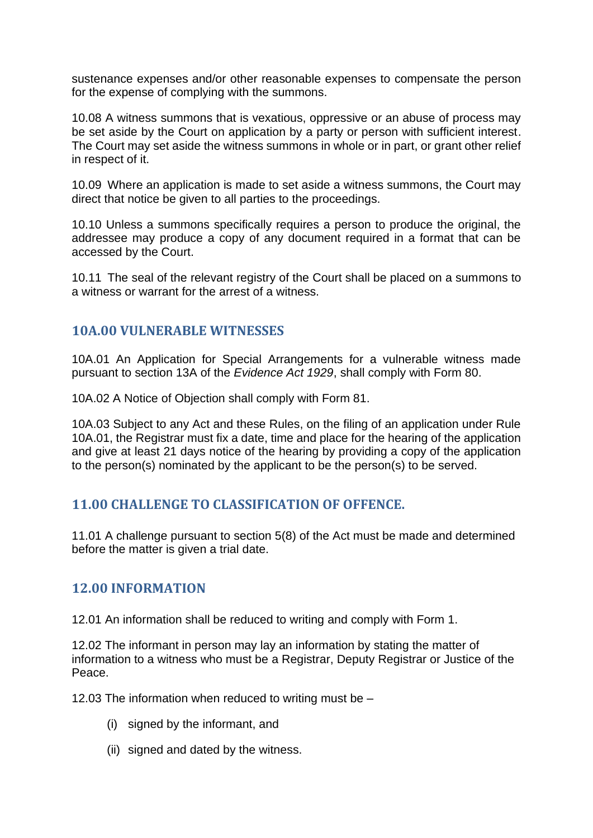sustenance expenses and/or other reasonable expenses to compensate the person for the expense of complying with the summons.

10.08 A witness summons that is vexatious, oppressive or an abuse of process may be set aside by the Court on application by a party or person with sufficient interest. The Court may set aside the witness summons in whole or in part, or grant other relief in respect of it.

10.09 Where an application is made to set aside a witness summons, the Court may direct that notice be given to all parties to the proceedings.

10.10 Unless a summons specifically requires a person to produce the original, the addressee may produce a copy of any document required in a format that can be accessed by the Court.

10.11 The seal of the relevant registry of the Court shall be placed on a summons to a witness or warrant for the arrest of a witness.

#### <span id="page-12-0"></span>**10A.00 VULNERABLE WITNESSES**

10A.01 An Application for Special Arrangements for a vulnerable witness made pursuant to section 13A of the *Evidence Act 1929*, shall comply with Form 80.

10A.02 A Notice of Objection shall comply with Form 81.

10A.03 Subject to any Act and these Rules, on the filing of an application under Rule 10A.01, the Registrar must fix a date, time and place for the hearing of the application and give at least 21 days notice of the hearing by providing a copy of the application to the person(s) nominated by the applicant to be the person(s) to be served.

#### <span id="page-12-1"></span>**11.00 CHALLENGE TO CLASSIFICATION OF OFFENCE.**

11.01 A challenge pursuant to section 5(8) of the Act must be made and determined before the matter is given a trial date.

#### <span id="page-12-2"></span>**12.00 INFORMATION**

12.01 An information shall be reduced to writing and comply with Form 1.

12.02 The informant in person may lay an information by stating the matter of information to a witness who must be a Registrar, Deputy Registrar or Justice of the Peace.

12.03 The information when reduced to writing must be –

- (i) signed by the informant, and
- (ii) signed and dated by the witness.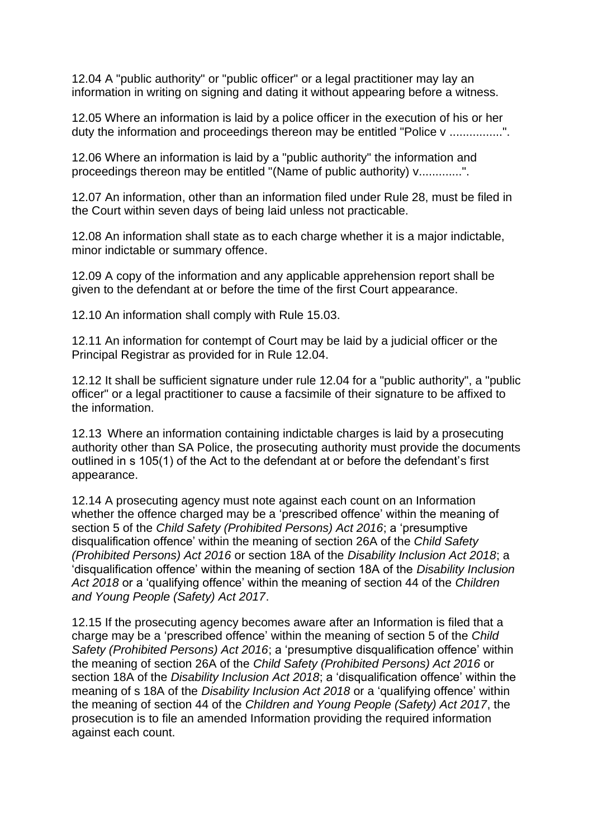12.04 A "public authority" or "public officer" or a legal practitioner may lay an information in writing on signing and dating it without appearing before a witness.

12.05 Where an information is laid by a police officer in the execution of his or her duty the information and proceedings thereon may be entitled "Police v ................".

12.06 Where an information is laid by a "public authority" the information and proceedings thereon may be entitled "(Name of public authority) v.............".

12.07 An information, other than an information filed under Rule 28, must be filed in the Court within seven days of being laid unless not practicable.

12.08 An information shall state as to each charge whether it is a major indictable, minor indictable or summary offence.

12.09 A copy of the information and any applicable apprehension report shall be given to the defendant at or before the time of the first Court appearance.

12.10 An information shall comply with Rule 15.03.

12.11 An information for contempt of Court may be laid by a judicial officer or the Principal Registrar as provided for in Rule 12.04.

12.12 It shall be sufficient signature under rule 12.04 for a "public authority", a "public officer" or a legal practitioner to cause a facsimile of their signature to be affixed to the information.

12.13 Where an information containing indictable charges is laid by a prosecuting authority other than SA Police, the prosecuting authority must provide the documents outlined in s 105(1) of the Act to the defendant at or before the defendant's first appearance.

12.14 A prosecuting agency must note against each count on an Information whether the offence charged may be a 'prescribed offence' within the meaning of section 5 of the *Child Safety (Prohibited Persons) Act 2016*; a 'presumptive disqualification offence' within the meaning of section 26A of the *Child Safety (Prohibited Persons) Act 2016* or section 18A of the *Disability Inclusion Act 2018*; a 'disqualification offence' within the meaning of section 18A of the *Disability Inclusion Act 2018* or a 'qualifying offence' within the meaning of section 44 of the *Children and Young People (Safety) Act 2017*.

12.15 If the prosecuting agency becomes aware after an Information is filed that a charge may be a 'prescribed offence' within the meaning of section 5 of the *Child Safety (Prohibited Persons) Act 2016*; a 'presumptive disqualification offence' within the meaning of section 26A of the *Child Safety (Prohibited Persons) Act 2016* or section 18A of the *Disability Inclusion Act 2018*; a 'disqualification offence' within the meaning of s 18A of the *Disability Inclusion Act 2018* or a 'qualifying offence' within the meaning of section 44 of the *Children and Young People (Safety) Act 2017*, the prosecution is to file an amended Information providing the required information against each count.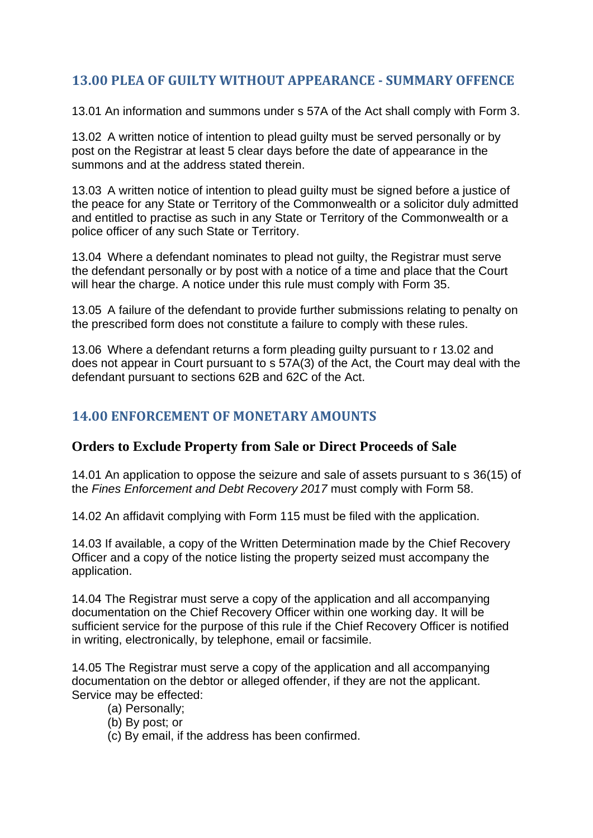# <span id="page-14-0"></span>**13.00 PLEA OF GUILTY WITHOUT APPEARANCE - SUMMARY OFFENCE**

13.01 An information and summons under s 57A of the Act shall comply with Form 3.

13.02 A written notice of intention to plead guilty must be served personally or by post on the Registrar at least 5 clear days before the date of appearance in the summons and at the address stated therein.

13.03 A written notice of intention to plead guilty must be signed before a justice of the peace for any State or Territory of the Commonwealth or a solicitor duly admitted and entitled to practise as such in any State or Territory of the Commonwealth or a police officer of any such State or Territory.

13.04 Where a defendant nominates to plead not guilty, the Registrar must serve the defendant personally or by post with a notice of a time and place that the Court will hear the charge. A notice under this rule must comply with Form 35.

13.05 A failure of the defendant to provide further submissions relating to penalty on the prescribed form does not constitute a failure to comply with these rules.

13.06 Where a defendant returns a form pleading guilty pursuant to r 13.02 and does not appear in Court pursuant to s 57A(3) of the Act, the Court may deal with the defendant pursuant to sections 62B and 62C of the Act.

# <span id="page-14-1"></span>**14.00 ENFORCEMENT OF MONETARY AMOUNTS**

#### **Orders to Exclude Property from Sale or Direct Proceeds of Sale**

14.01 An application to oppose the seizure and sale of assets pursuant to s 36(15) of the *Fines Enforcement and Debt Recovery 2017* must comply with Form 58.

14.02 An affidavit complying with Form 115 must be filed with the application.

14.03 If available, a copy of the Written Determination made by the Chief Recovery Officer and a copy of the notice listing the property seized must accompany the application.

14.04 The Registrar must serve a copy of the application and all accompanying documentation on the Chief Recovery Officer within one working day. It will be sufficient service for the purpose of this rule if the Chief Recovery Officer is notified in writing, electronically, by telephone, email or facsimile.

14.05 The Registrar must serve a copy of the application and all accompanying documentation on the debtor or alleged offender, if they are not the applicant. Service may be effected:

- (a) Personally;
- (b) By post; or
- (c) By email, if the address has been confirmed.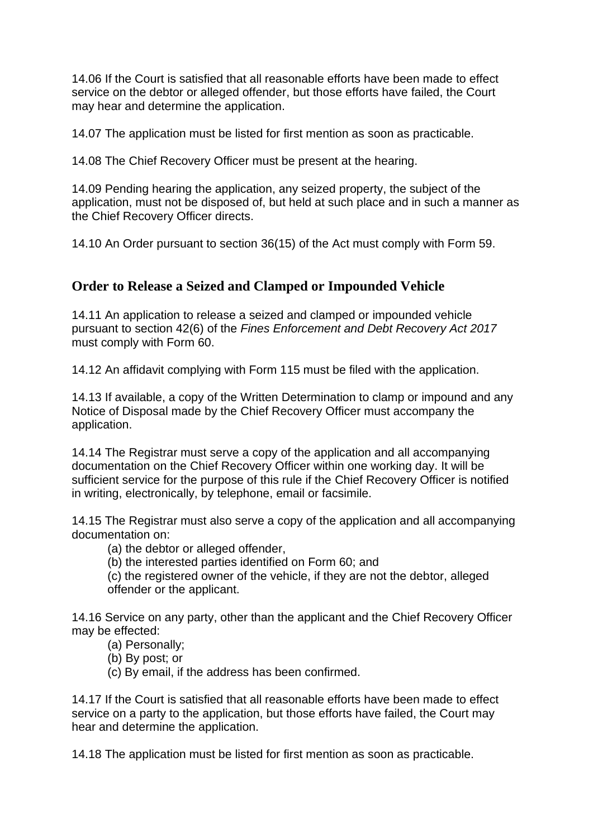14.06 If the Court is satisfied that all reasonable efforts have been made to effect service on the debtor or alleged offender, but those efforts have failed, the Court may hear and determine the application.

14.07 The application must be listed for first mention as soon as practicable.

14.08 The Chief Recovery Officer must be present at the hearing.

14.09 Pending hearing the application, any seized property, the subject of the application, must not be disposed of, but held at such place and in such a manner as the Chief Recovery Officer directs.

14.10 An Order pursuant to section 36(15) of the Act must comply with Form 59.

# **Order to Release a Seized and Clamped or Impounded Vehicle**

14.11 An application to release a seized and clamped or impounded vehicle pursuant to section 42(6) of the *Fines Enforcement and Debt Recovery Act 2017*  must comply with Form 60.

14.12 An affidavit complying with Form 115 must be filed with the application.

14.13 If available, a copy of the Written Determination to clamp or impound and any Notice of Disposal made by the Chief Recovery Officer must accompany the application.

14.14 The Registrar must serve a copy of the application and all accompanying documentation on the Chief Recovery Officer within one working day. It will be sufficient service for the purpose of this rule if the Chief Recovery Officer is notified in writing, electronically, by telephone, email or facsimile.

14.15 The Registrar must also serve a copy of the application and all accompanying documentation on:

- (a) the debtor or alleged offender,
- (b) the interested parties identified on Form 60; and

(c) the registered owner of the vehicle, if they are not the debtor, alleged offender or the applicant.

14.16 Service on any party, other than the applicant and the Chief Recovery Officer may be effected:

- (a) Personally;
- (b) By post; or
- (c) By email, if the address has been confirmed.

14.17 If the Court is satisfied that all reasonable efforts have been made to effect service on a party to the application, but those efforts have failed, the Court may hear and determine the application.

14.18 The application must be listed for first mention as soon as practicable.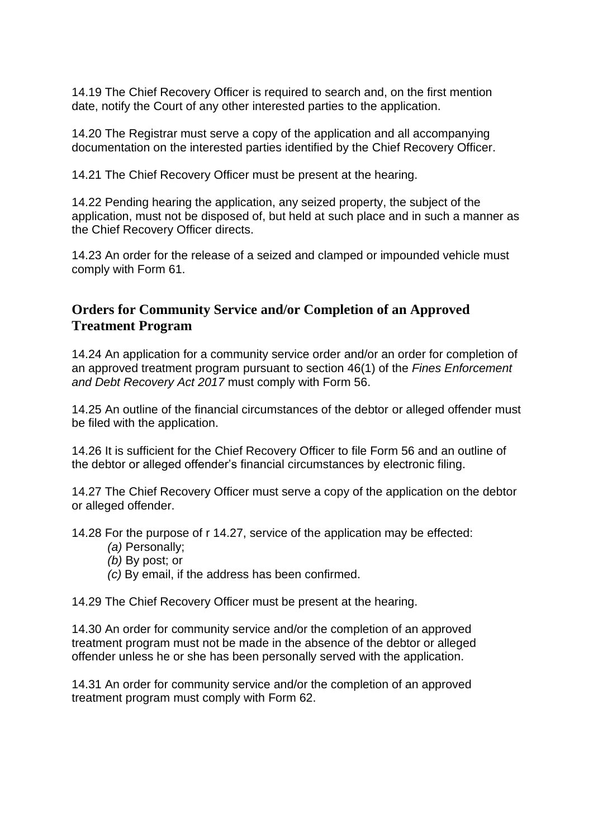14.19 The Chief Recovery Officer is required to search and, on the first mention date, notify the Court of any other interested parties to the application.

14.20 The Registrar must serve a copy of the application and all accompanying documentation on the interested parties identified by the Chief Recovery Officer.

14.21 The Chief Recovery Officer must be present at the hearing.

14.22 Pending hearing the application, any seized property, the subject of the application, must not be disposed of, but held at such place and in such a manner as the Chief Recovery Officer directs.

14.23 An order for the release of a seized and clamped or impounded vehicle must comply with Form 61.

# **Orders for Community Service and/or Completion of an Approved Treatment Program**

14.24 An application for a community service order and/or an order for completion of an approved treatment program pursuant to section 46(1) of the *Fines Enforcement and Debt Recovery Act 2017* must comply with Form 56.

14.25 An outline of the financial circumstances of the debtor or alleged offender must be filed with the application.

14.26 It is sufficient for the Chief Recovery Officer to file Form 56 and an outline of the debtor or alleged offender's financial circumstances by electronic filing.

14.27 The Chief Recovery Officer must serve a copy of the application on the debtor or alleged offender.

14.28 For the purpose of r 14.27, service of the application may be effected:

- *(a)* Personally;
- *(b)* By post; or
- *(c)* By email, if the address has been confirmed.

14.29 The Chief Recovery Officer must be present at the hearing.

14.30 An order for community service and/or the completion of an approved treatment program must not be made in the absence of the debtor or alleged offender unless he or she has been personally served with the application.

14.31 An order for community service and/or the completion of an approved treatment program must comply with Form 62.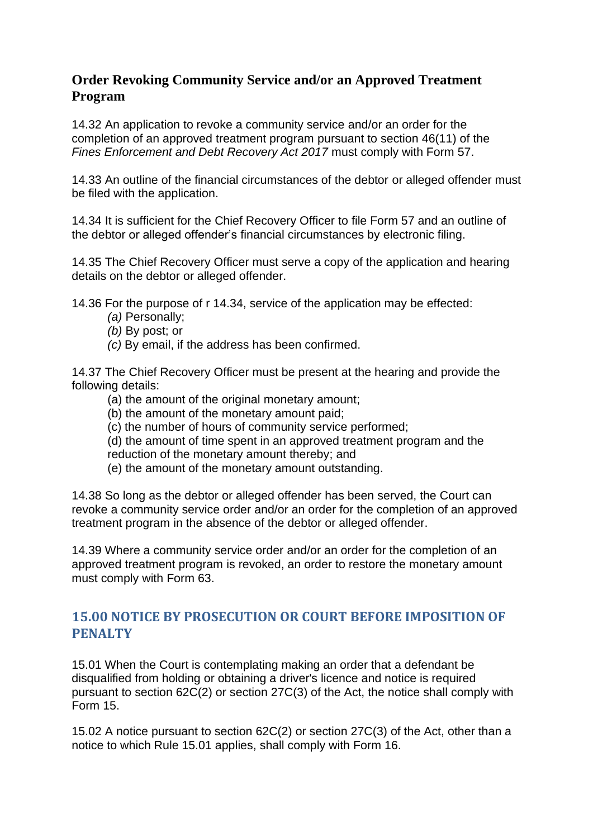# **Order Revoking Community Service and/or an Approved Treatment Program**

14.32 An application to revoke a community service and/or an order for the completion of an approved treatment program pursuant to section 46(11) of the *Fines Enforcement and Debt Recovery Act 2017* must comply with Form 57.

14.33 An outline of the financial circumstances of the debtor or alleged offender must be filed with the application.

14.34 It is sufficient for the Chief Recovery Officer to file Form 57 and an outline of the debtor or alleged offender's financial circumstances by electronic filing.

14.35 The Chief Recovery Officer must serve a copy of the application and hearing details on the debtor or alleged offender.

14.36 For the purpose of r 14.34, service of the application may be effected:

- *(a)* Personally;
- *(b)* By post; or
- *(c)* By email, if the address has been confirmed.

14.37 The Chief Recovery Officer must be present at the hearing and provide the following details:

- (a) the amount of the original monetary amount;
- (b) the amount of the monetary amount paid;
- (c) the number of hours of community service performed;
- (d) the amount of time spent in an approved treatment program and the
- reduction of the monetary amount thereby; and
- (e) the amount of the monetary amount outstanding.

14.38 So long as the debtor or alleged offender has been served, the Court can revoke a community service order and/or an order for the completion of an approved treatment program in the absence of the debtor or alleged offender.

14.39 Where a community service order and/or an order for the completion of an approved treatment program is revoked, an order to restore the monetary amount must comply with Form 63.

# <span id="page-17-0"></span>**15.00 NOTICE BY PROSECUTION OR COURT BEFORE IMPOSITION OF PENALTY**

15.01 When the Court is contemplating making an order that a defendant be disqualified from holding or obtaining a driver's licence and notice is required pursuant to section 62C(2) or section 27C(3) of the Act, the notice shall comply with Form 15.

15.02 A notice pursuant to section 62C(2) or section 27C(3) of the Act, other than a notice to which Rule 15.01 applies, shall comply with Form 16.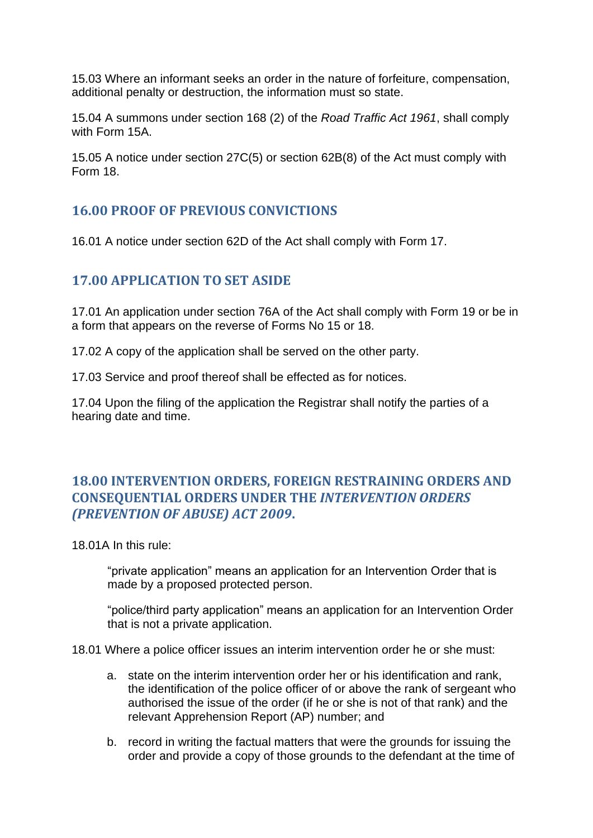15.03 Where an informant seeks an order in the nature of forfeiture, compensation, additional penalty or destruction, the information must so state.

15.04 A summons under section 168 (2) of the *Road Traffic Act 1961*, shall comply with Form 15A

15.05 A notice under section 27C(5) or section 62B(8) of the Act must comply with Form 18.

# <span id="page-18-0"></span>**16.00 PROOF OF PREVIOUS CONVICTIONS**

<span id="page-18-1"></span>16.01 A notice under section 62D of the Act shall comply with Form 17.

# **17.00 APPLICATION TO SET ASIDE**

17.01 An application under section 76A of the Act shall comply with Form 19 or be in a form that appears on the reverse of Forms No 15 or 18.

17.02 A copy of the application shall be served on the other party.

17.03 Service and proof thereof shall be effected as for notices.

17.04 Upon the filing of the application the Registrar shall notify the parties of a hearing date and time.

# <span id="page-18-2"></span>**18.00 INTERVENTION ORDERS, FOREIGN RESTRAINING ORDERS AND CONSEQUENTIAL ORDERS UNDER THE** *INTERVENTION ORDERS (PREVENTION OF ABUSE) ACT 2009***.**

18.01A In this rule:

"private application" means an application for an Intervention Order that is made by a proposed protected person.

"police/third party application" means an application for an Intervention Order that is not a private application.

18.01 Where a police officer issues an interim intervention order he or she must:

- a. state on the interim intervention order her or his identification and rank, the identification of the police officer of or above the rank of sergeant who authorised the issue of the order (if he or she is not of that rank) and the relevant Apprehension Report (AP) number; and
- b. record in writing the factual matters that were the grounds for issuing the order and provide a copy of those grounds to the defendant at the time of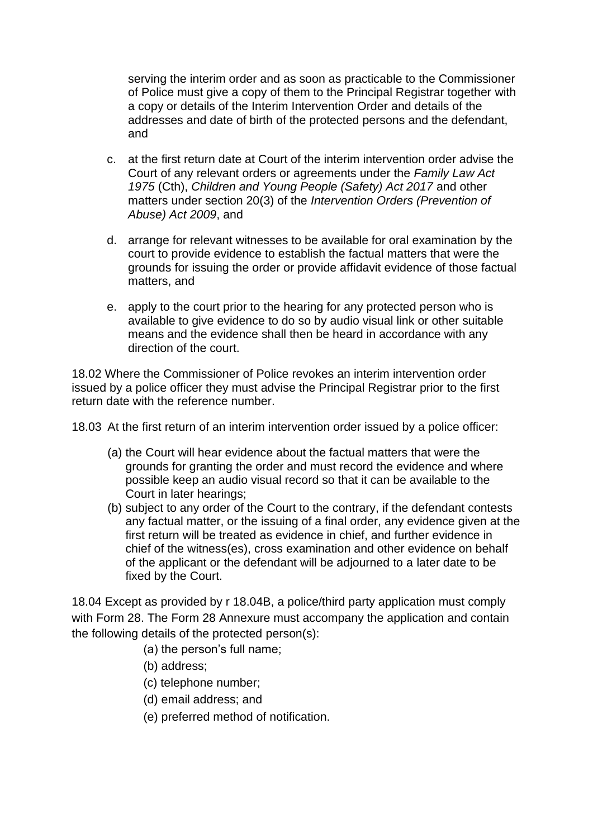serving the interim order and as soon as practicable to the Commissioner of Police must give a copy of them to the Principal Registrar together with a copy or details of the Interim Intervention Order and details of the addresses and date of birth of the protected persons and the defendant, and

- c. at the first return date at Court of the interim intervention order advise the Court of any relevant orders or agreements under the *Family Law Act 1975* (Cth), *Children and Young People (Safety) Act 2017* and other matters under section 20(3) of the *Intervention Orders (Prevention of Abuse) Act 2009*, and
- d. arrange for relevant witnesses to be available for oral examination by the court to provide evidence to establish the factual matters that were the grounds for issuing the order or provide affidavit evidence of those factual matters, and
- e. apply to the court prior to the hearing for any protected person who is available to give evidence to do so by audio visual link or other suitable means and the evidence shall then be heard in accordance with any direction of the court.

18.02 Where the Commissioner of Police revokes an interim intervention order issued by a police officer they must advise the Principal Registrar prior to the first return date with the reference number.

18.03 At the first return of an interim intervention order issued by a police officer:

- (a) the Court will hear evidence about the factual matters that were the grounds for granting the order and must record the evidence and where possible keep an audio visual record so that it can be available to the Court in later hearings;
- (b) subject to any order of the Court to the contrary, if the defendant contests any factual matter, or the issuing of a final order, any evidence given at the first return will be treated as evidence in chief, and further evidence in chief of the witness(es), cross examination and other evidence on behalf of the applicant or the defendant will be adjourned to a later date to be fixed by the Court.

18.04 Except as provided by r 18.04B, a police/third party application must comply with Form 28. The Form 28 Annexure must accompany the application and contain the following details of the protected person(s):

- (a) the person's full name;
- (b) address;
- (c) telephone number;
- (d) email address; and
- (e) preferred method of notification.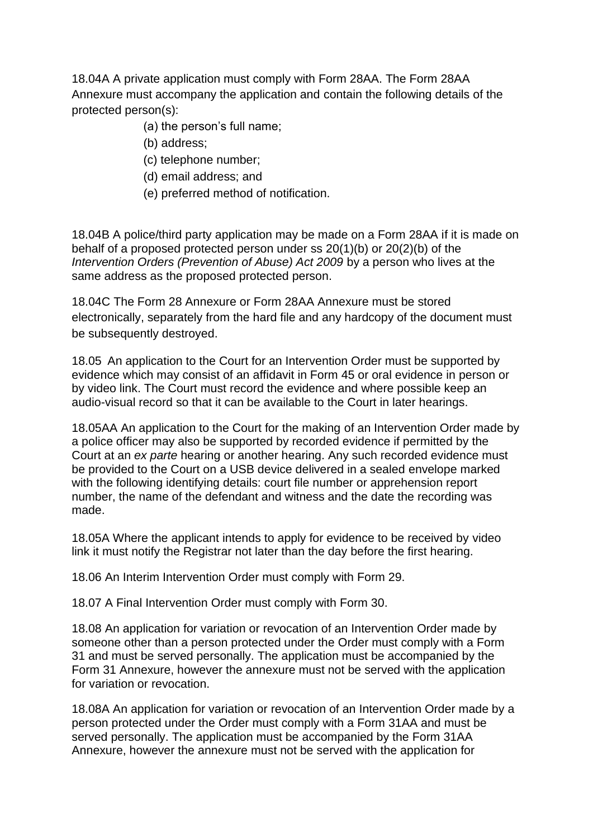18.04A A private application must comply with Form 28AA. The Form 28AA Annexure must accompany the application and contain the following details of the protected person(s):

- (a) the person's full name;
- (b) address;
- (c) telephone number;
- (d) email address; and
- (e) preferred method of notification.

18.04B A police/third party application may be made on a Form 28AA if it is made on behalf of a proposed protected person under ss 20(1)(b) or 20(2)(b) of the *Intervention Orders (Prevention of Abuse) Act 2009* by a person who lives at the same address as the proposed protected person.

18.04C The Form 28 Annexure or Form 28AA Annexure must be stored electronically, separately from the hard file and any hardcopy of the document must be subsequently destroyed.

18.05 An application to the Court for an Intervention Order must be supported by evidence which may consist of an affidavit in Form 45 or oral evidence in person or by video link. The Court must record the evidence and where possible keep an audio-visual record so that it can be available to the Court in later hearings.

18.05AA An application to the Court for the making of an Intervention Order made by a police officer may also be supported by recorded evidence if permitted by the Court at an *ex parte* hearing or another hearing. Any such recorded evidence must be provided to the Court on a USB device delivered in a sealed envelope marked with the following identifying details: court file number or apprehension report number, the name of the defendant and witness and the date the recording was made.

18.05A Where the applicant intends to apply for evidence to be received by video link it must notify the Registrar not later than the day before the first hearing.

18.06 An Interim Intervention Order must comply with Form 29.

18.07 A Final Intervention Order must comply with Form 30.

18.08 An application for variation or revocation of an Intervention Order made by someone other than a person protected under the Order must comply with a Form 31 and must be served personally. The application must be accompanied by the Form 31 Annexure, however the annexure must not be served with the application for variation or revocation.

18.08A An application for variation or revocation of an Intervention Order made by a person protected under the Order must comply with a Form 31AA and must be served personally. The application must be accompanied by the Form 31AA Annexure, however the annexure must not be served with the application for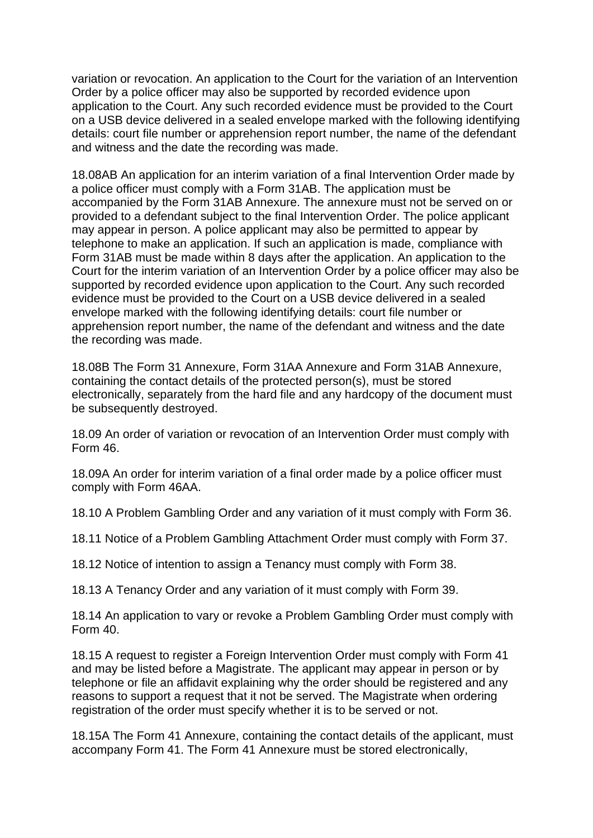variation or revocation. An application to the Court for the variation of an Intervention Order by a police officer may also be supported by recorded evidence upon application to the Court. Any such recorded evidence must be provided to the Court on a USB device delivered in a sealed envelope marked with the following identifying details: court file number or apprehension report number, the name of the defendant and witness and the date the recording was made.

18.08AB An application for an interim variation of a final Intervention Order made by a police officer must comply with a Form 31AB. The application must be accompanied by the Form 31AB Annexure. The annexure must not be served on or provided to a defendant subject to the final Intervention Order. The police applicant may appear in person. A police applicant may also be permitted to appear by telephone to make an application. If such an application is made, compliance with Form 31AB must be made within 8 days after the application. An application to the Court for the interim variation of an Intervention Order by a police officer may also be supported by recorded evidence upon application to the Court. Any such recorded evidence must be provided to the Court on a USB device delivered in a sealed envelope marked with the following identifying details: court file number or apprehension report number, the name of the defendant and witness and the date the recording was made.

18.08B The Form 31 Annexure, Form 31AA Annexure and Form 31AB Annexure, containing the contact details of the protected person(s), must be stored electronically, separately from the hard file and any hardcopy of the document must be subsequently destroyed.

18.09 An order of variation or revocation of an Intervention Order must comply with Form 46.

18.09A An order for interim variation of a final order made by a police officer must comply with Form 46AA.

18.10 A Problem Gambling Order and any variation of it must comply with Form 36.

18.11 Notice of a Problem Gambling Attachment Order must comply with Form 37.

18.12 Notice of intention to assign a Tenancy must comply with Form 38.

18.13 A Tenancy Order and any variation of it must comply with Form 39.

18.14 An application to vary or revoke a Problem Gambling Order must comply with Form 40.

18.15 A request to register a Foreign Intervention Order must comply with Form 41 and may be listed before a Magistrate. The applicant may appear in person or by telephone or file an affidavit explaining why the order should be registered and any reasons to support a request that it not be served. The Magistrate when ordering registration of the order must specify whether it is to be served or not.

18.15A The Form 41 Annexure, containing the contact details of the applicant, must accompany Form 41. The Form 41 Annexure must be stored electronically,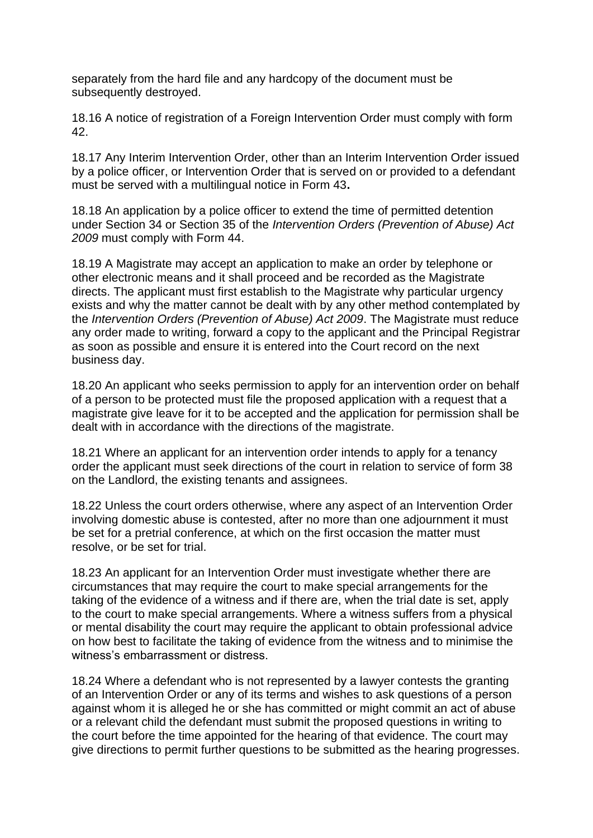separately from the hard file and any hardcopy of the document must be subsequently destroyed.

18.16 A notice of registration of a Foreign Intervention Order must comply with form 42.

18.17 Any Interim Intervention Order, other than an Interim Intervention Order issued by a police officer, or Intervention Order that is served on or provided to a defendant must be served with a multilingual notice in Form 43**.**

18.18 An application by a police officer to extend the time of permitted detention under Section 34 or Section 35 of the *Intervention Orders (Prevention of Abuse) Act 2009* must comply with Form 44.

18.19 A Magistrate may accept an application to make an order by telephone or other electronic means and it shall proceed and be recorded as the Magistrate directs. The applicant must first establish to the Magistrate why particular urgency exists and why the matter cannot be dealt with by any other method contemplated by the *Intervention Orders (Prevention of Abuse) Act 2009*. The Magistrate must reduce any order made to writing, forward a copy to the applicant and the Principal Registrar as soon as possible and ensure it is entered into the Court record on the next business day.

18.20 An applicant who seeks permission to apply for an intervention order on behalf of a person to be protected must file the proposed application with a request that a magistrate give leave for it to be accepted and the application for permission shall be dealt with in accordance with the directions of the magistrate.

18.21 Where an applicant for an intervention order intends to apply for a tenancy order the applicant must seek directions of the court in relation to service of form 38 on the Landlord, the existing tenants and assignees.

18.22 Unless the court orders otherwise, where any aspect of an Intervention Order involving domestic abuse is contested, after no more than one adjournment it must be set for a pretrial conference, at which on the first occasion the matter must resolve, or be set for trial.

18.23 An applicant for an Intervention Order must investigate whether there are circumstances that may require the court to make special arrangements for the taking of the evidence of a witness and if there are, when the trial date is set, apply to the court to make special arrangements. Where a witness suffers from a physical or mental disability the court may require the applicant to obtain professional advice on how best to facilitate the taking of evidence from the witness and to minimise the witness's embarrassment or distress.

18.24 Where a defendant who is not represented by a lawyer contests the granting of an Intervention Order or any of its terms and wishes to ask questions of a person against whom it is alleged he or she has committed or might commit an act of abuse or a relevant child the defendant must submit the proposed questions in writing to the court before the time appointed for the hearing of that evidence. The court may give directions to permit further questions to be submitted as the hearing progresses.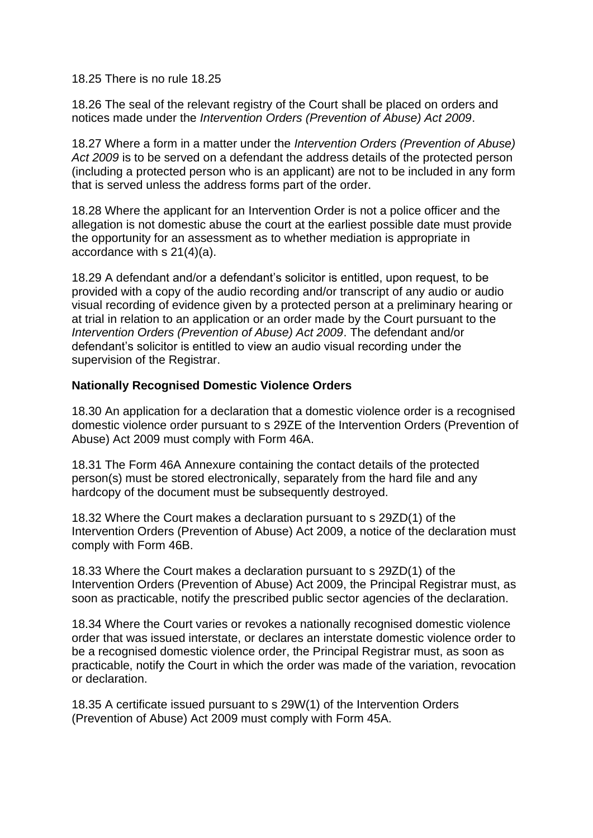18.25 There is no rule 18.25

18.26 The seal of the relevant registry of the Court shall be placed on orders and notices made under the *Intervention Orders (Prevention of Abuse) Act 2009*.

18.27 Where a form in a matter under the *Intervention Orders (Prevention of Abuse) Act 2009* is to be served on a defendant the address details of the protected person (including a protected person who is an applicant) are not to be included in any form that is served unless the address forms part of the order.

18.28 Where the applicant for an Intervention Order is not a police officer and the allegation is not domestic abuse the court at the earliest possible date must provide the opportunity for an assessment as to whether mediation is appropriate in accordance with s 21(4)(a).

18.29 A defendant and/or a defendant's solicitor is entitled, upon request, to be provided with a copy of the audio recording and/or transcript of any audio or audio visual recording of evidence given by a protected person at a preliminary hearing or at trial in relation to an application or an order made by the Court pursuant to the *Intervention Orders (Prevention of Abuse) Act 2009*. The defendant and/or defendant's solicitor is entitled to view an audio visual recording under the supervision of the Registrar.

#### **Nationally Recognised Domestic Violence Orders**

18.30 An application for a declaration that a domestic violence order is a recognised domestic violence order pursuant to s 29ZE of the Intervention Orders (Prevention of Abuse) Act 2009 must comply with Form 46A.

18.31 The Form 46A Annexure containing the contact details of the protected person(s) must be stored electronically, separately from the hard file and any hardcopy of the document must be subsequently destroyed.

18.32 Where the Court makes a declaration pursuant to s 29ZD(1) of the Intervention Orders (Prevention of Abuse) Act 2009, a notice of the declaration must comply with Form 46B.

18.33 Where the Court makes a declaration pursuant to s 29ZD(1) of the Intervention Orders (Prevention of Abuse) Act 2009, the Principal Registrar must, as soon as practicable, notify the prescribed public sector agencies of the declaration.

18.34 Where the Court varies or revokes a nationally recognised domestic violence order that was issued interstate, or declares an interstate domestic violence order to be a recognised domestic violence order, the Principal Registrar must, as soon as practicable, notify the Court in which the order was made of the variation, revocation or declaration.

18.35 A certificate issued pursuant to s 29W(1) of the Intervention Orders (Prevention of Abuse) Act 2009 must comply with Form 45A.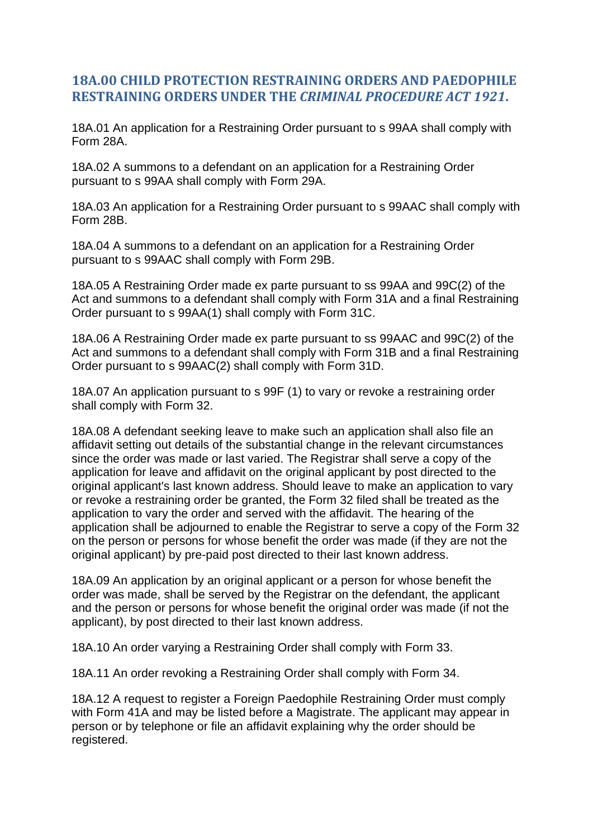# <span id="page-24-0"></span>**18A.00 CHILD PROTECTION RESTRAINING ORDERS AND PAEDOPHILE RESTRAINING ORDERS UNDER THE** *CRIMINAL PROCEDURE ACT 1921***.**

18A.01 An application for a Restraining Order pursuant to s 99AA shall comply with Form 28A.

18A.02 A summons to a defendant on an application for a Restraining Order pursuant to s 99AA shall comply with Form 29A.

18A.03 An application for a Restraining Order pursuant to s 99AAC shall comply with Form 28B.

18A.04 A summons to a defendant on an application for a Restraining Order pursuant to s 99AAC shall comply with Form 29B.

18A.05 A Restraining Order made ex parte pursuant to ss 99AA and 99C(2) of the Act and summons to a defendant shall comply with Form 31A and a final Restraining Order pursuant to s 99AA(1) shall comply with Form 31C.

18A.06 A Restraining Order made ex parte pursuant to ss 99AAC and 99C(2) of the Act and summons to a defendant shall comply with Form 31B and a final Restraining Order pursuant to s 99AAC(2) shall comply with Form 31D.

18A.07 An application pursuant to s 99F (1) to vary or revoke a restraining order shall comply with Form 32.

18A.08 A defendant seeking leave to make such an application shall also file an affidavit setting out details of the substantial change in the relevant circumstances since the order was made or last varied. The Registrar shall serve a copy of the application for leave and affidavit on the original applicant by post directed to the original applicant's last known address. Should leave to make an application to vary or revoke a restraining order be granted, the Form 32 filed shall be treated as the application to vary the order and served with the affidavit. The hearing of the application shall be adjourned to enable the Registrar to serve a copy of the Form 32 on the person or persons for whose benefit the order was made (if they are not the original applicant) by pre-paid post directed to their last known address.

18A.09 An application by an original applicant or a person for whose benefit the order was made, shall be served by the Registrar on the defendant, the applicant and the person or persons for whose benefit the original order was made (if not the applicant), by post directed to their last known address.

18A.10 An order varying a Restraining Order shall comply with Form 33.

18A.11 An order revoking a Restraining Order shall comply with Form 34.

18A.12 A request to register a Foreign Paedophile Restraining Order must comply with Form 41A and may be listed before a Magistrate. The applicant may appear in person or by telephone or file an affidavit explaining why the order should be registered.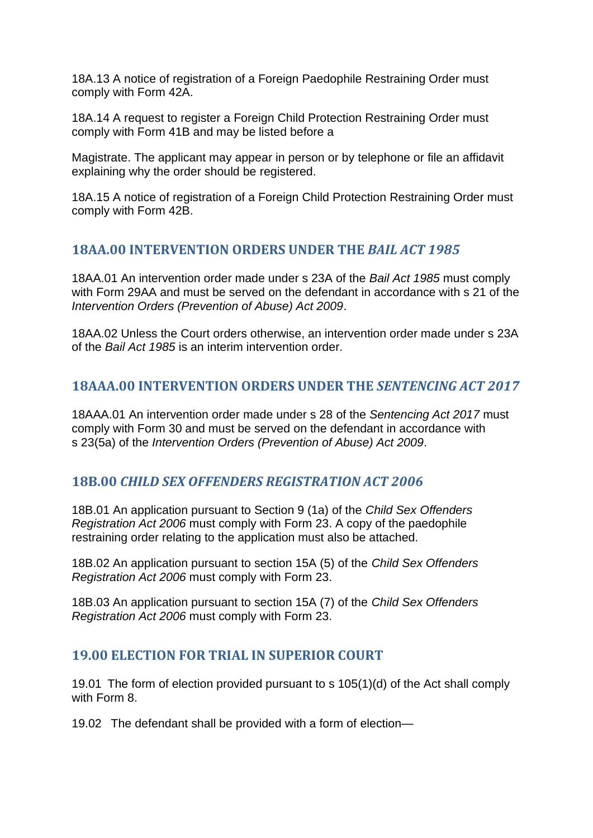18A.13 A notice of registration of a Foreign Paedophile Restraining Order must comply with Form 42A.

18A.14 A request to register a Foreign Child Protection Restraining Order must comply with Form 41B and may be listed before a

Magistrate. The applicant may appear in person or by telephone or file an affidavit explaining why the order should be registered.

18A.15 A notice of registration of a Foreign Child Protection Restraining Order must comply with Form 42B.

### <span id="page-25-0"></span>**18AA.00 INTERVENTION ORDERS UNDER THE** *BAIL ACT 1985*

18AA.01 An intervention order made under s 23A of the *Bail Act 1985* must comply with Form 29AA and must be served on the defendant in accordance with s 21 of the *Intervention Orders (Prevention of Abuse) Act 2009*.

18AA.02 Unless the Court orders otherwise, an intervention order made under s 23A of the *Bail Act 1985* is an interim intervention order.

# <span id="page-25-1"></span>**18AAA.00 INTERVENTION ORDERS UNDER THE** *SENTENCING ACT 2017*

18AAA.01 An intervention order made under s 28 of the *Sentencing Act 2017* must comply with Form 30 and must be served on the defendant in accordance with s 23(5a) of the *Intervention Orders (Prevention of Abuse) Act 2009*.

#### <span id="page-25-2"></span>**18B.00** *CHILD SEX OFFENDERS REGISTRATION ACT 2006*

18B.01 An application pursuant to Section 9 (1a) of the *Child Sex Offenders Registration Act 2006* must comply with Form 23. A copy of the paedophile restraining order relating to the application must also be attached.

18B.02 An application pursuant to section 15A (5) of the *Child Sex Offenders Registration Act 2006* must comply with Form 23.

18B.03 An application pursuant to section 15A (7) of the *Child Sex Offenders Registration Act 2006* must comply with Form 23.

#### <span id="page-25-3"></span>**19.00 ELECTION FOR TRIAL IN SUPERIOR COURT**

19.01 The form of election provided pursuant to s 105(1)(d) of the Act shall comply with Form 8.

19.02 The defendant shall be provided with a form of election—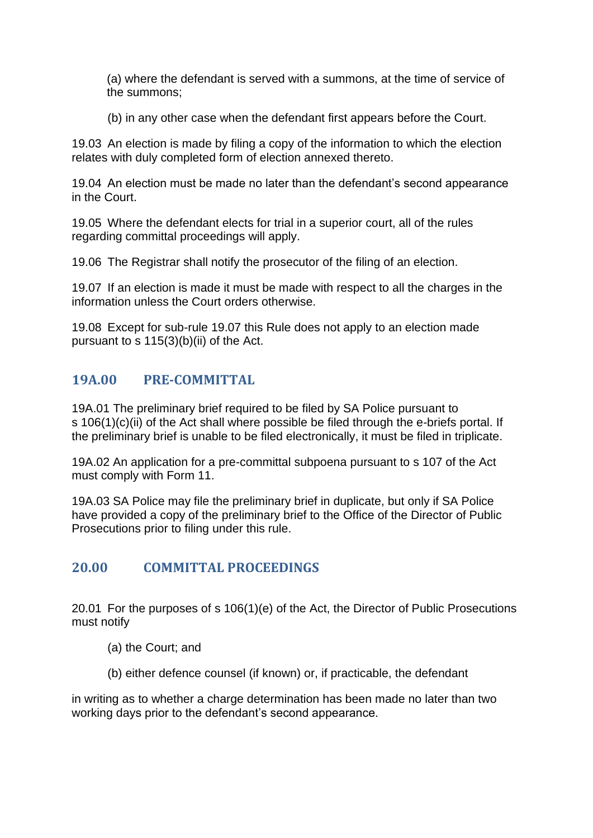(a) where the defendant is served with a summons, at the time of service of the summons;

(b) in any other case when the defendant first appears before the Court.

19.03 An election is made by filing a copy of the information to which the election relates with duly completed form of election annexed thereto.

19.04 An election must be made no later than the defendant's second appearance in the Court.

19.05 Where the defendant elects for trial in a superior court, all of the rules regarding committal proceedings will apply.

19.06 The Registrar shall notify the prosecutor of the filing of an election.

19.07 If an election is made it must be made with respect to all the charges in the information unless the Court orders otherwise.

19.08 Except for sub-rule 19.07 this Rule does not apply to an election made pursuant to s 115(3)(b)(ii) of the Act.

# <span id="page-26-0"></span>**19A.00 PRE-COMMITTAL**

19A.01 The preliminary brief required to be filed by SA Police pursuant to s 106(1)(c)(ii) of the Act shall where possible be filed through the e-briefs portal. If the preliminary brief is unable to be filed electronically, it must be filed in triplicate.

19A.02 An application for a pre-committal subpoena pursuant to s 107 of the Act must comply with Form 11.

19A.03 SA Police may file the preliminary brief in duplicate, but only if SA Police have provided a copy of the preliminary brief to the Office of the Director of Public Prosecutions prior to filing under this rule.

# <span id="page-26-1"></span>**20.00 COMMITTAL PROCEEDINGS**

20.01 For the purposes of s 106(1)(e) of the Act, the Director of Public Prosecutions must notify

- (a) the Court; and
- (b) either defence counsel (if known) or, if practicable, the defendant

in writing as to whether a charge determination has been made no later than two working days prior to the defendant's second appearance.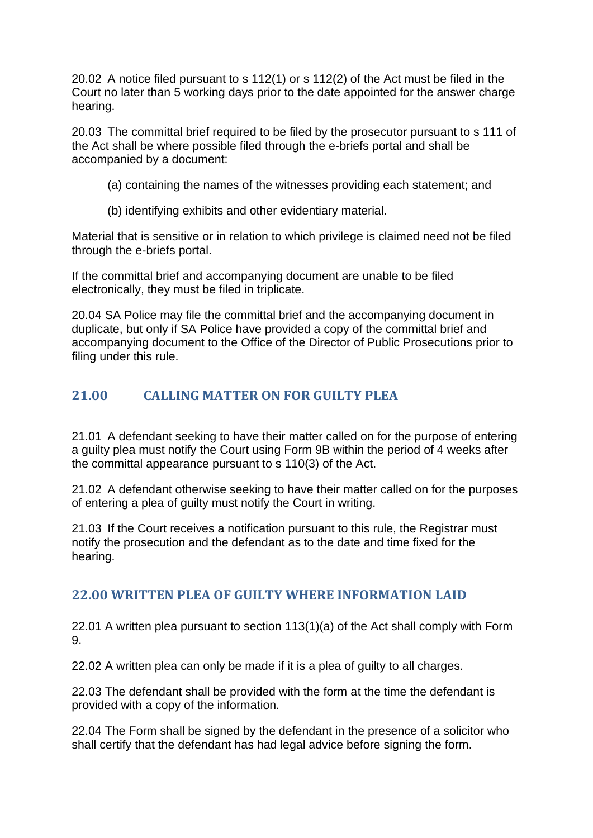20.02 A notice filed pursuant to s 112(1) or s 112(2) of the Act must be filed in the Court no later than 5 working days prior to the date appointed for the answer charge hearing.

20.03 The committal brief required to be filed by the prosecutor pursuant to s 111 of the Act shall be where possible filed through the e-briefs portal and shall be accompanied by a document:

- (a) containing the names of the witnesses providing each statement; and
- (b) identifying exhibits and other evidentiary material.

Material that is sensitive or in relation to which privilege is claimed need not be filed through the e-briefs portal.

If the committal brief and accompanying document are unable to be filed electronically, they must be filed in triplicate.

20.04 SA Police may file the committal brief and the accompanying document in duplicate, but only if SA Police have provided a copy of the committal brief and accompanying document to the Office of the Director of Public Prosecutions prior to filing under this rule.

# <span id="page-27-0"></span>**21.00 CALLING MATTER ON FOR GUILTY PLEA**

21.01 A defendant seeking to have their matter called on for the purpose of entering a guilty plea must notify the Court using Form 9B within the period of 4 weeks after the committal appearance pursuant to s 110(3) of the Act.

21.02 A defendant otherwise seeking to have their matter called on for the purposes of entering a plea of guilty must notify the Court in writing.

21.03 If the Court receives a notification pursuant to this rule, the Registrar must notify the prosecution and the defendant as to the date and time fixed for the hearing.

# <span id="page-27-1"></span>**22.00 WRITTEN PLEA OF GUILTY WHERE INFORMATION LAID**

22.01 A written plea pursuant to section 113(1)(a) of the Act shall comply with Form 9.

22.02 A written plea can only be made if it is a plea of guilty to all charges.

22.03 The defendant shall be provided with the form at the time the defendant is provided with a copy of the information.

22.04 The Form shall be signed by the defendant in the presence of a solicitor who shall certify that the defendant has had legal advice before signing the form.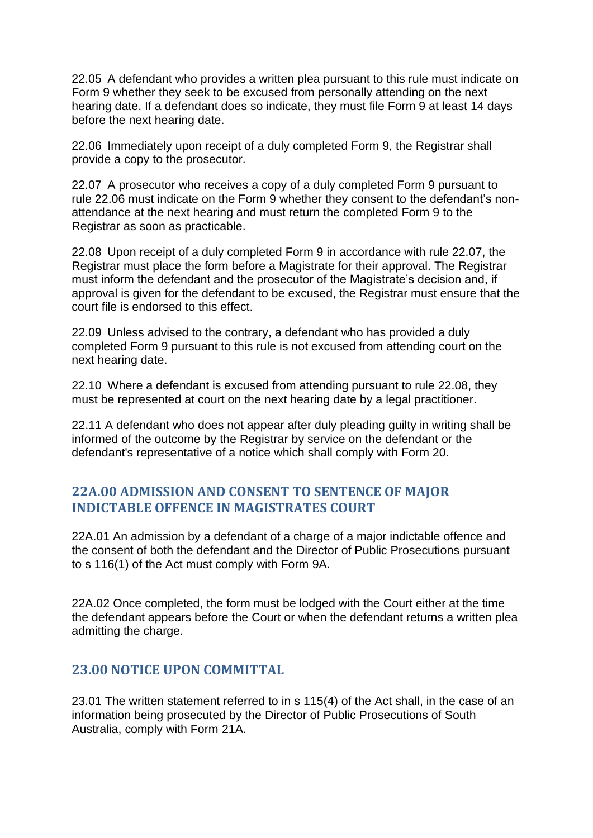22.05 A defendant who provides a written plea pursuant to this rule must indicate on Form 9 whether they seek to be excused from personally attending on the next hearing date. If a defendant does so indicate, they must file Form 9 at least 14 days before the next hearing date.

22.06 Immediately upon receipt of a duly completed Form 9, the Registrar shall provide a copy to the prosecutor.

22.07 A prosecutor who receives a copy of a duly completed Form 9 pursuant to rule 22.06 must indicate on the Form 9 whether they consent to the defendant's nonattendance at the next hearing and must return the completed Form 9 to the Registrar as soon as practicable.

22.08 Upon receipt of a duly completed Form 9 in accordance with rule 22.07, the Registrar must place the form before a Magistrate for their approval. The Registrar must inform the defendant and the prosecutor of the Magistrate's decision and, if approval is given for the defendant to be excused, the Registrar must ensure that the court file is endorsed to this effect.

22.09 Unless advised to the contrary, a defendant who has provided a duly completed Form 9 pursuant to this rule is not excused from attending court on the next hearing date.

22.10 Where a defendant is excused from attending pursuant to rule 22.08, they must be represented at court on the next hearing date by a legal practitioner.

22.11 A defendant who does not appear after duly pleading guilty in writing shall be informed of the outcome by the Registrar by service on the defendant or the defendant's representative of a notice which shall comply with Form 20.

# <span id="page-28-0"></span>**22A.00 ADMISSION AND CONSENT TO SENTENCE OF MAJOR INDICTABLE OFFENCE IN MAGISTRATES COURT**

22A.01 An admission by a defendant of a charge of a major indictable offence and the consent of both the defendant and the Director of Public Prosecutions pursuant to s 116(1) of the Act must comply with Form 9A.

22A.02 Once completed, the form must be lodged with the Court either at the time the defendant appears before the Court or when the defendant returns a written plea admitting the charge.

### <span id="page-28-1"></span>**23.00 NOTICE UPON COMMITTAL**

23.01 The written statement referred to in s 115(4) of the Act shall, in the case of an information being prosecuted by the Director of Public Prosecutions of South Australia, comply with Form 21A.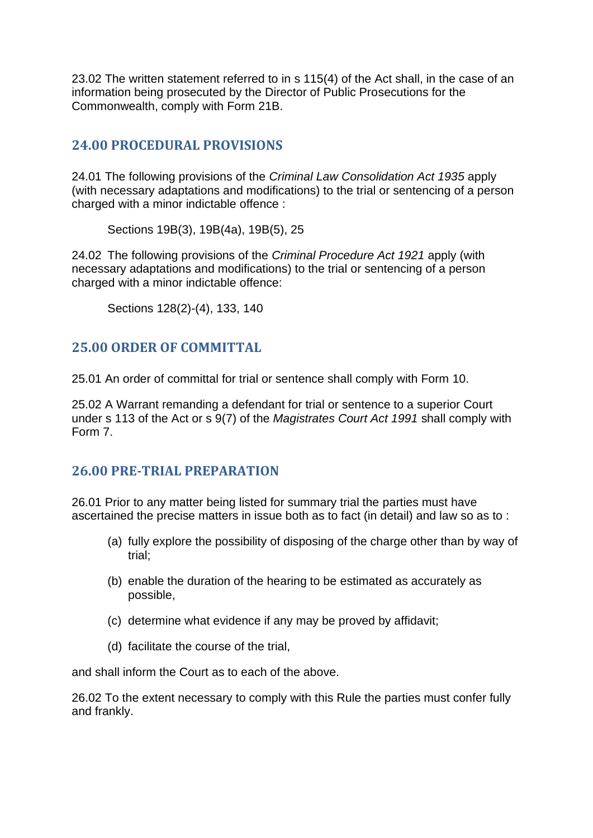23.02 The written statement referred to in s 115(4) of the Act shall, in the case of an information being prosecuted by the Director of Public Prosecutions for the Commonwealth, comply with Form 21B.

# <span id="page-29-0"></span>**24.00 PROCEDURAL PROVISIONS**

24.01 The following provisions of the *Criminal Law Consolidation Act 1935* apply (with necessary adaptations and modifications) to the trial or sentencing of a person charged with a minor indictable offence :

Sections 19B(3), 19B(4a), 19B(5), 25

24.02 The following provisions of the *Criminal Procedure Act 1921* apply (with necessary adaptations and modifications) to the trial or sentencing of a person charged with a minor indictable offence:

Sections 128(2)-(4), 133, 140

### <span id="page-29-1"></span>**25.00 ORDER OF COMMITTAL**

25.01 An order of committal for trial or sentence shall comply with Form 10.

25.02 A Warrant remanding a defendant for trial or sentence to a superior Court under s 113 of the Act or s 9(7) of the *Magistrates Court Act 1991* shall comply with Form 7.

# <span id="page-29-2"></span>**26.00 PRE-TRIAL PREPARATION**

26.01 Prior to any matter being listed for summary trial the parties must have ascertained the precise matters in issue both as to fact (in detail) and law so as to :

- (a) fully explore the possibility of disposing of the charge other than by way of trial;
- (b) enable the duration of the hearing to be estimated as accurately as possible,
- (c) determine what evidence if any may be proved by affidavit;
- (d) facilitate the course of the trial,

and shall inform the Court as to each of the above.

26.02 To the extent necessary to comply with this Rule the parties must confer fully and frankly.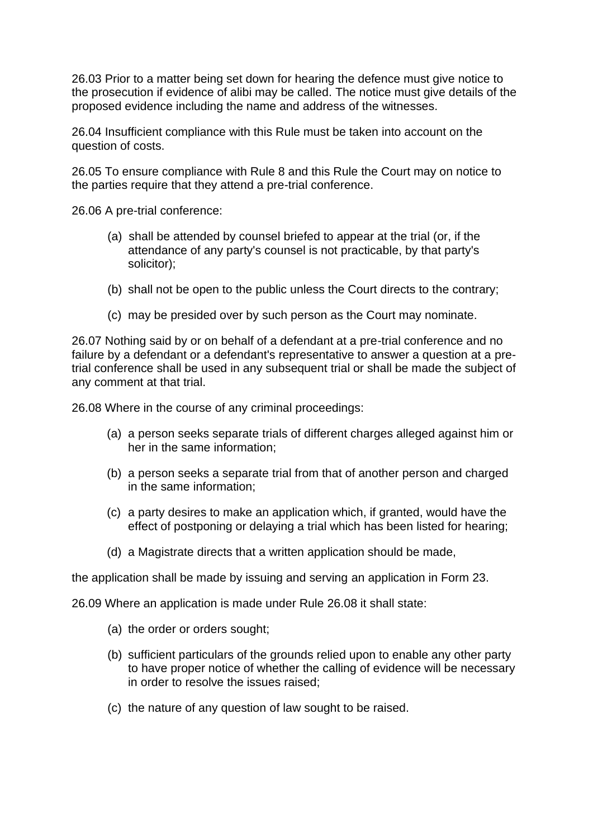26.03 Prior to a matter being set down for hearing the defence must give notice to the prosecution if evidence of alibi may be called. The notice must give details of the proposed evidence including the name and address of the witnesses.

26.04 Insufficient compliance with this Rule must be taken into account on the question of costs.

26.05 To ensure compliance with Rule 8 and this Rule the Court may on notice to the parties require that they attend a pre-trial conference.

26.06 A pre-trial conference:

- (a) shall be attended by counsel briefed to appear at the trial (or, if the attendance of any party's counsel is not practicable, by that party's solicitor);
- (b) shall not be open to the public unless the Court directs to the contrary;
- (c) may be presided over by such person as the Court may nominate.

26.07 Nothing said by or on behalf of a defendant at a pre-trial conference and no failure by a defendant or a defendant's representative to answer a question at a pretrial conference shall be used in any subsequent trial or shall be made the subject of any comment at that trial.

26.08 Where in the course of any criminal proceedings:

- (a) a person seeks separate trials of different charges alleged against him or her in the same information;
- (b) a person seeks a separate trial from that of another person and charged in the same information;
- (c) a party desires to make an application which, if granted, would have the effect of postponing or delaying a trial which has been listed for hearing;
- (d) a Magistrate directs that a written application should be made,

the application shall be made by issuing and serving an application in Form 23.

26.09 Where an application is made under Rule 26.08 it shall state:

- (a) the order or orders sought;
- (b) sufficient particulars of the grounds relied upon to enable any other party to have proper notice of whether the calling of evidence will be necessary in order to resolve the issues raised;
- (c) the nature of any question of law sought to be raised.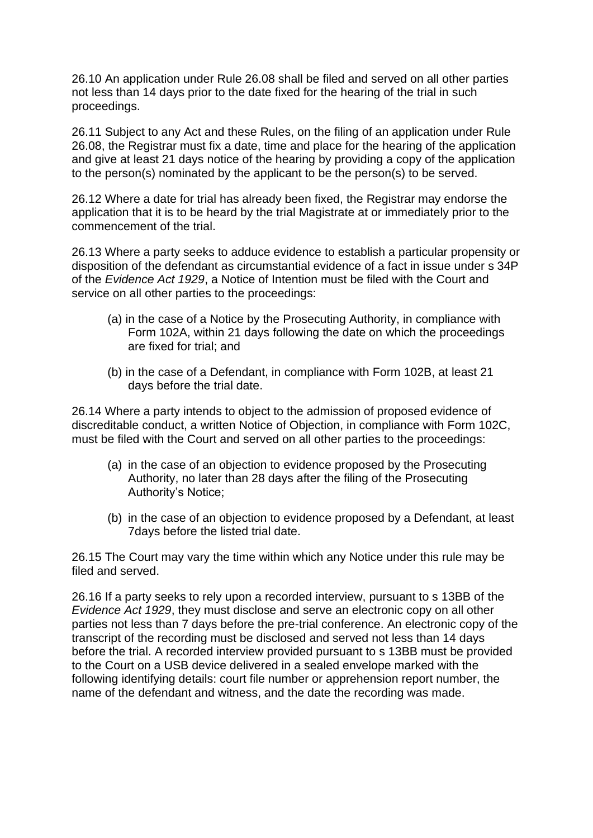26.10 An application under Rule 26.08 shall be filed and served on all other parties not less than 14 days prior to the date fixed for the hearing of the trial in such proceedings.

26.11 Subject to any Act and these Rules, on the filing of an application under Rule 26.08, the Registrar must fix a date, time and place for the hearing of the application and give at least 21 days notice of the hearing by providing a copy of the application to the person(s) nominated by the applicant to be the person(s) to be served.

26.12 Where a date for trial has already been fixed, the Registrar may endorse the application that it is to be heard by the trial Magistrate at or immediately prior to the commencement of the trial.

26.13 Where a party seeks to adduce evidence to establish a particular propensity or disposition of the defendant as circumstantial evidence of a fact in issue under s 34P of the *Evidence Act 1929*, a Notice of Intention must be filed with the Court and service on all other parties to the proceedings:

- (a) in the case of a Notice by the Prosecuting Authority, in compliance with Form 102A, within 21 days following the date on which the proceedings are fixed for trial; and
- (b) in the case of a Defendant, in compliance with Form 102B, at least 21 days before the trial date.

26.14 Where a party intends to object to the admission of proposed evidence of discreditable conduct, a written Notice of Objection, in compliance with Form 102C, must be filed with the Court and served on all other parties to the proceedings:

- (a) in the case of an objection to evidence proposed by the Prosecuting Authority, no later than 28 days after the filing of the Prosecuting Authority's Notice;
- (b) in the case of an objection to evidence proposed by a Defendant, at least 7days before the listed trial date.

26.15 The Court may vary the time within which any Notice under this rule may be filed and served.

26.16 If a party seeks to rely upon a recorded interview, pursuant to s 13BB of the *Evidence Act 1929*, they must disclose and serve an electronic copy on all other parties not less than 7 days before the pre-trial conference. An electronic copy of the transcript of the recording must be disclosed and served not less than 14 days before the trial. A recorded interview provided pursuant to s 13BB must be provided to the Court on a USB device delivered in a sealed envelope marked with the following identifying details: court file number or apprehension report number, the name of the defendant and witness, and the date the recording was made.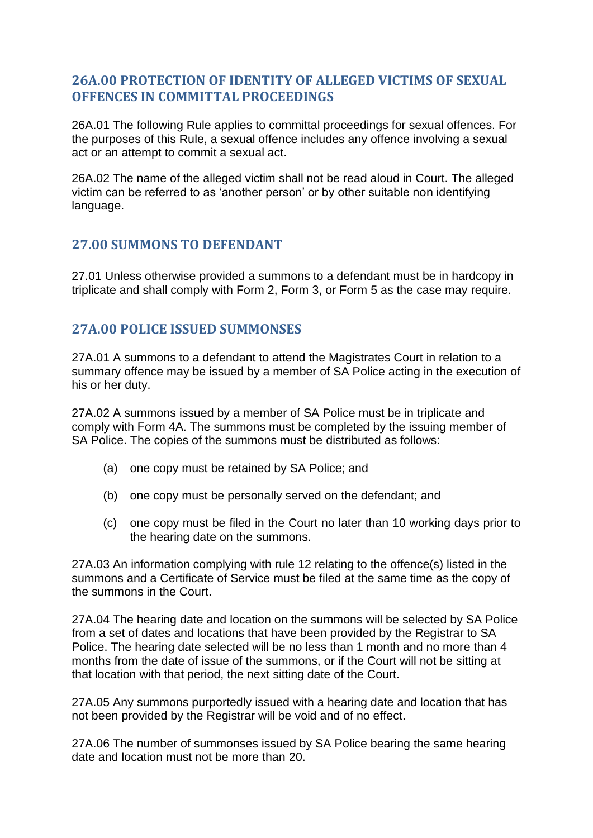# <span id="page-32-0"></span>**26A.00 PROTECTION OF IDENTITY OF ALLEGED VICTIMS OF SEXUAL OFFENCES IN COMMITTAL PROCEEDINGS**

26A.01 The following Rule applies to committal proceedings for sexual offences. For the purposes of this Rule, a sexual offence includes any offence involving a sexual act or an attempt to commit a sexual act.

26A.02 The name of the alleged victim shall not be read aloud in Court. The alleged victim can be referred to as 'another person' or by other suitable non identifying language.

### <span id="page-32-1"></span>**27.00 SUMMONS TO DEFENDANT**

27.01 Unless otherwise provided a summons to a defendant must be in hardcopy in triplicate and shall comply with Form 2, Form 3, or Form 5 as the case may require.

### <span id="page-32-2"></span>**27A.00 POLICE ISSUED SUMMONSES**

27A.01 A summons to a defendant to attend the Magistrates Court in relation to a summary offence may be issued by a member of SA Police acting in the execution of his or her duty.

27A.02 A summons issued by a member of SA Police must be in triplicate and comply with Form 4A. The summons must be completed by the issuing member of SA Police. The copies of the summons must be distributed as follows:

- (a) one copy must be retained by SA Police; and
- (b) one copy must be personally served on the defendant; and
- (c) one copy must be filed in the Court no later than 10 working days prior to the hearing date on the summons.

27A.03 An information complying with rule 12 relating to the offence(s) listed in the summons and a Certificate of Service must be filed at the same time as the copy of the summons in the Court.

27A.04 The hearing date and location on the summons will be selected by SA Police from a set of dates and locations that have been provided by the Registrar to SA Police. The hearing date selected will be no less than 1 month and no more than 4 months from the date of issue of the summons, or if the Court will not be sitting at that location with that period, the next sitting date of the Court.

27A.05 Any summons purportedly issued with a hearing date and location that has not been provided by the Registrar will be void and of no effect.

27A.06 The number of summonses issued by SA Police bearing the same hearing date and location must not be more than 20.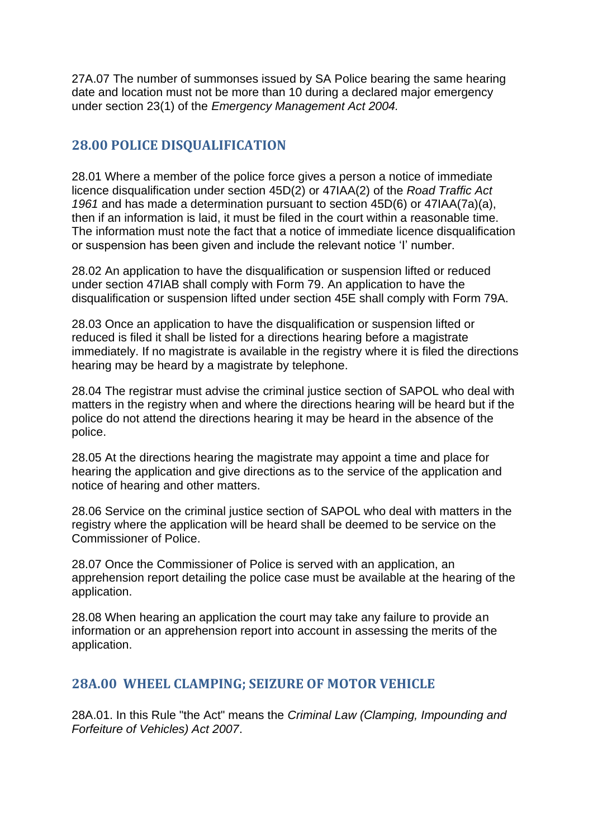27A.07 The number of summonses issued by SA Police bearing the same hearing date and location must not be more than 10 during a declared major emergency under section 23(1) of the *Emergency Management Act 2004.*

# <span id="page-33-0"></span>**28.00 POLICE DISQUALIFICATION**

28.01 Where a member of the police force gives a person a notice of immediate licence disqualification under section 45D(2) or 47IAA(2) of the *Road Traffic Act 1961* and has made a determination pursuant to section 45D(6) or 47IAA(7a)(a), then if an information is laid, it must be filed in the court within a reasonable time. The information must note the fact that a notice of immediate licence disqualification or suspension has been given and include the relevant notice 'I' number.

28.02 An application to have the disqualification or suspension lifted or reduced under section 47IAB shall comply with Form 79. An application to have the disqualification or suspension lifted under section 45E shall comply with Form 79A.

28.03 Once an application to have the disqualification or suspension lifted or reduced is filed it shall be listed for a directions hearing before a magistrate immediately. If no magistrate is available in the registry where it is filed the directions hearing may be heard by a magistrate by telephone.

28.04 The registrar must advise the criminal justice section of SAPOL who deal with matters in the registry when and where the directions hearing will be heard but if the police do not attend the directions hearing it may be heard in the absence of the police.

28.05 At the directions hearing the magistrate may appoint a time and place for hearing the application and give directions as to the service of the application and notice of hearing and other matters.

28.06 Service on the criminal justice section of SAPOL who deal with matters in the registry where the application will be heard shall be deemed to be service on the Commissioner of Police.

28.07 Once the Commissioner of Police is served with an application, an apprehension report detailing the police case must be available at the hearing of the application.

28.08 When hearing an application the court may take any failure to provide an information or an apprehension report into account in assessing the merits of the application.

# <span id="page-33-1"></span>**28A.00 WHEEL CLAMPING; SEIZURE OF MOTOR VEHICLE**

28A.01. In this Rule "the Act" means the *Criminal Law (Clamping, Impounding and Forfeiture of Vehicles) Act 2007*.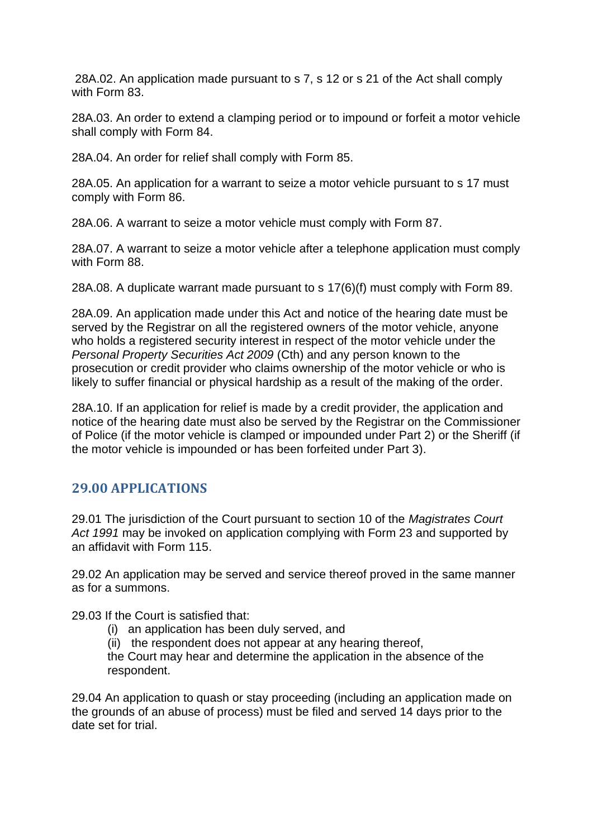28A.02. An application made pursuant to s 7, s 12 or s 21 of the Act shall comply with Form 83.

28A.03. An order to extend a clamping period or to impound or forfeit a motor vehicle shall comply with Form 84.

28A.04. An order for relief shall comply with Form 85.

28A.05. An application for a warrant to seize a motor vehicle pursuant to s 17 must comply with Form 86.

28A.06. A warrant to seize a motor vehicle must comply with Form 87.

28A.07. A warrant to seize a motor vehicle after a telephone application must comply with Form 88.

28A.08. A duplicate warrant made pursuant to s 17(6)(f) must comply with Form 89.

28A.09. An application made under this Act and notice of the hearing date must be served by the Registrar on all the registered owners of the motor vehicle, anyone who holds a registered security interest in respect of the motor vehicle under the *Personal Property Securities Act 2009* (Cth) and any person known to the prosecution or credit provider who claims ownership of the motor vehicle or who is likely to suffer financial or physical hardship as a result of the making of the order.

28A.10. If an application for relief is made by a credit provider, the application and notice of the hearing date must also be served by the Registrar on the Commissioner of Police (if the motor vehicle is clamped or impounded under Part 2) or the Sheriff (if the motor vehicle is impounded or has been forfeited under Part 3).

# <span id="page-34-0"></span>**29.00 APPLICATIONS**

29.01 The jurisdiction of the Court pursuant to section 10 of the *Magistrates Court Act 1991* may be invoked on application complying with Form 23 and supported by an affidavit with Form 115.

29.02 An application may be served and service thereof proved in the same manner as for a summons.

29.03 If the Court is satisfied that:

- (i) an application has been duly served, and
- (ii) the respondent does not appear at any hearing thereof,

the Court may hear and determine the application in the absence of the respondent.

29.04 An application to quash or stay proceeding (including an application made on the grounds of an abuse of process) must be filed and served 14 days prior to the date set for trial.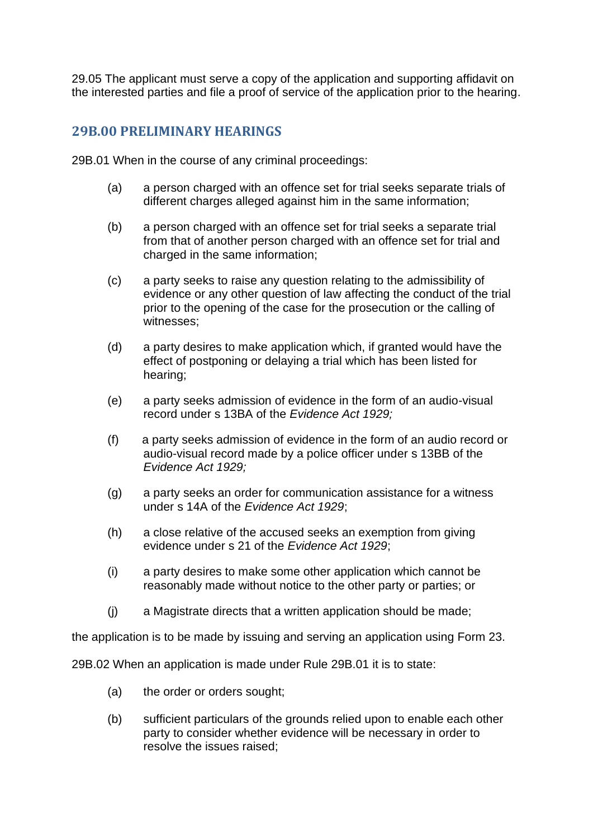29.05 The applicant must serve a copy of the application and supporting affidavit on the interested parties and file a proof of service of the application prior to the hearing.

### <span id="page-35-0"></span>**29B.00 PRELIMINARY HEARINGS**

29B.01 When in the course of any criminal proceedings:

- (a) a person charged with an offence set for trial seeks separate trials of different charges alleged against him in the same information;
- (b) a person charged with an offence set for trial seeks a separate trial from that of another person charged with an offence set for trial and charged in the same information;
- (c) a party seeks to raise any question relating to the admissibility of evidence or any other question of law affecting the conduct of the trial prior to the opening of the case for the prosecution or the calling of witnesses;
- (d) a party desires to make application which, if granted would have the effect of postponing or delaying a trial which has been listed for hearing;
- (e) a party seeks admission of evidence in the form of an audio-visual record under s 13BA of the *Evidence Act 1929;*
- (f) a party seeks admission of evidence in the form of an audio record or audio-visual record made by a police officer under s 13BB of the *Evidence Act 1929;*
- (g) a party seeks an order for communication assistance for a witness under s 14A of the *Evidence Act 1929*;
- (h) a close relative of the accused seeks an exemption from giving evidence under s 21 of the *Evidence Act 1929*;
- (i) a party desires to make some other application which cannot be reasonably made without notice to the other party or parties; or
- (j) a Magistrate directs that a written application should be made;

the application is to be made by issuing and serving an application using Form 23.

29B.02 When an application is made under Rule 29B.01 it is to state:

- (a) the order or orders sought;
- (b) sufficient particulars of the grounds relied upon to enable each other party to consider whether evidence will be necessary in order to resolve the issues raised;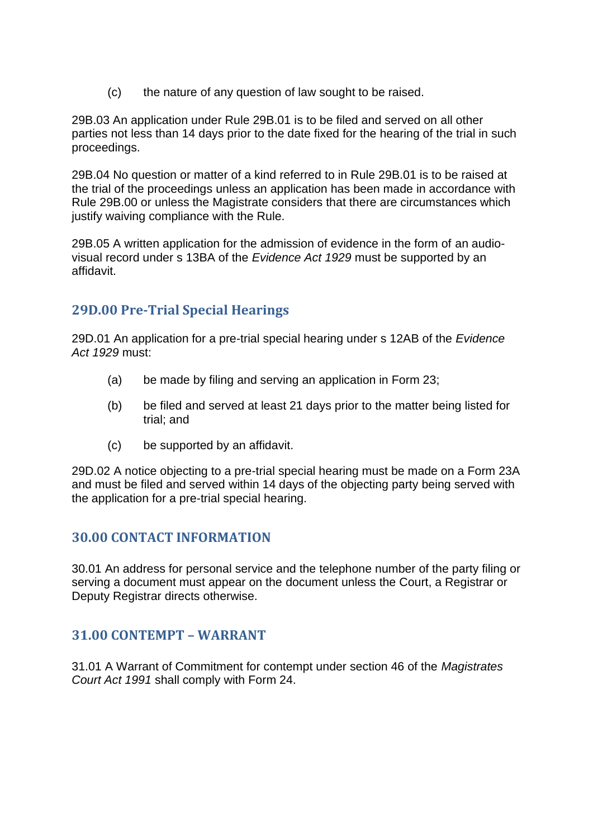(c) the nature of any question of law sought to be raised.

29B.03 An application under Rule 29B.01 is to be filed and served on all other parties not less than 14 days prior to the date fixed for the hearing of the trial in such proceedings.

29B.04 No question or matter of a kind referred to in Rule 29B.01 is to be raised at the trial of the proceedings unless an application has been made in accordance with Rule 29B.00 or unless the Magistrate considers that there are circumstances which justify waiving compliance with the Rule.

29B.05 A written application for the admission of evidence in the form of an audiovisual record under s 13BA of the *Evidence Act 1929* must be supported by an affidavit.

# <span id="page-36-0"></span>**29D.00 Pre-Trial Special Hearings**

29D.01 An application for a pre-trial special hearing under s 12AB of the *Evidence Act 1929* must:

- (a) be made by filing and serving an application in Form 23;
- (b) be filed and served at least 21 days prior to the matter being listed for trial; and
- (c) be supported by an affidavit.

29D.02 A notice objecting to a pre-trial special hearing must be made on a Form 23A and must be filed and served within 14 days of the objecting party being served with the application for a pre-trial special hearing.

# <span id="page-36-1"></span>**30.00 CONTACT INFORMATION**

30.01 An address for personal service and the telephone number of the party filing or serving a document must appear on the document unless the Court, a Registrar or Deputy Registrar directs otherwise.

# <span id="page-36-2"></span>**31.00 CONTEMPT – WARRANT**

31.01 A Warrant of Commitment for contempt under section 46 of the *Magistrates Court Act 1991* shall comply with Form 24.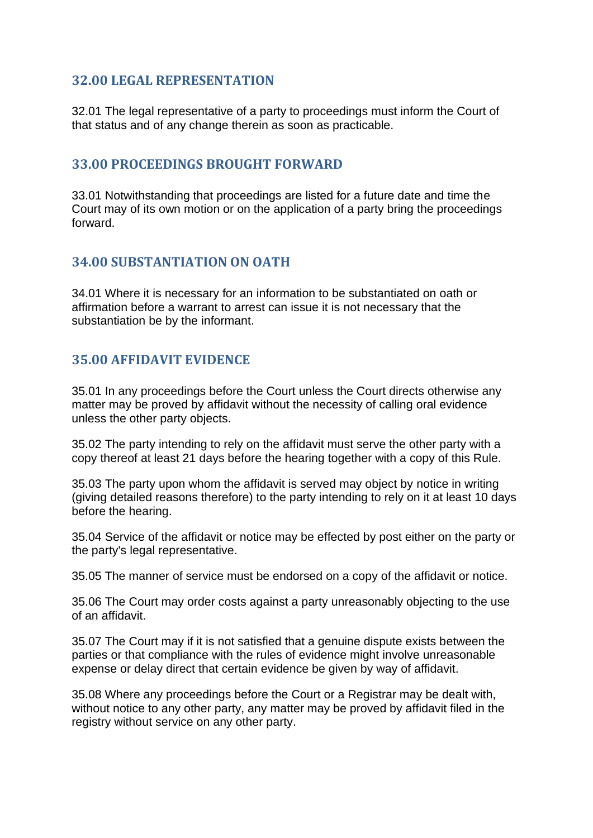# <span id="page-37-0"></span>**32.00 LEGAL REPRESENTATION**

32.01 The legal representative of a party to proceedings must inform the Court of that status and of any change therein as soon as practicable.

### <span id="page-37-1"></span>**33.00 PROCEEDINGS BROUGHT FORWARD**

33.01 Notwithstanding that proceedings are listed for a future date and time the Court may of its own motion or on the application of a party bring the proceedings forward.

#### <span id="page-37-2"></span>**34.00 SUBSTANTIATION ON OATH**

34.01 Where it is necessary for an information to be substantiated on oath or affirmation before a warrant to arrest can issue it is not necessary that the substantiation be by the informant.

# <span id="page-37-3"></span>**35.00 AFFIDAVIT EVIDENCE**

35.01 In any proceedings before the Court unless the Court directs otherwise any matter may be proved by affidavit without the necessity of calling oral evidence unless the other party objects.

35.02 The party intending to rely on the affidavit must serve the other party with a copy thereof at least 21 days before the hearing together with a copy of this Rule.

35.03 The party upon whom the affidavit is served may object by notice in writing (giving detailed reasons therefore) to the party intending to rely on it at least 10 days before the hearing.

35.04 Service of the affidavit or notice may be effected by post either on the party or the party's legal representative.

35.05 The manner of service must be endorsed on a copy of the affidavit or notice.

35.06 The Court may order costs against a party unreasonably objecting to the use of an affidavit.

35.07 The Court may if it is not satisfied that a genuine dispute exists between the parties or that compliance with the rules of evidence might involve unreasonable expense or delay direct that certain evidence be given by way of affidavit.

35.08 Where any proceedings before the Court or a Registrar may be dealt with, without notice to any other party, any matter may be proved by affidavit filed in the registry without service on any other party.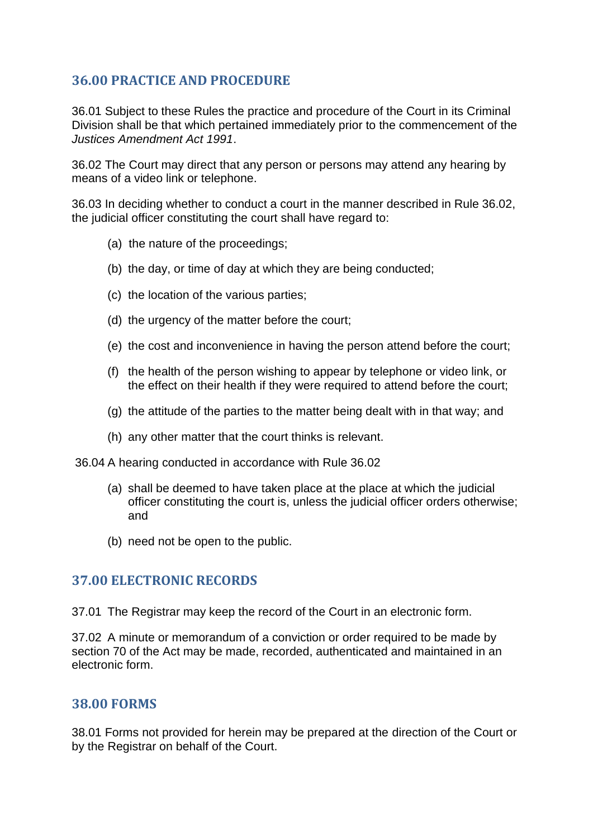# <span id="page-38-0"></span>**36.00 PRACTICE AND PROCEDURE**

36.01 Subject to these Rules the practice and procedure of the Court in its Criminal Division shall be that which pertained immediately prior to the commencement of the *Justices Amendment Act 1991*.

36.02 The Court may direct that any person or persons may attend any hearing by means of a video link or telephone.

36.03 In deciding whether to conduct a court in the manner described in Rule 36.02, the judicial officer constituting the court shall have regard to:

- (a) the nature of the proceedings;
- (b) the day, or time of day at which they are being conducted;
- (c) the location of the various parties;
- (d) the urgency of the matter before the court;
- (e) the cost and inconvenience in having the person attend before the court;
- (f) the health of the person wishing to appear by telephone or video link, or the effect on their health if they were required to attend before the court;
- (g) the attitude of the parties to the matter being dealt with in that way; and
- (h) any other matter that the court thinks is relevant.

36.04 A hearing conducted in accordance with Rule 36.02

- (a) shall be deemed to have taken place at the place at which the judicial officer constituting the court is, unless the judicial officer orders otherwise; and
- (b) need not be open to the public.

#### <span id="page-38-1"></span>**37.00 ELECTRONIC RECORDS**

37.01 The Registrar may keep the record of the Court in an electronic form.

37.02 A minute or memorandum of a conviction or order required to be made by section 70 of the Act may be made, recorded, authenticated and maintained in an electronic form.

#### <span id="page-38-2"></span>**38.00 FORMS**

38.01 Forms not provided for herein may be prepared at the direction of the Court or by the Registrar on behalf of the Court.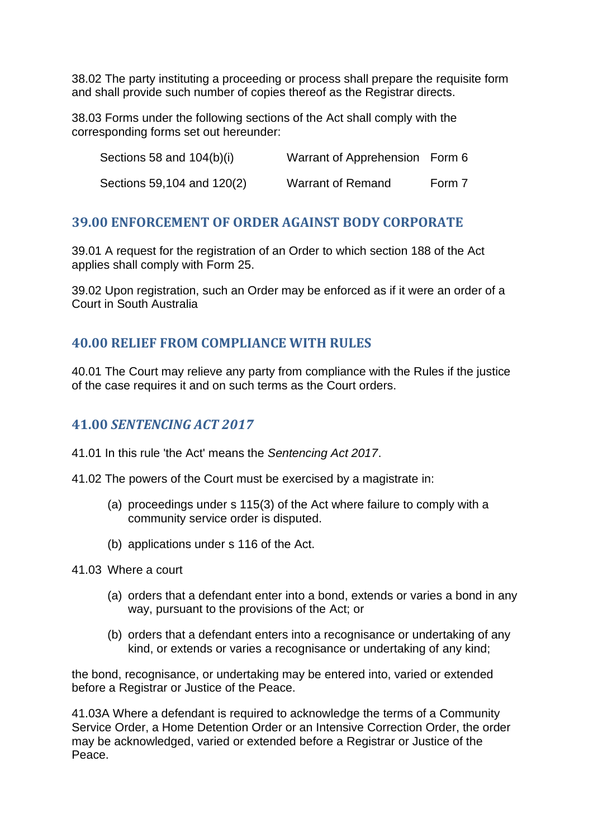38.02 The party instituting a proceeding or process shall prepare the requisite form and shall provide such number of copies thereof as the Registrar directs.

38.03 Forms under the following sections of the Act shall comply with the corresponding forms set out hereunder:

| Sections 58 and 104(b)(i)  | Warrant of Apprehension Form 6 |        |
|----------------------------|--------------------------------|--------|
| Sections 59,104 and 120(2) | Warrant of Remand              | Form 7 |

### <span id="page-39-0"></span>**39.00 ENFORCEMENT OF ORDER AGAINST BODY CORPORATE**

39.01 A request for the registration of an Order to which section 188 of the Act applies shall comply with Form 25.

39.02 Upon registration, such an Order may be enforced as if it were an order of a Court in South Australia

# <span id="page-39-1"></span>**40.00 RELIEF FROM COMPLIANCE WITH RULES**

40.01 The Court may relieve any party from compliance with the Rules if the justice of the case requires it and on such terms as the Court orders.

### <span id="page-39-2"></span>**41.00** *SENTENCING ACT 2017*

41.01 In this rule 'the Act' means the *Sentencing Act 2017*.

41.02 The powers of the Court must be exercised by a magistrate in:

- (a) proceedings under s 115(3) of the Act where failure to comply with a community service order is disputed.
- (b) applications under s 116 of the Act.

41.03 Where a court

- (a) orders that a defendant enter into a bond, extends or varies a bond in any way, pursuant to the provisions of the Act; or
- (b) orders that a defendant enters into a recognisance or undertaking of any kind, or extends or varies a recognisance or undertaking of any kind;

the bond, recognisance, or undertaking may be entered into, varied or extended before a Registrar or Justice of the Peace.

41.03A Where a defendant is required to acknowledge the terms of a Community Service Order, a Home Detention Order or an Intensive Correction Order, the order may be acknowledged, varied or extended before a Registrar or Justice of the Peace.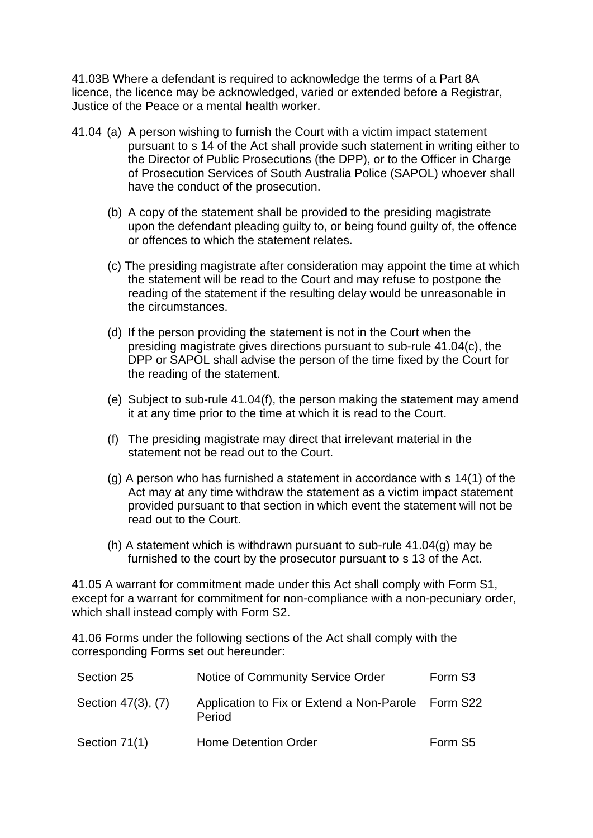41.03B Where a defendant is required to acknowledge the terms of a Part 8A licence, the licence may be acknowledged, varied or extended before a Registrar, Justice of the Peace or a mental health worker.

- 41.04 (a) A person wishing to furnish the Court with a victim impact statement pursuant to s 14 of the Act shall provide such statement in writing either to the Director of Public Prosecutions (the DPP), or to the Officer in Charge of Prosecution Services of South Australia Police (SAPOL) whoever shall have the conduct of the prosecution.
	- (b) A copy of the statement shall be provided to the presiding magistrate upon the defendant pleading guilty to, or being found guilty of, the offence or offences to which the statement relates.
	- (c) The presiding magistrate after consideration may appoint the time at which the statement will be read to the Court and may refuse to postpone the reading of the statement if the resulting delay would be unreasonable in the circumstances.
	- (d) If the person providing the statement is not in the Court when the presiding magistrate gives directions pursuant to sub-rule 41.04(c), the DPP or SAPOL shall advise the person of the time fixed by the Court for the reading of the statement.
	- (e) Subject to sub-rule 41.04(f), the person making the statement may amend it at any time prior to the time at which it is read to the Court.
	- (f) The presiding magistrate may direct that irrelevant material in the statement not be read out to the Court.
	- (g) A person who has furnished a statement in accordance with s 14(1) of the Act may at any time withdraw the statement as a victim impact statement provided pursuant to that section in which event the statement will not be read out to the Court.
	- (h) A statement which is withdrawn pursuant to sub-rule 41.04(g) may be furnished to the court by the prosecutor pursuant to s 13 of the Act.

41.05 A warrant for commitment made under this Act shall comply with Form S1, except for a warrant for commitment for non-compliance with a non-pecuniary order, which shall instead comply with Form S2.

41.06 Forms under the following sections of the Act shall comply with the corresponding Forms set out hereunder:

| Section 25         | Notice of Community Service Order                            | Form S <sub>3</sub> |
|--------------------|--------------------------------------------------------------|---------------------|
| Section 47(3), (7) | Application to Fix or Extend a Non-Parole Form S22<br>Period |                     |
| Section 71(1)      | Home Detention Order                                         | Form S <sub>5</sub> |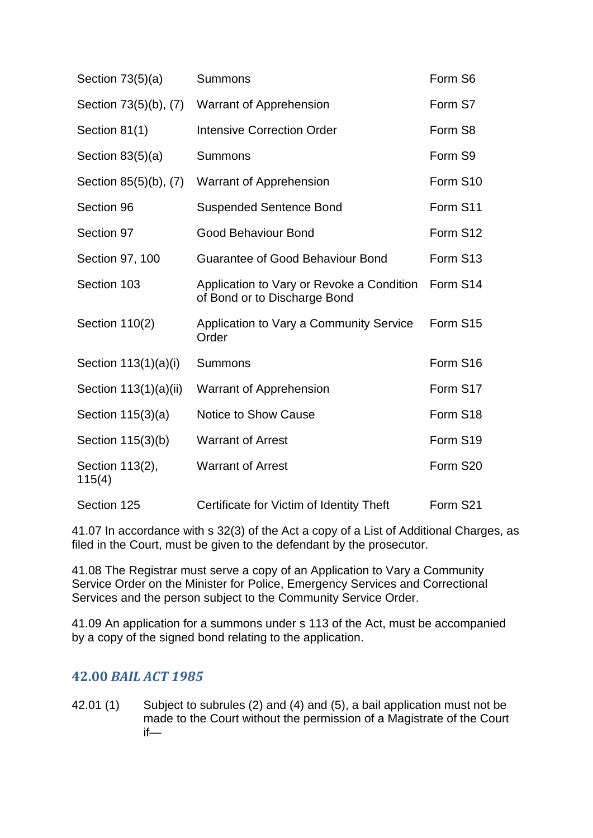| Section $73(5)(a)$        | Summons                                                                   | Form S6  |
|---------------------------|---------------------------------------------------------------------------|----------|
| Section 73(5)(b), (7)     | <b>Warrant of Apprehension</b>                                            | Form S7  |
| Section 81(1)             | <b>Intensive Correction Order</b>                                         | Form S8  |
| Section $83(5)(a)$        | <b>Summons</b>                                                            | Form S9  |
| Section 85(5)(b), (7)     | Warrant of Apprehension                                                   | Form S10 |
| Section 96                | <b>Suspended Sentence Bond</b>                                            | Form S11 |
| Section 97                | <b>Good Behaviour Bond</b>                                                | Form S12 |
| Section 97, 100           | <b>Guarantee of Good Behaviour Bond</b>                                   | Form S13 |
| Section 103               | Application to Vary or Revoke a Condition<br>of Bond or to Discharge Bond | Form S14 |
| Section 110(2)            | Application to Vary a Community Service<br>Order                          | Form S15 |
| Section $113(1)(a)(i)$    | <b>Summons</b>                                                            | Form S16 |
| Section 113(1)(a)(ii)     | Warrant of Apprehension                                                   | Form S17 |
| Section 115(3)(a)         | <b>Notice to Show Cause</b>                                               | Form S18 |
| Section 115(3)(b)         | <b>Warrant of Arrest</b>                                                  | Form S19 |
| Section 113(2),<br>115(4) | <b>Warrant of Arrest</b>                                                  | Form S20 |
| Section 125               | Certificate for Victim of Identity Theft                                  | Form S21 |

41.07 In accordance with s 32(3) of the Act a copy of a List of Additional Charges, as filed in the Court, must be given to the defendant by the prosecutor.

41.08 The Registrar must serve a copy of an Application to Vary a Community Service Order on the Minister for Police, Emergency Services and Correctional Services and the person subject to the Community Service Order.

41.09 An application for a summons under s 113 of the Act, must be accompanied by a copy of the signed bond relating to the application.

# <span id="page-41-0"></span>**42.00** *BAIL ACT 1985*

42.01 (1) Subject to subrules (2) and (4) and (5), a bail application must not be made to the Court without the permission of a Magistrate of the Court if—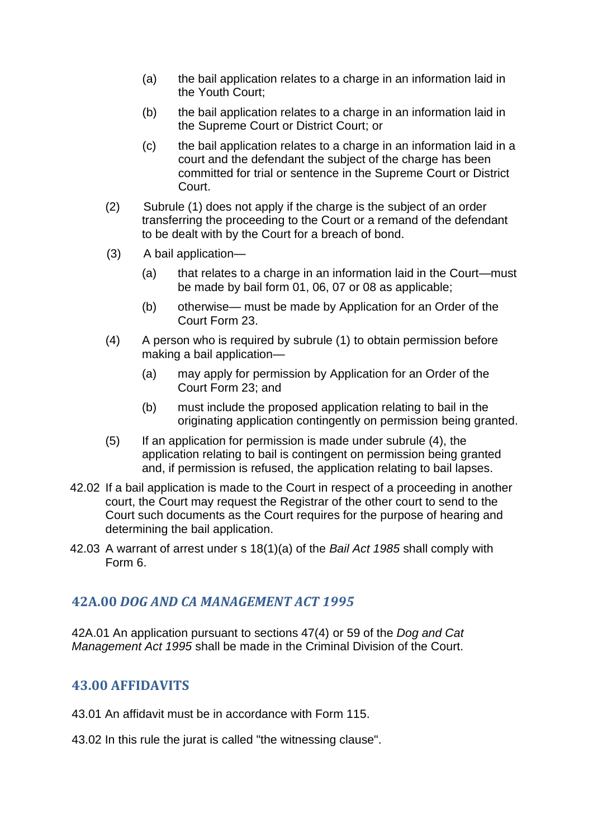- (a) the bail application relates to a charge in an information laid in the Youth Court;
- (b) the bail application relates to a charge in an information laid in the Supreme Court or District Court; or
- (c) the bail application relates to a charge in an information laid in a court and the defendant the subject of the charge has been committed for trial or sentence in the Supreme Court or District Court.
- (2) Subrule (1) does not apply if the charge is the subject of an order transferring the proceeding to the Court or a remand of the defendant to be dealt with by the Court for a breach of bond.
- (3) A bail application—
	- (a) that relates to a charge in an information laid in the Court—must be made by bail form 01, 06, 07 or 08 as applicable;
	- (b) otherwise— must be made by Application for an Order of the Court Form 23.
- (4) A person who is required by subrule (1) to obtain permission before making a bail application—
	- (a) may apply for permission by Application for an Order of the Court Form 23; and
	- (b) must include the proposed application relating to bail in the originating application contingently on permission being granted.
- (5) If an application for permission is made under subrule (4), the application relating to bail is contingent on permission being granted and, if permission is refused, the application relating to bail lapses.
- 42.02 If a bail application is made to the Court in respect of a proceeding in another court, the Court may request the Registrar of the other court to send to the Court such documents as the Court requires for the purpose of hearing and determining the bail application.
- 42.03 A warrant of arrest under s 18(1)(a) of the *Bail Act 1985* shall comply with Form 6.

# <span id="page-42-0"></span>**42A.00** *DOG AND CA MANAGEMENT ACT 1995*

42A.01 An application pursuant to sections 47(4) or 59 of the *Dog and Cat Management Act 1995* shall be made in the Criminal Division of the Court.

# <span id="page-42-1"></span>**43.00 AFFIDAVITS**

- 43.01 An affidavit must be in accordance with Form 115.
- 43.02 In this rule the jurat is called "the witnessing clause".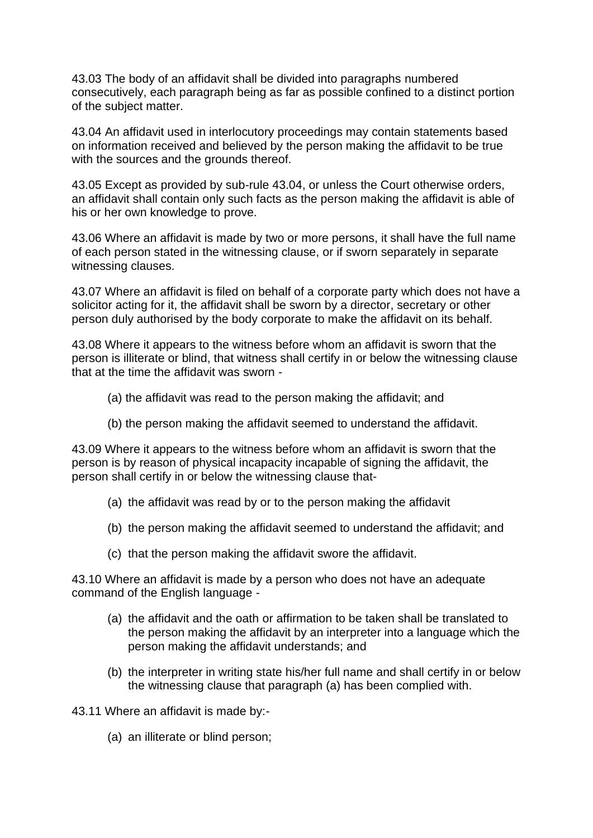43.03 The body of an affidavit shall be divided into paragraphs numbered consecutively, each paragraph being as far as possible confined to a distinct portion of the subject matter.

43.04 An affidavit used in interlocutory proceedings may contain statements based on information received and believed by the person making the affidavit to be true with the sources and the grounds thereof.

43.05 Except as provided by sub-rule 43.04, or unless the Court otherwise orders, an affidavit shall contain only such facts as the person making the affidavit is able of his or her own knowledge to prove.

43.06 Where an affidavit is made by two or more persons, it shall have the full name of each person stated in the witnessing clause, or if sworn separately in separate witnessing clauses.

43.07 Where an affidavit is filed on behalf of a corporate party which does not have a solicitor acting for it, the affidavit shall be sworn by a director, secretary or other person duly authorised by the body corporate to make the affidavit on its behalf.

43.08 Where it appears to the witness before whom an affidavit is sworn that the person is illiterate or blind, that witness shall certify in or below the witnessing clause that at the time the affidavit was sworn -

- (a) the affidavit was read to the person making the affidavit; and
- (b) the person making the affidavit seemed to understand the affidavit.

43.09 Where it appears to the witness before whom an affidavit is sworn that the person is by reason of physical incapacity incapable of signing the affidavit, the person shall certify in or below the witnessing clause that-

- (a) the affidavit was read by or to the person making the affidavit
- (b) the person making the affidavit seemed to understand the affidavit; and
- (c) that the person making the affidavit swore the affidavit.

43.10 Where an affidavit is made by a person who does not have an adequate command of the English language -

- (a) the affidavit and the oath or affirmation to be taken shall be translated to the person making the affidavit by an interpreter into a language which the person making the affidavit understands; and
- (b) the interpreter in writing state his/her full name and shall certify in or below the witnessing clause that paragraph (a) has been complied with.

43.11 Where an affidavit is made by:-

(a) an illiterate or blind person;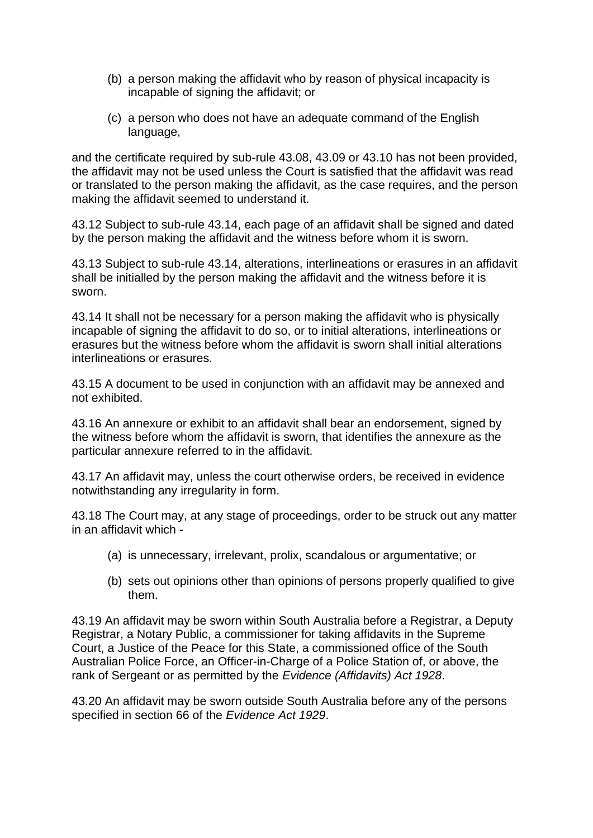- (b) a person making the affidavit who by reason of physical incapacity is incapable of signing the affidavit; or
- (c) a person who does not have an adequate command of the English language,

and the certificate required by sub-rule 43.08, 43.09 or 43.10 has not been provided, the affidavit may not be used unless the Court is satisfied that the affidavit was read or translated to the person making the affidavit, as the case requires, and the person making the affidavit seemed to understand it.

43.12 Subject to sub-rule 43.14, each page of an affidavit shall be signed and dated by the person making the affidavit and the witness before whom it is sworn.

43.13 Subject to sub-rule 43.14, alterations, interlineations or erasures in an affidavit shall be initialled by the person making the affidavit and the witness before it is sworn.

43.14 It shall not be necessary for a person making the affidavit who is physically incapable of signing the affidavit to do so, or to initial alterations, interlineations or erasures but the witness before whom the affidavit is sworn shall initial alterations interlineations or erasures.

43.15 A document to be used in conjunction with an affidavit may be annexed and not exhibited.

43.16 An annexure or exhibit to an affidavit shall bear an endorsement, signed by the witness before whom the affidavit is sworn, that identifies the annexure as the particular annexure referred to in the affidavit.

43.17 An affidavit may, unless the court otherwise orders, be received in evidence notwithstanding any irregularity in form.

43.18 The Court may, at any stage of proceedings, order to be struck out any matter in an affidavit which -

- (a) is unnecessary, irrelevant, prolix, scandalous or argumentative; or
- (b) sets out opinions other than opinions of persons properly qualified to give them.

43.19 An affidavit may be sworn within South Australia before a Registrar, a Deputy Registrar, a Notary Public, a commissioner for taking affidavits in the Supreme Court, a Justice of the Peace for this State, a commissioned office of the South Australian Police Force, an Officer-in-Charge of a Police Station of, or above, the rank of Sergeant or as permitted by the *Evidence (Affidavits) Act 1928*.

43.20 An affidavit may be sworn outside South Australia before any of the persons specified in section 66 of the *Evidence Act 1929*.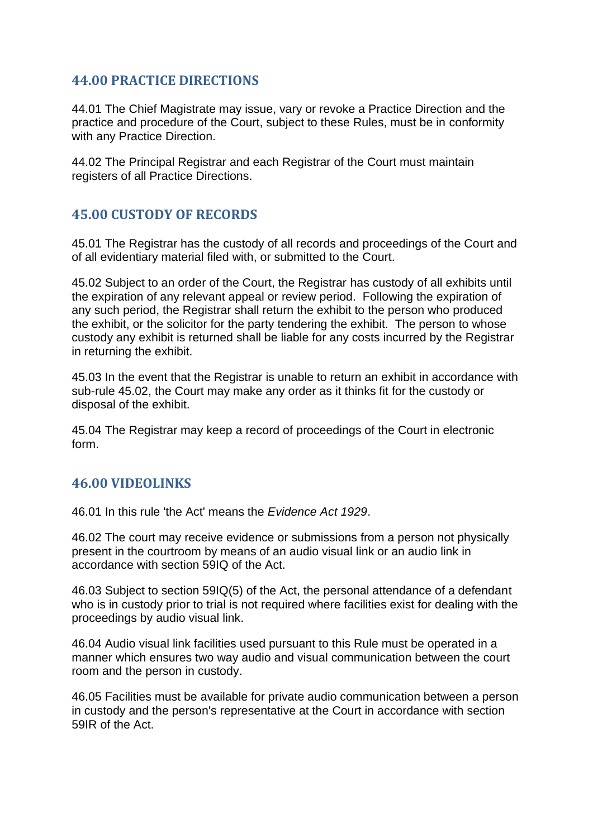# <span id="page-45-0"></span>**44.00 PRACTICE DIRECTIONS**

44.01 The Chief Magistrate may issue, vary or revoke a Practice Direction and the practice and procedure of the Court, subject to these Rules, must be in conformity with any Practice Direction.

44.02 The Principal Registrar and each Registrar of the Court must maintain registers of all Practice Directions.

### <span id="page-45-1"></span>**45.00 CUSTODY OF RECORDS**

45.01 The Registrar has the custody of all records and proceedings of the Court and of all evidentiary material filed with, or submitted to the Court.

45.02 Subject to an order of the Court, the Registrar has custody of all exhibits until the expiration of any relevant appeal or review period. Following the expiration of any such period, the Registrar shall return the exhibit to the person who produced the exhibit, or the solicitor for the party tendering the exhibit. The person to whose custody any exhibit is returned shall be liable for any costs incurred by the Registrar in returning the exhibit.

45.03 In the event that the Registrar is unable to return an exhibit in accordance with sub-rule 45.02, the Court may make any order as it thinks fit for the custody or disposal of the exhibit.

45.04 The Registrar may keep a record of proceedings of the Court in electronic form.

#### <span id="page-45-2"></span>**46.00 VIDEOLINKS**

46.01 In this rule 'the Act' means the *Evidence Act 1929*.

46.02 The court may receive evidence or submissions from a person not physically present in the courtroom by means of an audio visual link or an audio link in accordance with section 59IQ of the Act.

46.03 Subject to section 59IQ(5) of the Act, the personal attendance of a defendant who is in custody prior to trial is not required where facilities exist for dealing with the proceedings by audio visual link.

46.04 Audio visual link facilities used pursuant to this Rule must be operated in a manner which ensures two way audio and visual communication between the court room and the person in custody.

46.05 Facilities must be available for private audio communication between a person in custody and the person's representative at the Court in accordance with section 59IR of the Act.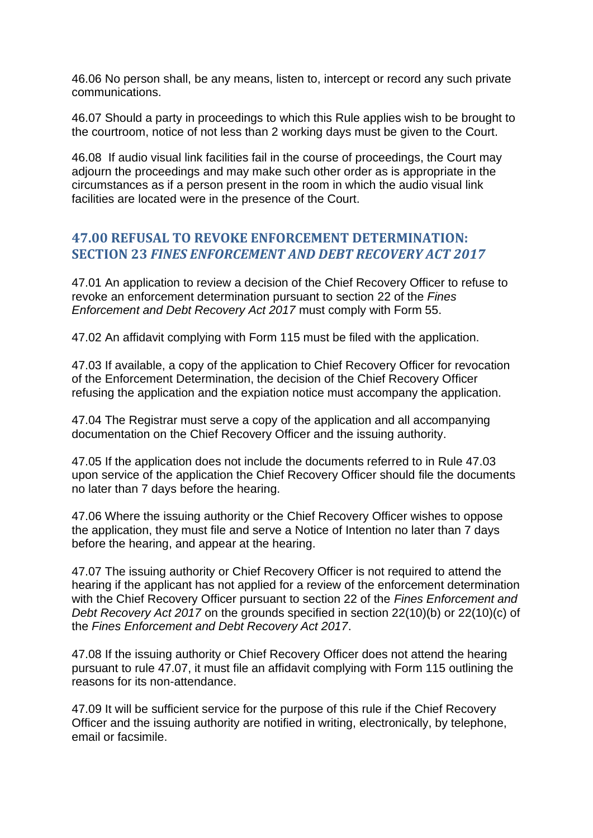46.06 No person shall, be any means, listen to, intercept or record any such private communications.

46.07 Should a party in proceedings to which this Rule applies wish to be brought to the courtroom, notice of not less than 2 working days must be given to the Court.

46.08 If audio visual link facilities fail in the course of proceedings, the Court may adjourn the proceedings and may make such other order as is appropriate in the circumstances as if a person present in the room in which the audio visual link facilities are located were in the presence of the Court.

### <span id="page-46-0"></span>**47.00 REFUSAL TO REVOKE ENFORCEMENT DETERMINATION: SECTION 23** *FINES ENFORCEMENT AND DEBT RECOVERY ACT 2017*

47.01 An application to review a decision of the Chief Recovery Officer to refuse to revoke an enforcement determination pursuant to section 22 of the *Fines Enforcement and Debt Recovery Act 2017* must comply with Form 55.

47.02 An affidavit complying with Form 115 must be filed with the application.

47.03 If available, a copy of the application to Chief Recovery Officer for revocation of the Enforcement Determination, the decision of the Chief Recovery Officer refusing the application and the expiation notice must accompany the application.

47.04 The Registrar must serve a copy of the application and all accompanying documentation on the Chief Recovery Officer and the issuing authority.

47.05 If the application does not include the documents referred to in Rule 47.03 upon service of the application the Chief Recovery Officer should file the documents no later than 7 days before the hearing.

47.06 Where the issuing authority or the Chief Recovery Officer wishes to oppose the application, they must file and serve a Notice of Intention no later than 7 days before the hearing, and appear at the hearing.

47.07 The issuing authority or Chief Recovery Officer is not required to attend the hearing if the applicant has not applied for a review of the enforcement determination with the Chief Recovery Officer pursuant to section 22 of the *Fines Enforcement and Debt Recovery Act 2017* on the grounds specified in section 22(10)(b) or 22(10)(c) of the *Fines Enforcement and Debt Recovery Act 2017*.

47.08 If the issuing authority or Chief Recovery Officer does not attend the hearing pursuant to rule 47.07, it must file an affidavit complying with Form 115 outlining the reasons for its non-attendance.

47.09 It will be sufficient service for the purpose of this rule if the Chief Recovery Officer and the issuing authority are notified in writing, electronically, by telephone, email or facsimile.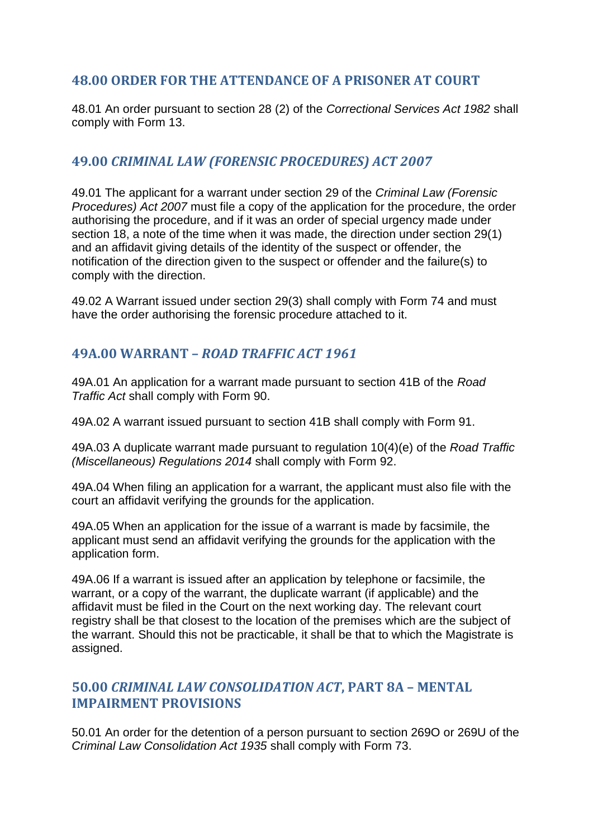# <span id="page-47-0"></span>**48.00 ORDER FOR THE ATTENDANCE OF A PRISONER AT COURT**

48.01 An order pursuant to section 28 (2) of the *Correctional Services Act 1982* shall comply with Form 13.

# <span id="page-47-1"></span>**49.00** *CRIMINAL LAW (FORENSIC PROCEDURES) ACT 2007*

49.01 The applicant for a warrant under section 29 of the *Criminal Law (Forensic Procedures) Act 2007* must file a copy of the application for the procedure, the order authorising the procedure, and if it was an order of special urgency made under section 18, a note of the time when it was made, the direction under section 29(1) and an affidavit giving details of the identity of the suspect or offender, the notification of the direction given to the suspect or offender and the failure(s) to comply with the direction.

49.02 A Warrant issued under section 29(3) shall comply with Form 74 and must have the order authorising the forensic procedure attached to it.

# <span id="page-47-2"></span>**49A.00 WARRANT –** *ROAD TRAFFIC ACT 1961*

49A.01 An application for a warrant made pursuant to section 41B of the *Road Traffic Act* shall comply with Form 90.

49A.02 A warrant issued pursuant to section 41B shall comply with Form 91.

49A.03 A duplicate warrant made pursuant to regulation 10(4)(e) of the *Road Traffic (Miscellaneous) Regulations 2014* shall comply with Form 92.

49A.04 When filing an application for a warrant, the applicant must also file with the court an affidavit verifying the grounds for the application.

49A.05 When an application for the issue of a warrant is made by facsimile, the applicant must send an affidavit verifying the grounds for the application with the application form.

49A.06 If a warrant is issued after an application by telephone or facsimile, the warrant, or a copy of the warrant, the duplicate warrant (if applicable) and the affidavit must be filed in the Court on the next working day. The relevant court registry shall be that closest to the location of the premises which are the subject of the warrant. Should this not be practicable, it shall be that to which the Magistrate is assigned.

# <span id="page-47-3"></span>**50.00** *CRIMINAL LAW CONSOLIDATION ACT***, PART 8A – MENTAL IMPAIRMENT PROVISIONS**

50.01 An order for the detention of a person pursuant to section 269O or 269U of the *Criminal Law Consolidation Act 1935* shall comply with Form 73.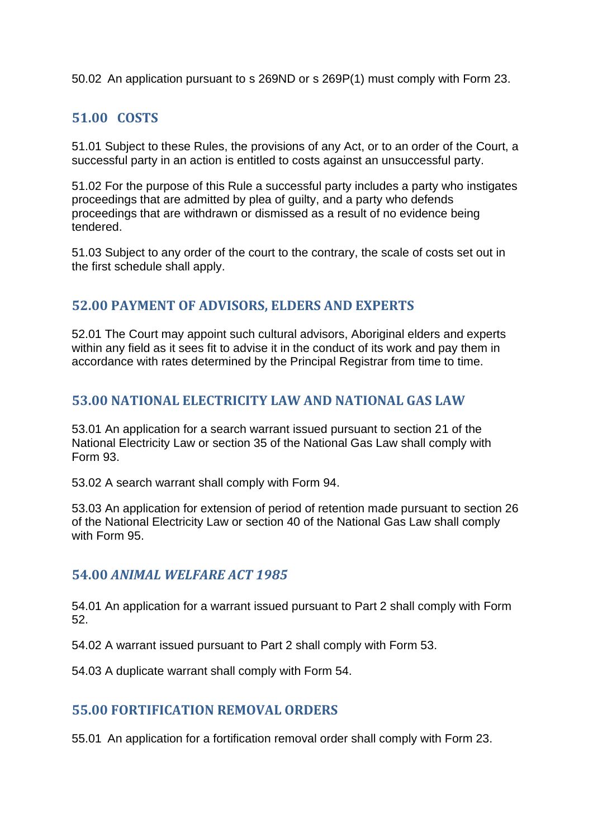50.02 An application pursuant to s 269ND or s 269P(1) must comply with Form 23.

# <span id="page-48-0"></span>**51.00 COSTS**

51.01 Subject to these Rules, the provisions of any Act, or to an order of the Court, a successful party in an action is entitled to costs against an unsuccessful party.

51.02 For the purpose of this Rule a successful party includes a party who instigates proceedings that are admitted by plea of guilty, and a party who defends proceedings that are withdrawn or dismissed as a result of no evidence being tendered.

51.03 Subject to any order of the court to the contrary, the scale of costs set out in the first schedule shall apply.

### <span id="page-48-1"></span>**52.00 PAYMENT OF ADVISORS, ELDERS AND EXPERTS**

52.01 The Court may appoint such cultural advisors, Aboriginal elders and experts within any field as it sees fit to advise it in the conduct of its work and pay them in accordance with rates determined by the Principal Registrar from time to time.

### <span id="page-48-2"></span>**53.00 NATIONAL ELECTRICITY LAW AND NATIONAL GAS LAW**

53.01 An application for a search warrant issued pursuant to section 21 of the National Electricity Law or section 35 of the National Gas Law shall comply with Form 93.

53.02 A search warrant shall comply with Form 94.

53.03 An application for extension of period of retention made pursuant to section 26 of the National Electricity Law or section 40 of the National Gas Law shall comply with Form 95.

#### <span id="page-48-3"></span>**54.00** *ANIMAL WELFARE ACT 1985*

54.01 An application for a warrant issued pursuant to Part 2 shall comply with Form 52.

54.02 A warrant issued pursuant to Part 2 shall comply with Form 53.

54.03 A duplicate warrant shall comply with Form 54.

#### <span id="page-48-4"></span>**55.00 FORTIFICATION REMOVAL ORDERS**

55.01 An application for a fortification removal order shall comply with Form 23.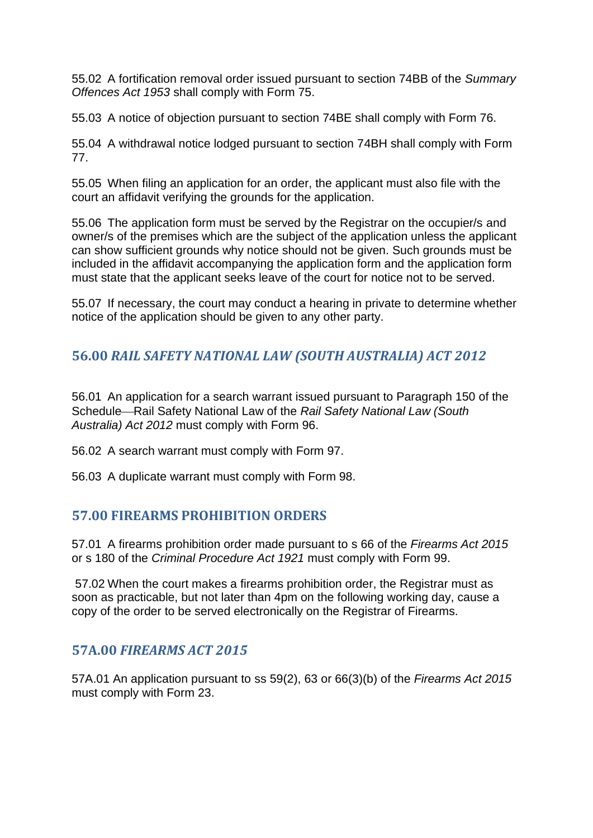55.02 A fortification removal order issued pursuant to section 74BB of the *Summary Offences Act 1953* shall comply with Form 75.

55.03 A notice of objection pursuant to section 74BE shall comply with Form 76.

55.04 A withdrawal notice lodged pursuant to section 74BH shall comply with Form 77.

55.05 When filing an application for an order, the applicant must also file with the court an affidavit verifying the grounds for the application.

55.06 The application form must be served by the Registrar on the occupier/s and owner/s of the premises which are the subject of the application unless the applicant can show sufficient grounds why notice should not be given. Such grounds must be included in the affidavit accompanying the application form and the application form must state that the applicant seeks leave of the court for notice not to be served.

55.07 If necessary, the court may conduct a hearing in private to determine whether notice of the application should be given to any other party.

# <span id="page-49-0"></span>**56.00** *RAIL SAFETY NATIONAL LAW (SOUTH AUSTRALIA) ACT 2012*

56.01 An application for a search warrant issued pursuant to Paragraph 150 of the Schedule⎯Rail Safety National Law of the *Rail Safety National Law (South Australia) Act 2012* must comply with Form 96.

56.02 A search warrant must comply with Form 97.

56.03 A duplicate warrant must comply with Form 98.

# <span id="page-49-1"></span>**57.00 FIREARMS PROHIBITION ORDERS**

57.01 A firearms prohibition order made pursuant to s 66 of the *Firearms Act 2015* or s 180 of the *Criminal Procedure Act 1921* must comply with Form 99.

57.02 When the court makes a firearms prohibition order, the Registrar must as soon as practicable, but not later than 4pm on the following working day, cause a copy of the order to be served electronically on the Registrar of Firearms.

#### <span id="page-49-2"></span>**57A.00** *FIREARMS ACT 2015*

57A.01 An application pursuant to ss 59(2), 63 or 66(3)(b) of the *Firearms Act 2015* must comply with Form 23.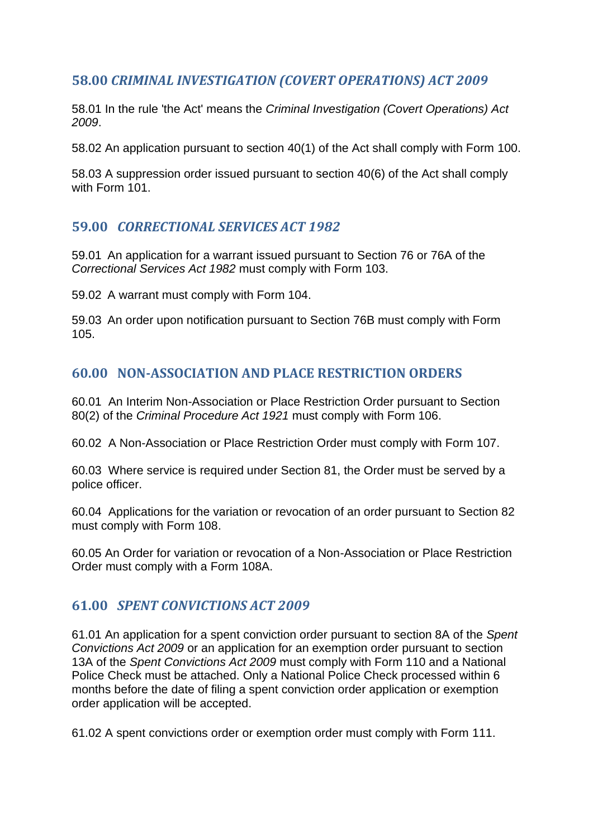# <span id="page-50-0"></span>**58.00** *CRIMINAL INVESTIGATION (COVERT OPERATIONS) ACT 2009*

58.01 In the rule 'the Act' means the *Criminal Investigation (Covert Operations) Act 2009*.

58.02 An application pursuant to section 40(1) of the Act shall comply with Form 100.

58.03 A suppression order issued pursuant to section 40(6) of the Act shall comply with Form 101.

# <span id="page-50-1"></span>**59.00** *CORRECTIONAL SERVICES ACT 1982*

59.01 An application for a warrant issued pursuant to Section 76 or 76A of the *Correctional Services Act 1982* must comply with Form 103.

59.02 A warrant must comply with Form 104.

59.03 An order upon notification pursuant to Section 76B must comply with Form 105.

# <span id="page-50-2"></span>**60.00 NON-ASSOCIATION AND PLACE RESTRICTION ORDERS**

60.01 An Interim Non-Association or Place Restriction Order pursuant to Section 80(2) of the *Criminal Procedure Act 1921* must comply with Form 106.

60.02 A Non-Association or Place Restriction Order must comply with Form 107.

60.03 Where service is required under Section 81, the Order must be served by a police officer.

60.04 Applications for the variation or revocation of an order pursuant to Section 82 must comply with Form 108.

60.05 An Order for variation or revocation of a Non-Association or Place Restriction Order must comply with a Form 108A.

# <span id="page-50-3"></span>**61.00** *SPENT CONVICTIONS ACT 2009*

61.01 An application for a spent conviction order pursuant to section 8A of the *Spent Convictions Act 2009* or an application for an exemption order pursuant to section 13A of the *Spent Convictions Act 2009* must comply with Form 110 and a National Police Check must be attached. Only a National Police Check processed within 6 months before the date of filing a spent conviction order application or exemption order application will be accepted.

61.02 A spent convictions order or exemption order must comply with Form 111.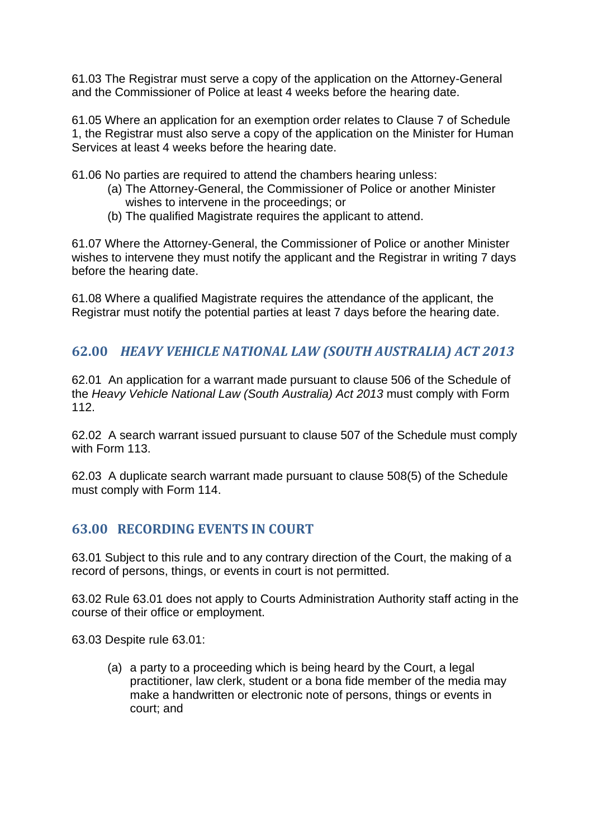61.03 The Registrar must serve a copy of the application on the Attorney-General and the Commissioner of Police at least 4 weeks before the hearing date.

61.05 Where an application for an exemption order relates to Clause 7 of Schedule 1, the Registrar must also serve a copy of the application on the Minister for Human Services at least 4 weeks before the hearing date.

61.06 No parties are required to attend the chambers hearing unless:

- (a) The Attorney-General, the Commissioner of Police or another Minister wishes to intervene in the proceedings; or
- (b) The qualified Magistrate requires the applicant to attend.

61.07 Where the Attorney-General, the Commissioner of Police or another Minister wishes to intervene they must notify the applicant and the Registrar in writing 7 days before the hearing date.

61.08 Where a qualified Magistrate requires the attendance of the applicant, the Registrar must notify the potential parties at least 7 days before the hearing date.

# <span id="page-51-0"></span>**62.00** *HEAVY VEHICLE NATIONAL LAW (SOUTH AUSTRALIA) ACT 2013*

62.01 An application for a warrant made pursuant to clause 506 of the Schedule of the *Heavy Vehicle National Law (South Australia) Act 2013* must comply with Form 112.

62.02 A search warrant issued pursuant to clause 507 of the Schedule must comply with Form 113.

62.03 A duplicate search warrant made pursuant to clause 508(5) of the Schedule must comply with Form 114.

# <span id="page-51-1"></span>**63.00 RECORDING EVENTS IN COURT**

63.01 Subject to this rule and to any contrary direction of the Court, the making of a record of persons, things, or events in court is not permitted.

63.02 Rule 63.01 does not apply to Courts Administration Authority staff acting in the course of their office or employment.

63.03 Despite rule 63.01:

(a) a party to a proceeding which is being heard by the Court, a legal practitioner, law clerk, student or a bona fide member of the media may make a handwritten or electronic note of persons, things or events in court; and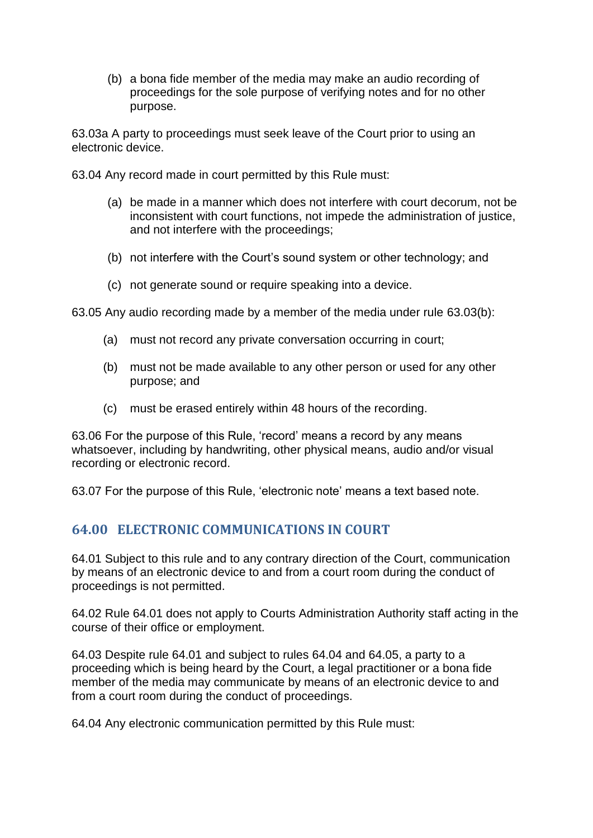(b) a bona fide member of the media may make an audio recording of proceedings for the sole purpose of verifying notes and for no other purpose.

63.03a A party to proceedings must seek leave of the Court prior to using an electronic device.

63.04 Any record made in court permitted by this Rule must:

- (a) be made in a manner which does not interfere with court decorum, not be inconsistent with court functions, not impede the administration of justice, and not interfere with the proceedings;
- (b) not interfere with the Court's sound system or other technology; and
- (c) not generate sound or require speaking into a device.

63.05 Any audio recording made by a member of the media under rule 63.03(b):

- (a) must not record any private conversation occurring in court;
- (b) must not be made available to any other person or used for any other purpose; and
- (c) must be erased entirely within 48 hours of the recording.

63.06 For the purpose of this Rule, 'record' means a record by any means whatsoever, including by handwriting, other physical means, audio and/or visual recording or electronic record.

<span id="page-52-0"></span>63.07 For the purpose of this Rule, 'electronic note' means a text based note.

# **64.00 ELECTRONIC COMMUNICATIONS IN COURT**

64.01 Subject to this rule and to any contrary direction of the Court, communication by means of an electronic device to and from a court room during the conduct of proceedings is not permitted.

64.02 Rule 64.01 does not apply to Courts Administration Authority staff acting in the course of their office or employment.

64.03 Despite rule 64.01 and subject to rules 64.04 and 64.05, a party to a proceeding which is being heard by the Court, a legal practitioner or a bona fide member of the media may communicate by means of an electronic device to and from a court room during the conduct of proceedings.

64.04 Any electronic communication permitted by this Rule must: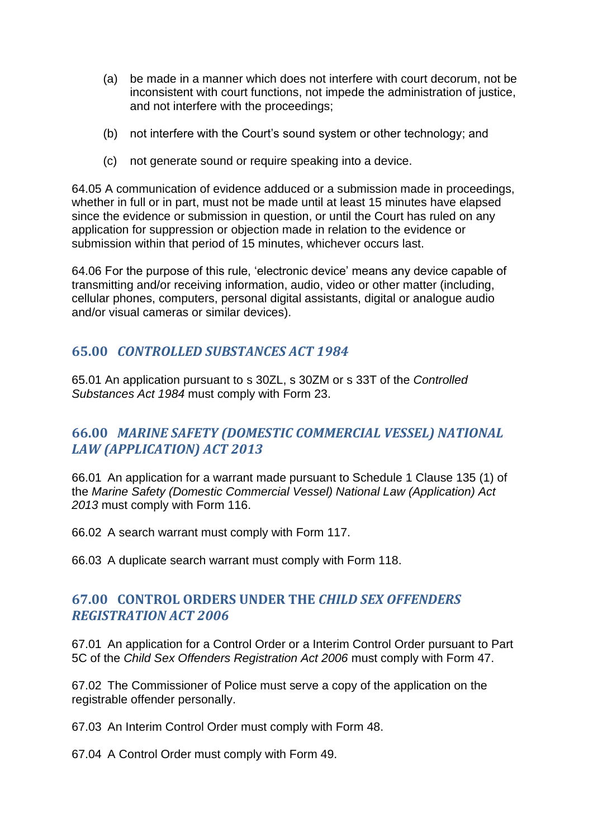- (a) be made in a manner which does not interfere with court decorum, not be inconsistent with court functions, not impede the administration of justice, and not interfere with the proceedings;
- (b) not interfere with the Court's sound system or other technology; and
- (c) not generate sound or require speaking into a device.

64.05 A communication of evidence adduced or a submission made in proceedings, whether in full or in part, must not be made until at least 15 minutes have elapsed since the evidence or submission in question, or until the Court has ruled on any application for suppression or objection made in relation to the evidence or submission within that period of 15 minutes, whichever occurs last.

64.06 For the purpose of this rule, 'electronic device' means any device capable of transmitting and/or receiving information, audio, video or other matter (including, cellular phones, computers, personal digital assistants, digital or analogue audio and/or visual cameras or similar devices).

#### <span id="page-53-0"></span>**65.00** *CONTROLLED SUBSTANCES ACT 1984*

65.01 An application pursuant to s 30ZL, s 30ZM or s 33T of the *Controlled Substances Act 1984* must comply with Form 23.

# <span id="page-53-1"></span>**66.00** *MARINE SAFETY (DOMESTIC COMMERCIAL VESSEL) NATIONAL LAW (APPLICATION) ACT 2013*

66.01 An application for a warrant made pursuant to Schedule 1 Clause 135 (1) of the *Marine Safety (Domestic Commercial Vessel) National Law (Application) Act 2013* must comply with Form 116.

66.02 A search warrant must comply with Form 117.

<span id="page-53-2"></span>66.03 A duplicate search warrant must comply with Form 118.

# **67.00 CONTROL ORDERS UNDER THE** *CHILD SEX OFFENDERS REGISTRATION ACT 2006*

67.01 An application for a Control Order or a Interim Control Order pursuant to Part 5C of the *Child Sex Offenders Registration Act 2006* must comply with Form 47.

67.02 The Commissioner of Police must serve a copy of the application on the registrable offender personally.

67.03 An Interim Control Order must comply with Form 48.

67.04 A Control Order must comply with Form 49.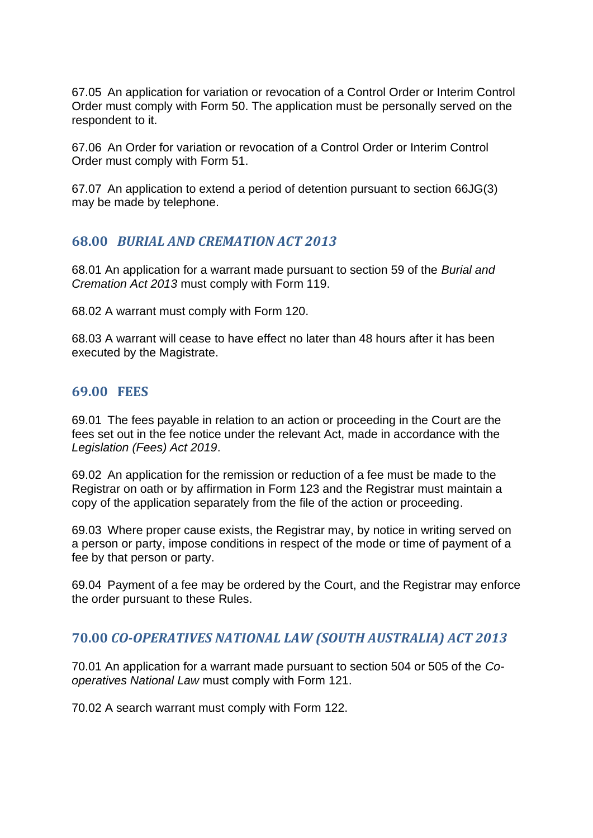67.05 An application for variation or revocation of a Control Order or Interim Control Order must comply with Form 50. The application must be personally served on the respondent to it.

67.06 An Order for variation or revocation of a Control Order or Interim Control Order must comply with Form 51.

67.07 An application to extend a period of detention pursuant to section 66JG(3) may be made by telephone.

### <span id="page-54-0"></span>**68.00** *BURIAL AND CREMATION ACT 2013*

68.01 An application for a warrant made pursuant to section 59 of the *Burial and Cremation Act 2013* must comply with Form 119.

68.02 A warrant must comply with Form 120.

<span id="page-54-1"></span>68.03 A warrant will cease to have effect no later than 48 hours after it has been executed by the Magistrate.

### **69.00 FEES**

69.01 The fees payable in relation to an action or proceeding in the Court are the fees set out in the fee notice under the relevant Act, made in accordance with the *Legislation (Fees) Act 2019*.

69.02 An application for the remission or reduction of a fee must be made to the Registrar on oath or by affirmation in Form 123 and the Registrar must maintain a copy of the application separately from the file of the action or proceeding.

69.03 Where proper cause exists, the Registrar may, by notice in writing served on a person or party, impose conditions in respect of the mode or time of payment of a fee by that person or party.

69.04 Payment of a fee may be ordered by the Court, and the Registrar may enforce the order pursuant to these Rules.

#### <span id="page-54-2"></span>**70.00** *CO-OPERATIVES NATIONAL LAW (SOUTH AUSTRALIA) ACT 2013*

70.01 An application for a warrant made pursuant to section 504 or 505 of the *Cooperatives National Law* must comply with Form 121.

70.02 A search warrant must comply with Form 122.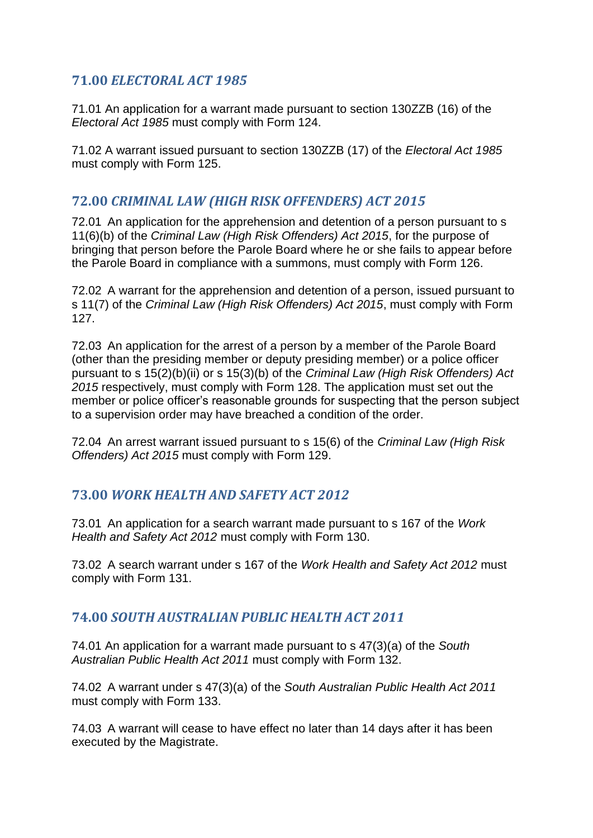# <span id="page-55-0"></span>**71.00** *ELECTORAL ACT 1985*

71.01 An application for a warrant made pursuant to section 130ZZB (16) of the *Electoral Act 1985* must comply with Form 124.

71.02 A warrant issued pursuant to section 130ZZB (17) of the *Electoral Act 1985*  must comply with Form 125.

# <span id="page-55-1"></span>**72.00** *CRIMINAL LAW (HIGH RISK OFFENDERS) ACT 2015*

72.01 An application for the apprehension and detention of a person pursuant to s 11(6)(b) of the *Criminal Law (High Risk Offenders) Act 2015*, for the purpose of bringing that person before the Parole Board where he or she fails to appear before the Parole Board in compliance with a summons, must comply with Form 126.

72.02 A warrant for the apprehension and detention of a person, issued pursuant to s 11(7) of the *Criminal Law (High Risk Offenders) Act 2015*, must comply with Form 127.

72.03 An application for the arrest of a person by a member of the Parole Board (other than the presiding member or deputy presiding member) or a police officer pursuant to s 15(2)(b)(ii) or s 15(3)(b) of the *Criminal Law (High Risk Offenders) Act 2015* respectively, must comply with Form 128. The application must set out the member or police officer's reasonable grounds for suspecting that the person subject to a supervision order may have breached a condition of the order.

72.04 An arrest warrant issued pursuant to s 15(6) of the *Criminal Law (High Risk Offenders) Act 2015* must comply with Form 129.

# <span id="page-55-2"></span>**73.00** *WORK HEALTH AND SAFETY ACT 2012*

73.01 An application for a search warrant made pursuant to s 167 of the *Work Health and Safety Act 2012* must comply with Form 130.

73.02 A search warrant under s 167 of the *Work Health and Safety Act 2012* must comply with Form 131.

# <span id="page-55-3"></span>**74.00** *SOUTH AUSTRALIAN PUBLIC HEALTH ACT 2011*

74.01 An application for a warrant made pursuant to s 47(3)(a) of the *South Australian Public Health Act 2011* must comply with Form 132.

74.02 A warrant under s 47(3)(a) of the *South Australian Public Health Act 2011*  must comply with Form 133.

74.03 A warrant will cease to have effect no later than 14 days after it has been executed by the Magistrate.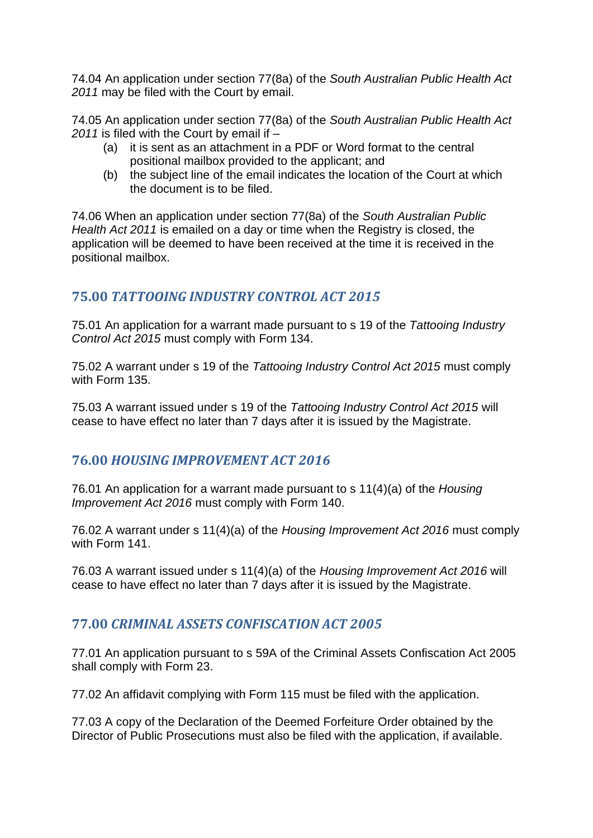74.04 An application under section 77(8a) of the *South Australian Public Health Act 2011* may be filed with the Court by email.

74.05 An application under section 77(8a) of the *South Australian Public Health Act 2011* is filed with the Court by email if –

- (a) it is sent as an attachment in a PDF or Word format to the central positional mailbox provided to the applicant; and
- (b) the subject line of the email indicates the location of the Court at which the document is to be filed.

74.06 When an application under section 77(8a) of the *South Australian Public Health Act 2011* is emailed on a day or time when the Registry is closed, the application will be deemed to have been received at the time it is received in the positional mailbox.

# <span id="page-56-0"></span>**75.00** *TATTOOING INDUSTRY CONTROL ACT 2015*

75.01 An application for a warrant made pursuant to s 19 of the *Tattooing Industry Control Act 2015* must comply with Form 134.

75.02 A warrant under s 19 of the *Tattooing Industry Control Act 2015* must comply with Form 135.

75.03 A warrant issued under s 19 of the *Tattooing Industry Control Act 2015* will cease to have effect no later than 7 days after it is issued by the Magistrate.

# <span id="page-56-1"></span>**76.00** *HOUSING IMPROVEMENT ACT 2016*

76.01 An application for a warrant made pursuant to s 11(4)(a) of the *Housing Improvement Act 2016* must comply with Form 140.

76.02 A warrant under s 11(4)(a) of the *Housing Improvement Act 2016* must comply with Form 141.

76.03 A warrant issued under s 11(4)(a) of the *Housing Improvement Act 2016* will cease to have effect no later than 7 days after it is issued by the Magistrate.

# <span id="page-56-2"></span>**77.00** *CRIMINAL ASSETS CONFISCATION ACT 2005*

77.01 An application pursuant to s 59A of the Criminal Assets Confiscation Act 2005 shall comply with Form 23.

77.02 An affidavit complying with Form 115 must be filed with the application.

77.03 A copy of the Declaration of the Deemed Forfeiture Order obtained by the Director of Public Prosecutions must also be filed with the application, if available.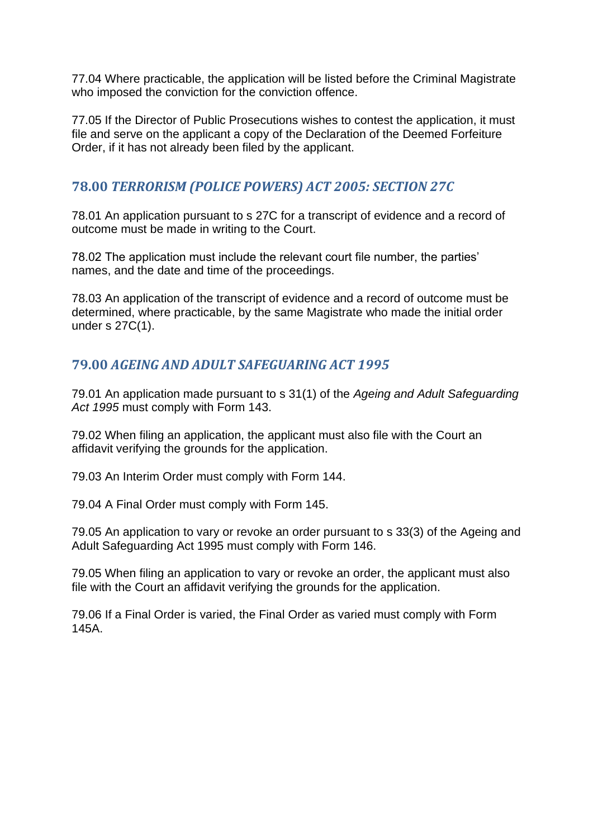77.04 Where practicable, the application will be listed before the Criminal Magistrate who imposed the conviction for the conviction offence.

77.05 If the Director of Public Prosecutions wishes to contest the application, it must file and serve on the applicant a copy of the Declaration of the Deemed Forfeiture Order, if it has not already been filed by the applicant.

# <span id="page-57-0"></span>**78.00** *TERRORISM (POLICE POWERS) ACT 2005: SECTION 27C*

78.01 An application pursuant to s 27C for a transcript of evidence and a record of outcome must be made in writing to the Court.

78.02 The application must include the relevant court file number, the parties' names, and the date and time of the proceedings.

78.03 An application of the transcript of evidence and a record of outcome must be determined, where practicable, by the same Magistrate who made the initial order under s 27C(1).

# <span id="page-57-1"></span>**79.00** *AGEING AND ADULT SAFEGUARING ACT 1995*

79.01 An application made pursuant to s 31(1) of the *Ageing and Adult Safeguarding Act 1995* must comply with Form 143.

79.02 When filing an application, the applicant must also file with the Court an affidavit verifying the grounds for the application.

79.03 An Interim Order must comply with Form 144.

79.04 A Final Order must comply with Form 145.

79.05 An application to vary or revoke an order pursuant to s 33(3) of the Ageing and Adult Safeguarding Act 1995 must comply with Form 146.

79.05 When filing an application to vary or revoke an order, the applicant must also file with the Court an affidavit verifying the grounds for the application.

79.06 If a Final Order is varied, the Final Order as varied must comply with Form 145A.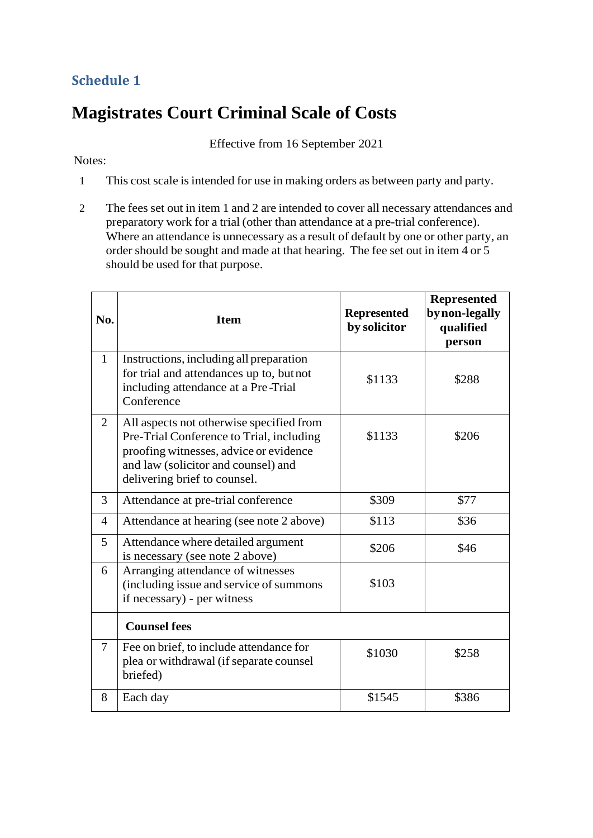# <span id="page-58-0"></span>**Schedule 1**

# <span id="page-58-1"></span>**Magistrates Court Criminal Scale of Costs**

Effective from 16 September 2021

#### Notes:

- 1 This cost scale is intended for use in making orders as between party and party.
- 2 The fees set out in item 1 and 2 are intended to cover all necessary attendances and preparatory work for a trial (other than attendance at a pre-trial conference). Where an attendance is unnecessary as a result of default by one or other party, an order should be sought and made at that hearing. The fee set out in item 4 or 5 should be used for that purpose.

| No.            | <b>Item</b>                                                                                                                                                                                           | <b>Represented</b><br>by solicitor | <b>Represented</b><br>by non-legally<br>qualified<br>person |
|----------------|-------------------------------------------------------------------------------------------------------------------------------------------------------------------------------------------------------|------------------------------------|-------------------------------------------------------------|
| $\mathbf{1}$   | Instructions, including all preparation<br>for trial and attendances up to, but not<br>including attendance at a Pre-Trial<br>Conference                                                              | \$1133                             | \$288                                                       |
| $\overline{2}$ | All aspects not otherwise specified from<br>Pre-Trial Conference to Trial, including<br>proofing witnesses, advice or evidence<br>and law (solicitor and counsel) and<br>delivering brief to counsel. | \$1133                             | \$206                                                       |
| 3              | Attendance at pre-trial conference                                                                                                                                                                    | \$309                              | \$77                                                        |
| $\overline{4}$ | Attendance at hearing (see note 2 above)                                                                                                                                                              | \$113                              | \$36                                                        |
| 5              | Attendance where detailed argument<br>is necessary (see note 2 above)                                                                                                                                 | \$206                              | \$46                                                        |
| 6              | Arranging attendance of witnesses<br>(including issue and service of summons<br>if necessary) - per witness                                                                                           | \$103                              |                                                             |
|                | <b>Counsel fees</b>                                                                                                                                                                                   |                                    |                                                             |
| 7              | Fee on brief, to include attendance for<br>plea or withdrawal (if separate counsel<br>briefed)                                                                                                        | \$1030                             | \$258                                                       |
| 8              | Each day                                                                                                                                                                                              | \$1545                             | \$386                                                       |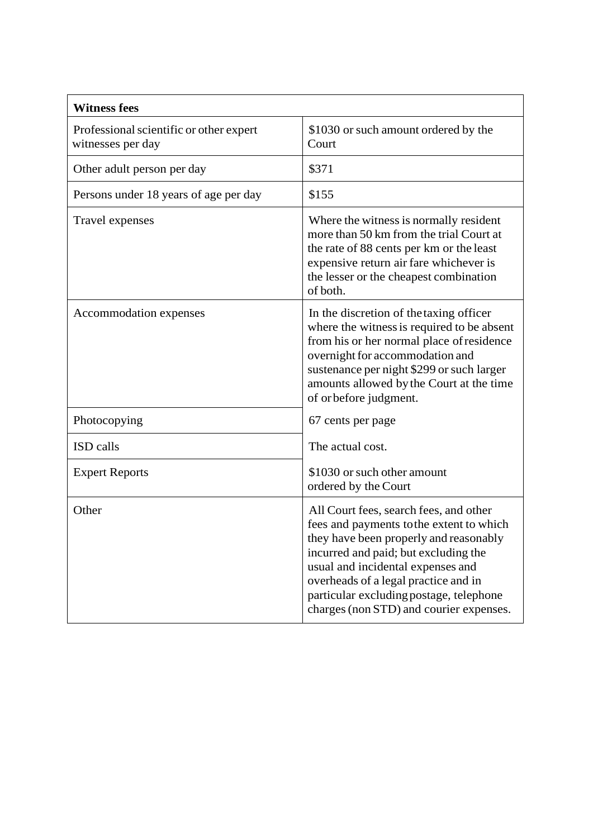| <b>Witness fees</b>                                          |                                                                                                                                                                                                                                                                                                                                         |  |  |
|--------------------------------------------------------------|-----------------------------------------------------------------------------------------------------------------------------------------------------------------------------------------------------------------------------------------------------------------------------------------------------------------------------------------|--|--|
| Professional scientific or other expert<br>witnesses per day | \$1030 or such amount ordered by the<br>Court                                                                                                                                                                                                                                                                                           |  |  |
| Other adult person per day                                   | \$371                                                                                                                                                                                                                                                                                                                                   |  |  |
| Persons under 18 years of age per day                        | \$155                                                                                                                                                                                                                                                                                                                                   |  |  |
| Travel expenses                                              | Where the witness is normally resident<br>more than 50 km from the trial Court at<br>the rate of 88 cents per km or the least<br>expensive return air fare whichever is<br>the lesser or the cheapest combination<br>of both.                                                                                                           |  |  |
| Accommodation expenses                                       | In the discretion of the taxing officer<br>where the witness is required to be absent<br>from his or her normal place of residence<br>overnight for accommodation and<br>sustenance per night \$299 or such larger<br>amounts allowed by the Court at the time<br>of orbefore judgment.                                                 |  |  |
| Photocopying                                                 | 67 cents per page                                                                                                                                                                                                                                                                                                                       |  |  |
| ISD calls                                                    | The actual cost.                                                                                                                                                                                                                                                                                                                        |  |  |
| <b>Expert Reports</b>                                        | \$1030 or such other amount<br>ordered by the Court                                                                                                                                                                                                                                                                                     |  |  |
| Other                                                        | All Court fees, search fees, and other<br>fees and payments to the extent to which<br>they have been properly and reasonably<br>incurred and paid; but excluding the<br>usual and incidental expenses and<br>overheads of a legal practice and in<br>particular excluding postage, telephone<br>charges (non STD) and courier expenses. |  |  |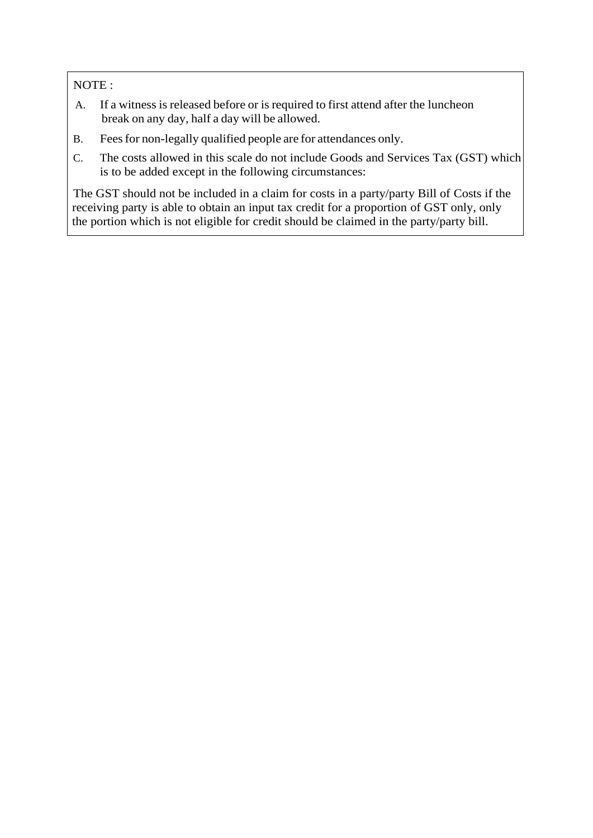NOTE :

- A. If a witness is released before or is required to first attend after the luncheon break on any day, half a day will be allowed.
- B. Feesfor non-legally qualified people are for attendances only.
- C. The costs allowed in this scale do not include Goods and Services Tax (GST) which is to be added except in the following circumstances:

The GST should not be included in a claim for costs in a party/party Bill of Costs if the receiving party is able to obtain an input tax credit for a proportion of GST only, only the portion which is not eligible for credit should be claimed in the party/party bill.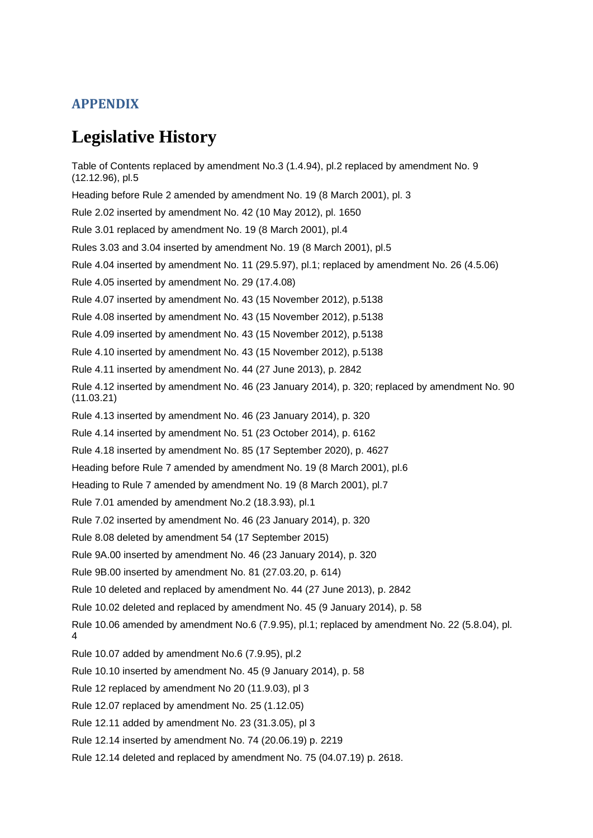### <span id="page-61-1"></span><span id="page-61-0"></span>**APPENDIX**

# **Legislative History**

Table of Contents replaced by amendment No.3 (1.4.94), pl.2 replaced by amendment No. 9 (12.12.96), pl.5 Heading before Rule 2 amended by amendment No. 19 (8 March 2001), pl. 3 Rule 2.02 inserted by amendment No. 42 (10 May 2012), pl. 1650 Rule 3.01 replaced by amendment No. 19 (8 March 2001), pl.4 Rules 3.03 and 3.04 inserted by amendment No. 19 (8 March 2001), pl.5 Rule 4.04 inserted by amendment No. 11 (29.5.97), pl.1; replaced by amendment No. 26 (4.5.06) Rule 4.05 inserted by amendment No. 29 (17.4.08) Rule 4.07 inserted by amendment No. 43 (15 November 2012), p.5138 Rule 4.08 inserted by amendment No. 43 (15 November 2012), p.5138 Rule 4.09 inserted by amendment No. 43 (15 November 2012), p.5138 Rule 4.10 inserted by amendment No. 43 (15 November 2012), p.5138 Rule 4.11 inserted by amendment No. 44 (27 June 2013), p. 2842 Rule 4.12 inserted by amendment No. 46 (23 January 2014), p. 320; replaced by amendment No. 90 (11.03.21) Rule 4.13 inserted by amendment No. 46 (23 January 2014), p. 320 Rule 4.14 inserted by amendment No. 51 (23 October 2014), p. 6162 Rule 4.18 inserted by amendment No. 85 (17 September 2020), p. 4627 Heading before Rule 7 amended by amendment No. 19 (8 March 2001), pl.6 Heading to Rule 7 amended by amendment No. 19 (8 March 2001), pl.7 Rule 7.01 amended by amendment No.2 (18.3.93), pl.1 Rule 7.02 inserted by amendment No. 46 (23 January 2014), p. 320 Rule 8.08 deleted by amendment 54 (17 September 2015) Rule 9A.00 inserted by amendment No. 46 (23 January 2014), p. 320 Rule 9B.00 inserted by amendment No. 81 (27.03.20, p. 614) Rule 10 deleted and replaced by amendment No. 44 (27 June 2013), p. 2842 Rule 10.02 deleted and replaced by amendment No. 45 (9 January 2014), p. 58 Rule 10.06 amended by amendment No.6 (7.9.95), pl.1; replaced by amendment No. 22 (5.8.04), pl. 4 Rule 10.07 added by amendment No.6 (7.9.95), pl.2 Rule 10.10 inserted by amendment No. 45 (9 January 2014), p. 58 Rule 12 replaced by amendment No 20 (11.9.03), pl 3 Rule 12.07 replaced by amendment No. 25 (1.12.05) Rule 12.11 added by amendment No. 23 (31.3.05), pl 3 Rule 12.14 inserted by amendment No. 74 (20.06.19) p. 2219 Rule 12.14 deleted and replaced by amendment No. 75 (04.07.19) p. 2618.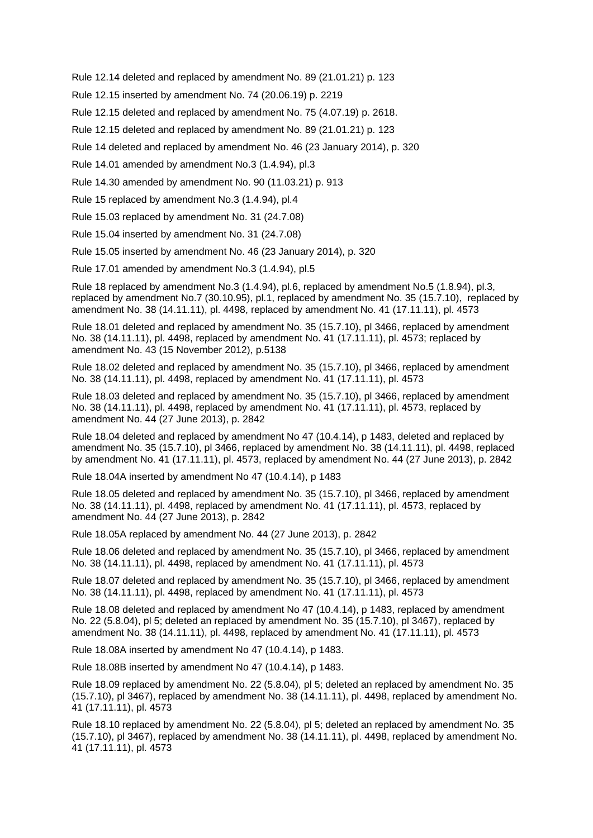Rule 12.14 deleted and replaced by amendment No. 89 (21.01.21) p. 123

Rule 12.15 inserted by amendment No. 74 (20.06.19) p. 2219

Rule 12.15 deleted and replaced by amendment No. 75 (4.07.19) p. 2618.

Rule 12.15 deleted and replaced by amendment No. 89 (21.01.21) p. 123

Rule 14 deleted and replaced by amendment No. 46 (23 January 2014), p. 320

Rule 14.01 amended by amendment No.3 (1.4.94), pl.3

Rule 14.30 amended by amendment No. 90 (11.03.21) p. 913

Rule 15 replaced by amendment No.3 (1.4.94), pl.4

Rule 15.03 replaced by amendment No. 31 (24.7.08)

Rule 15.04 inserted by amendment No. 31 (24.7.08)

Rule 15.05 inserted by amendment No. 46 (23 January 2014), p. 320

Rule 17.01 amended by amendment No.3 (1.4.94), pl.5

Rule 18 replaced by amendment No.3 (1.4.94), pl.6, replaced by amendment No.5 (1.8.94), pl.3, replaced by amendment No.7 (30.10.95), pl.1, replaced by amendment No. 35 (15.7.10), replaced by amendment No. 38 (14.11.11), pl. 4498, replaced by amendment No. 41 (17.11.11), pl. 4573

Rule 18.01 deleted and replaced by amendment No. 35 (15.7.10), pl 3466, replaced by amendment No. 38 (14.11.11), pl. 4498, replaced by amendment No. 41 (17.11.11), pl. 4573; replaced by amendment No. 43 (15 November 2012), p.5138

Rule 18.02 deleted and replaced by amendment No. 35 (15.7.10), pl 3466, replaced by amendment No. 38 (14.11.11), pl. 4498, replaced by amendment No. 41 (17.11.11), pl. 4573

Rule 18.03 deleted and replaced by amendment No. 35 (15.7.10), pl 3466, replaced by amendment No. 38 (14.11.11), pl. 4498, replaced by amendment No. 41 (17.11.11), pl. 4573, replaced by amendment No. 44 (27 June 2013), p. 2842

Rule 18.04 deleted and replaced by amendment No 47 (10.4.14), p 1483, deleted and replaced by amendment No. 35 (15.7.10), pl 3466, replaced by amendment No. 38 (14.11.11), pl. 4498, replaced by amendment No. 41 (17.11.11), pl. 4573, replaced by amendment No. 44 (27 June 2013), p. 2842

Rule 18.04A inserted by amendment No 47 (10.4.14), p 1483

Rule 18.05 deleted and replaced by amendment No. 35 (15.7.10), pl 3466, replaced by amendment No. 38 (14.11.11), pl. 4498, replaced by amendment No. 41 (17.11.11), pl. 4573, replaced by amendment No. 44 (27 June 2013), p. 2842

Rule 18.05A replaced by amendment No. 44 (27 June 2013), p. 2842

Rule 18.06 deleted and replaced by amendment No. 35 (15.7.10), pl 3466, replaced by amendment No. 38 (14.11.11), pl. 4498, replaced by amendment No. 41 (17.11.11), pl. 4573

Rule 18.07 deleted and replaced by amendment No. 35 (15.7.10), pl 3466, replaced by amendment No. 38 (14.11.11), pl. 4498, replaced by amendment No. 41 (17.11.11), pl. 4573

Rule 18.08 deleted and replaced by amendment No 47 (10.4.14), p 1483, replaced by amendment No. 22 (5.8.04), pl 5; deleted an replaced by amendment No. 35 (15.7.10), pl 3467), replaced by amendment No. 38 (14.11.11), pl. 4498, replaced by amendment No. 41 (17.11.11), pl. 4573

Rule 18.08A inserted by amendment No 47 (10.4.14), p 1483.

Rule 18.08B inserted by amendment No 47 (10.4.14), p 1483.

Rule 18.09 replaced by amendment No. 22 (5.8.04), pl 5; deleted an replaced by amendment No. 35 (15.7.10), pl 3467), replaced by amendment No. 38 (14.11.11), pl. 4498, replaced by amendment No. 41 (17.11.11), pl. 4573

Rule 18.10 replaced by amendment No. 22 (5.8.04), pl 5; deleted an replaced by amendment No. 35 (15.7.10), pl 3467), replaced by amendment No. 38 (14.11.11), pl. 4498, replaced by amendment No. 41 (17.11.11), pl. 4573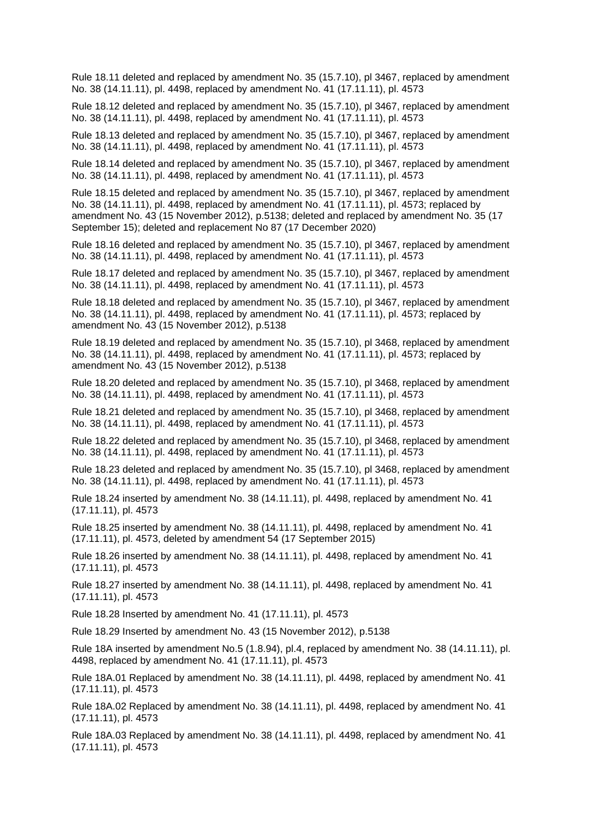Rule 18.11 deleted and replaced by amendment No. 35 (15.7.10), pl 3467, replaced by amendment No. 38 (14.11.11), pl. 4498, replaced by amendment No. 41 (17.11.11), pl. 4573

Rule 18.12 deleted and replaced by amendment No. 35 (15.7.10), pl 3467, replaced by amendment No. 38 (14.11.11), pl. 4498, replaced by amendment No. 41 (17.11.11), pl. 4573

Rule 18.13 deleted and replaced by amendment No. 35 (15.7.10), pl 3467, replaced by amendment No. 38 (14.11.11), pl. 4498, replaced by amendment No. 41 (17.11.11), pl. 4573

Rule 18.14 deleted and replaced by amendment No. 35 (15.7.10), pl 3467, replaced by amendment No. 38 (14.11.11), pl. 4498, replaced by amendment No. 41 (17.11.11), pl. 4573

Rule 18.15 deleted and replaced by amendment No. 35 (15.7.10), pl 3467, replaced by amendment No. 38 (14.11.11), pl. 4498, replaced by amendment No. 41 (17.11.11), pl. 4573; replaced by amendment No. 43 (15 November 2012), p.5138; deleted and replaced by amendment No. 35 (17 September 15); deleted and replacement No 87 (17 December 2020)

Rule 18.16 deleted and replaced by amendment No. 35 (15.7.10), pl 3467, replaced by amendment No. 38 (14.11.11), pl. 4498, replaced by amendment No. 41 (17.11.11), pl. 4573

Rule 18.17 deleted and replaced by amendment No. 35 (15.7.10), pl 3467, replaced by amendment No. 38 (14.11.11), pl. 4498, replaced by amendment No. 41 (17.11.11), pl. 4573

Rule 18.18 deleted and replaced by amendment No. 35 (15.7.10), pl 3467, replaced by amendment No. 38 (14.11.11), pl. 4498, replaced by amendment No. 41 (17.11.11), pl. 4573; replaced by amendment No. 43 (15 November 2012), p.5138

Rule 18.19 deleted and replaced by amendment No. 35 (15.7.10), pl 3468, replaced by amendment No. 38 (14.11.11), pl. 4498, replaced by amendment No. 41 (17.11.11), pl. 4573; replaced by amendment No. 43 (15 November 2012), p.5138

Rule 18.20 deleted and replaced by amendment No. 35 (15.7.10), pl 3468, replaced by amendment No. 38 (14.11.11), pl. 4498, replaced by amendment No. 41 (17.11.11), pl. 4573

Rule 18.21 deleted and replaced by amendment No. 35 (15.7.10), pl 3468, replaced by amendment No. 38 (14.11.11), pl. 4498, replaced by amendment No. 41 (17.11.11), pl. 4573

Rule 18.22 deleted and replaced by amendment No. 35 (15.7.10), pl 3468, replaced by amendment No. 38 (14.11.11), pl. 4498, replaced by amendment No. 41 (17.11.11), pl. 4573

Rule 18.23 deleted and replaced by amendment No. 35 (15.7.10), pl 3468, replaced by amendment No. 38 (14.11.11), pl. 4498, replaced by amendment No. 41 (17.11.11), pl. 4573

Rule 18.24 inserted by amendment No. 38 (14.11.11), pl. 4498, replaced by amendment No. 41 (17.11.11), pl. 4573

Rule 18.25 inserted by amendment No. 38 (14.11.11), pl. 4498, replaced by amendment No. 41 (17.11.11), pl. 4573, deleted by amendment 54 (17 September 2015)

Rule 18.26 inserted by amendment No. 38 (14.11.11), pl. 4498, replaced by amendment No. 41 (17.11.11), pl. 4573

Rule 18.27 inserted by amendment No. 38 (14.11.11), pl. 4498, replaced by amendment No. 41 (17.11.11), pl. 4573

Rule 18.28 Inserted by amendment No. 41 (17.11.11), pl. 4573

Rule 18.29 Inserted by amendment No. 43 (15 November 2012), p.5138

Rule 18A inserted by amendment No.5 (1.8.94), pl.4, replaced by amendment No. 38 (14.11.11), pl. 4498, replaced by amendment No. 41 (17.11.11), pl. 4573

Rule 18A.01 Replaced by amendment No. 38 (14.11.11), pl. 4498, replaced by amendment No. 41 (17.11.11), pl. 4573

Rule 18A.02 Replaced by amendment No. 38 (14.11.11), pl. 4498, replaced by amendment No. 41 (17.11.11), pl. 4573

Rule 18A.03 Replaced by amendment No. 38 (14.11.11), pl. 4498, replaced by amendment No. 41 (17.11.11), pl. 4573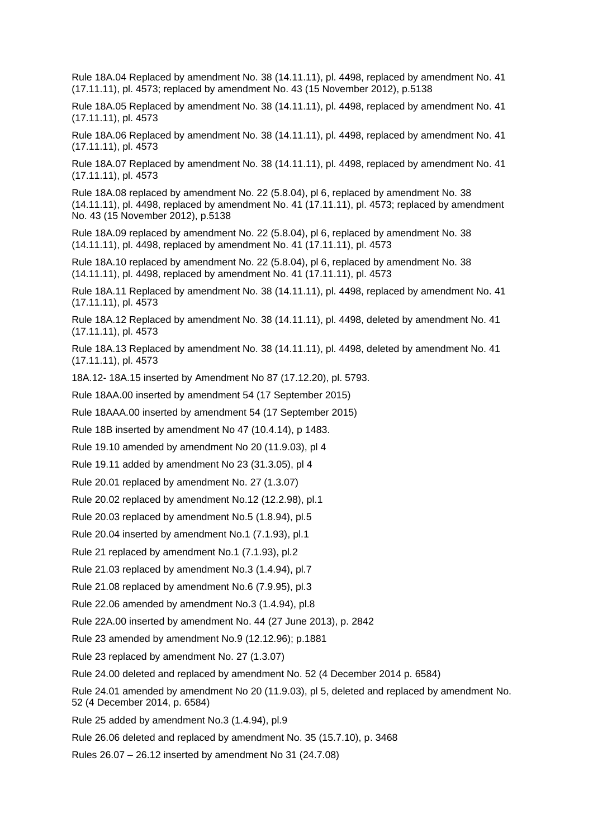Rule 18A.04 Replaced by amendment No. 38 (14.11.11), pl. 4498, replaced by amendment No. 41 (17.11.11), pl. 4573; replaced by amendment No. 43 (15 November 2012), p.5138

Rule 18A.05 Replaced by amendment No. 38 (14.11.11), pl. 4498, replaced by amendment No. 41 (17.11.11), pl. 4573

Rule 18A.06 Replaced by amendment No. 38 (14.11.11), pl. 4498, replaced by amendment No. 41 (17.11.11), pl. 4573

Rule 18A.07 Replaced by amendment No. 38 (14.11.11), pl. 4498, replaced by amendment No. 41 (17.11.11), pl. 4573

Rule 18A.08 replaced by amendment No. 22 (5.8.04), pl 6, replaced by amendment No. 38 (14.11.11), pl. 4498, replaced by amendment No. 41 (17.11.11), pl. 4573; replaced by amendment No. 43 (15 November 2012), p.5138

Rule 18A.09 replaced by amendment No. 22 (5.8.04), pl 6, replaced by amendment No. 38 (14.11.11), pl. 4498, replaced by amendment No. 41 (17.11.11), pl. 4573

Rule 18A.10 replaced by amendment No. 22 (5.8.04), pl 6, replaced by amendment No. 38 (14.11.11), pl. 4498, replaced by amendment No. 41 (17.11.11), pl. 4573

Rule 18A.11 Replaced by amendment No. 38 (14.11.11), pl. 4498, replaced by amendment No. 41 (17.11.11), pl. 4573

Rule 18A.12 Replaced by amendment No. 38 (14.11.11), pl. 4498, deleted by amendment No. 41 (17.11.11), pl. 4573

Rule 18A.13 Replaced by amendment No. 38 (14.11.11), pl. 4498, deleted by amendment No. 41 (17.11.11), pl. 4573

18A.12- 18A.15 inserted by Amendment No 87 (17.12.20), pl. 5793.

Rule 18AA.00 inserted by amendment 54 (17 September 2015)

Rule 18AAA.00 inserted by amendment 54 (17 September 2015)

Rule 18B inserted by amendment No 47 (10.4.14), p 1483.

Rule 19.10 amended by amendment No 20 (11.9.03), pl 4

Rule 19.11 added by amendment No 23 (31.3.05), pl 4

Rule 20.01 replaced by amendment No. 27 (1.3.07)

Rule 20.02 replaced by amendment No.12 (12.2.98), pl.1

Rule 20.03 replaced by amendment No.5 (1.8.94), pl.5

Rule 20.04 inserted by amendment No.1 (7.1.93), pl.1

Rule 21 replaced by amendment No.1 (7.1.93), pl.2

Rule 21.03 replaced by amendment No.3 (1.4.94), pl.7

Rule 21.08 replaced by amendment No.6 (7.9.95), pl.3

Rule 22.06 amended by amendment No.3 (1.4.94), pl.8

Rule 22A.00 inserted by amendment No. 44 (27 June 2013), p. 2842

Rule 23 amended by amendment No.9 (12.12.96); p.1881

Rule 23 replaced by amendment No. 27 (1.3.07)

Rule 24.00 deleted and replaced by amendment No. 52 (4 December 2014 p. 6584)

Rule 24.01 amended by amendment No 20 (11.9.03), pl 5, deleted and replaced by amendment No. 52 (4 December 2014, p. 6584)

Rule 25 added by amendment No.3 (1.4.94), pl.9

Rule 26.06 deleted and replaced by amendment No. 35 (15.7.10), p. 3468

Rules 26.07 – 26.12 inserted by amendment No 31 (24.7.08)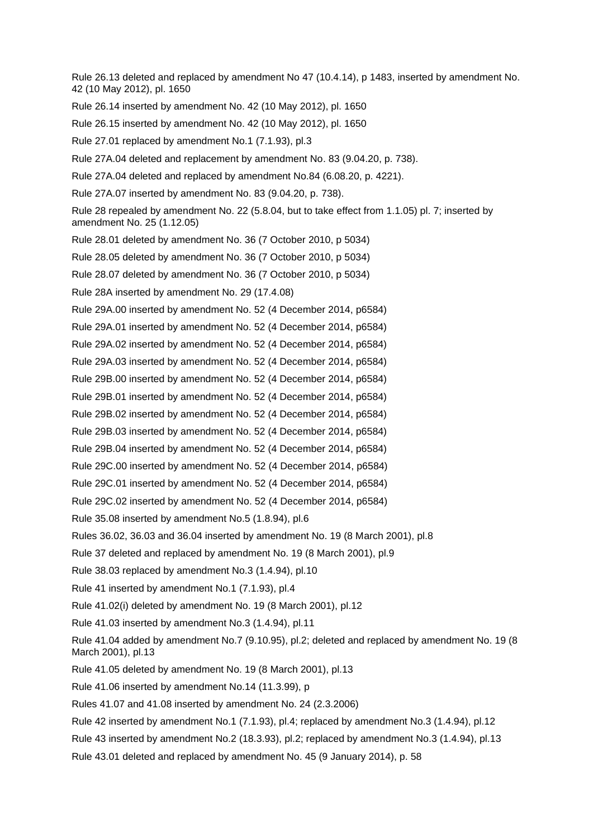Rule 26.13 deleted and replaced by amendment No 47 (10.4.14), p 1483, inserted by amendment No. 42 (10 May 2012), pl. 1650 Rule 26.14 inserted by amendment No. 42 (10 May 2012), pl. 1650 Rule 26.15 inserted by amendment No. 42 (10 May 2012), pl. 1650 Rule 27.01 replaced by amendment No.1 (7.1.93), pl.3 Rule 27A.04 deleted and replacement by amendment No. 83 (9.04.20, p. 738). Rule 27A.04 deleted and replaced by amendment No.84 (6.08.20, p. 4221). Rule 27A.07 inserted by amendment No. 83 (9.04.20, p. 738). Rule 28 repealed by amendment No. 22 (5.8.04, but to take effect from 1.1.05) pl. 7; inserted by amendment No. 25 (1.12.05) Rule 28.01 deleted by amendment No. 36 (7 October 2010, p 5034) Rule 28.05 deleted by amendment No. 36 (7 October 2010, p 5034) Rule 28.07 deleted by amendment No. 36 (7 October 2010, p 5034) Rule 28A inserted by amendment No. 29 (17.4.08) Rule 29A.00 inserted by amendment No. 52 (4 December 2014, p6584) Rule 29A.01 inserted by amendment No. 52 (4 December 2014, p6584) Rule 29A.02 inserted by amendment No. 52 (4 December 2014, p6584) Rule 29A.03 inserted by amendment No. 52 (4 December 2014, p6584) Rule 29B.00 inserted by amendment No. 52 (4 December 2014, p6584) Rule 29B.01 inserted by amendment No. 52 (4 December 2014, p6584) Rule 29B.02 inserted by amendment No. 52 (4 December 2014, p6584) Rule 29B.03 inserted by amendment No. 52 (4 December 2014, p6584) Rule 29B.04 inserted by amendment No. 52 (4 December 2014, p6584) Rule 29C.00 inserted by amendment No. 52 (4 December 2014, p6584) Rule 29C.01 inserted by amendment No. 52 (4 December 2014, p6584) Rule 29C.02 inserted by amendment No. 52 (4 December 2014, p6584) Rule 35.08 inserted by amendment No.5 (1.8.94), pl.6 Rules 36.02, 36.03 and 36.04 inserted by amendment No. 19 (8 March 2001), pl.8 Rule 37 deleted and replaced by amendment No. 19 (8 March 2001), pl.9 Rule 38.03 replaced by amendment No.3 (1.4.94), pl.10 Rule 41 inserted by amendment No.1 (7.1.93), pl.4 Rule 41.02(i) deleted by amendment No. 19 (8 March 2001), pl.12 Rule 41.03 inserted by amendment No.3 (1.4.94), pl.11 Rule 41.04 added by amendment No.7 (9.10.95), pl.2; deleted and replaced by amendment No. 19 (8 March 2001), pl.13 Rule 41.05 deleted by amendment No. 19 (8 March 2001), pl.13 Rule 41.06 inserted by amendment No.14 (11.3.99), p Rules 41.07 and 41.08 inserted by amendment No. 24 (2.3.2006) Rule 42 inserted by amendment No.1 (7.1.93), pl.4; replaced by amendment No.3 (1.4.94), pl.12 Rule 43 inserted by amendment No.2 (18.3.93), pl.2; replaced by amendment No.3 (1.4.94), pl.13 Rule 43.01 deleted and replaced by amendment No. 45 (9 January 2014), p. 58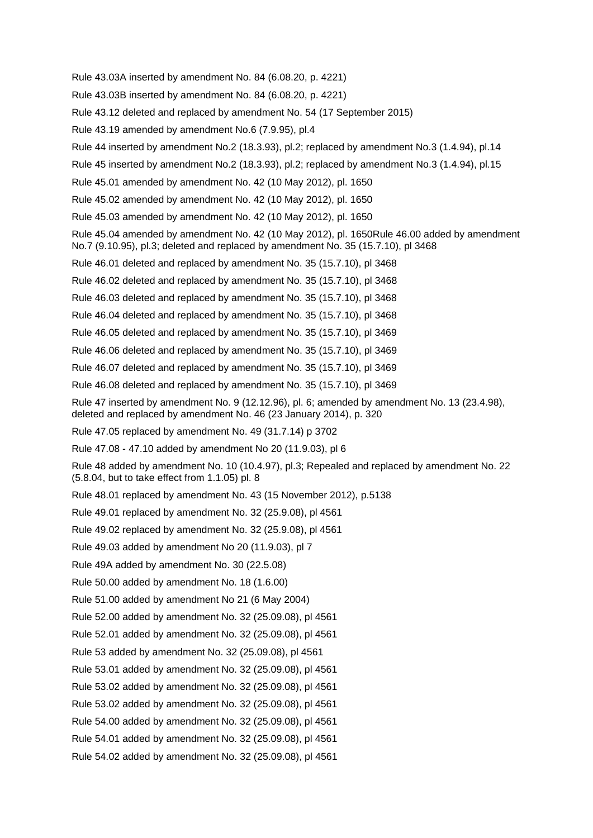Rule 43.03A inserted by amendment No. 84 (6.08.20, p. 4221)

Rule 43.03B inserted by amendment No. 84 (6.08.20, p. 4221)

Rule 43.12 deleted and replaced by amendment No. 54 (17 September 2015)

Rule 43.19 amended by amendment No.6 (7.9.95), pl.4

Rule 44 inserted by amendment No.2 (18.3.93), pl.2; replaced by amendment No.3 (1.4.94), pl.14

Rule 45 inserted by amendment No.2 (18.3.93), pl.2; replaced by amendment No.3 (1.4.94), pl.15

Rule 45.01 amended by amendment No. 42 (10 May 2012), pl. 1650

Rule 45.02 amended by amendment No. 42 (10 May 2012), pl. 1650

Rule 45.03 amended by amendment No. 42 (10 May 2012), pl. 1650

Rule 45.04 amended by amendment No. 42 (10 May 2012), pl. 1650Rule 46.00 added by amendment No.7 (9.10.95), pl.3; deleted and replaced by amendment No. 35 (15.7.10), pl 3468

Rule 46.01 deleted and replaced by amendment No. 35 (15.7.10), pl 3468

Rule 46.02 deleted and replaced by amendment No. 35 (15.7.10), pl 3468

Rule 46.03 deleted and replaced by amendment No. 35 (15.7.10), pl 3468

Rule 46.04 deleted and replaced by amendment No. 35 (15.7.10), pl 3468

Rule 46.05 deleted and replaced by amendment No. 35 (15.7.10), pl 3469

Rule 46.06 deleted and replaced by amendment No. 35 (15.7.10), pl 3469

Rule 46.07 deleted and replaced by amendment No. 35 (15.7.10), pl 3469

Rule 46.08 deleted and replaced by amendment No. 35 (15.7.10), pl 3469

Rule 47 inserted by amendment No. 9 (12.12.96), pl. 6; amended by amendment No. 13 (23.4.98), deleted and replaced by amendment No. 46 (23 January 2014), p. 320

Rule 47.05 replaced by amendment No. 49 (31.7.14) p 3702

Rule 47.08 - 47.10 added by amendment No 20 (11.9.03), pl 6

Rule 48 added by amendment No. 10 (10.4.97), pl.3; Repealed and replaced by amendment No. 22 (5.8.04, but to take effect from 1.1.05) pl. 8

Rule 48.01 replaced by amendment No. 43 (15 November 2012), p.5138

Rule 49.01 replaced by amendment No. 32 (25.9.08), pl 4561

Rule 49.02 replaced by amendment No. 32 (25.9.08), pl 4561

Rule 49.03 added by amendment No 20 (11.9.03), pl 7

Rule 49A added by amendment No. 30 (22.5.08)

Rule 50.00 added by amendment No. 18 (1.6.00)

Rule 51.00 added by amendment No 21 (6 May 2004)

Rule 52.00 added by amendment No. 32 (25.09.08), pl 4561

Rule 52.01 added by amendment No. 32 (25.09.08), pl 4561

Rule 53 added by amendment No. 32 (25.09.08), pl 4561

Rule 53.01 added by amendment No. 32 (25.09.08), pl 4561

Rule 53.02 added by amendment No. 32 (25.09.08), pl 4561

Rule 53.02 added by amendment No. 32 (25.09.08), pl 4561

Rule 54.00 added by amendment No. 32 (25.09.08), pl 4561

Rule 54.01 added by amendment No. 32 (25.09.08), pl 4561

Rule 54.02 added by amendment No. 32 (25.09.08), pl 4561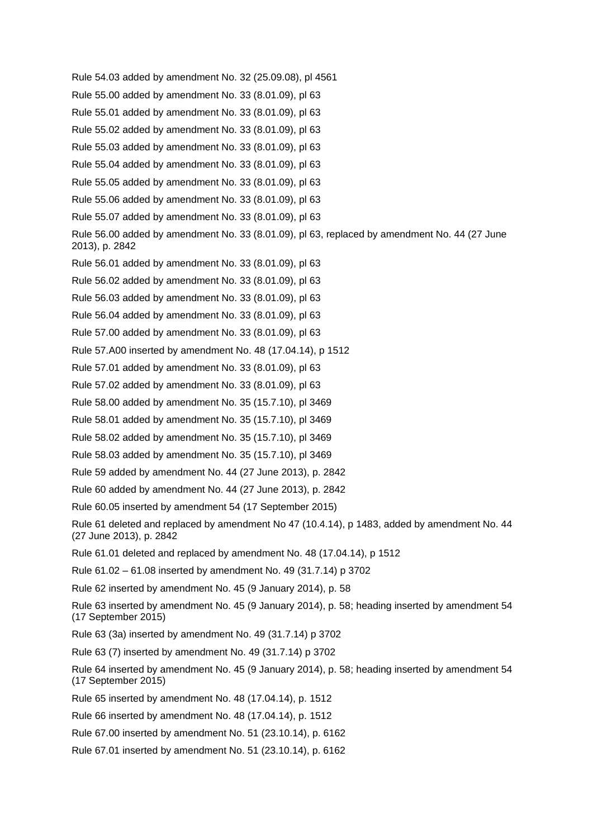Rule 54.03 added by amendment No. 32 (25.09.08), pl 4561 Rule 55.00 added by amendment No. 33 (8.01.09), pl 63 Rule 55.01 added by amendment No. 33 (8.01.09), pl 63 Rule 55.02 added by amendment No. 33 (8.01.09), pl 63 Rule 55.03 added by amendment No. 33 (8.01.09), pl 63 Rule 55.04 added by amendment No. 33 (8.01.09), pl 63 Rule 55.05 added by amendment No. 33 (8.01.09), pl 63 Rule 55.06 added by amendment No. 33 (8.01.09), pl 63 Rule 55.07 added by amendment No. 33 (8.01.09), pl 63 Rule 56.00 added by amendment No. 33 (8.01.09), pl 63, replaced by amendment No. 44 (27 June 2013), p. 2842 Rule 56.01 added by amendment No. 33 (8.01.09), pl 63 Rule 56.02 added by amendment No. 33 (8.01.09), pl 63 Rule 56.03 added by amendment No. 33 (8.01.09), pl 63 Rule 56.04 added by amendment No. 33 (8.01.09), pl 63 Rule 57.00 added by amendment No. 33 (8.01.09), pl 63 Rule 57.A00 inserted by amendment No. 48 (17.04.14), p 1512 Rule 57.01 added by amendment No. 33 (8.01.09), pl 63 Rule 57.02 added by amendment No. 33 (8.01.09), pl 63 Rule 58.00 added by amendment No. 35 (15.7.10), pl 3469 Rule 58.01 added by amendment No. 35 (15.7.10), pl 3469 Rule 58.02 added by amendment No. 35 (15.7.10), pl 3469 Rule 58.03 added by amendment No. 35 (15.7.10), pl 3469 Rule 59 added by amendment No. 44 (27 June 2013), p. 2842 Rule 60 added by amendment No. 44 (27 June 2013), p. 2842 Rule 60.05 inserted by amendment 54 (17 September 2015) Rule 61 deleted and replaced by amendment No 47 (10.4.14), p 1483, added by amendment No. 44 (27 June 2013), p. 2842 Rule 61.01 deleted and replaced by amendment No. 48 (17.04.14), p 1512 Rule 61.02 – 61.08 inserted by amendment No. 49 (31.7.14) p 3702 Rule 62 inserted by amendment No. 45 (9 January 2014), p. 58 Rule 63 inserted by amendment No. 45 (9 January 2014), p. 58; heading inserted by amendment 54 (17 September 2015) Rule 63 (3a) inserted by amendment No. 49 (31.7.14) p 3702 Rule 63 (7) inserted by amendment No. 49 (31.7.14) p 3702 Rule 64 inserted by amendment No. 45 (9 January 2014), p. 58; heading inserted by amendment 54 (17 September 2015) Rule 65 inserted by amendment No. 48 (17.04.14), p. 1512 Rule 66 inserted by amendment No. 48 (17.04.14), p. 1512

Rule 67.00 inserted by amendment No. 51 (23.10.14), p. 6162

Rule 67.01 inserted by amendment No. 51 (23.10.14), p. 6162